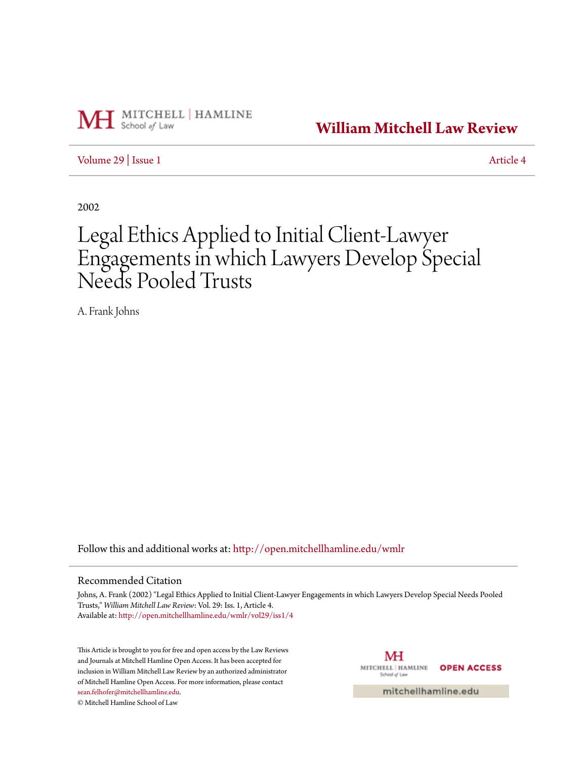

**[William Mitchell Law Review](http://open.mitchellhamline.edu/wmlr?utm_source=open.mitchellhamline.edu%2Fwmlr%2Fvol29%2Fiss1%2F4&utm_medium=PDF&utm_campaign=PDFCoverPages)**

[Volume 29](http://open.mitchellhamline.edu/wmlr/vol29?utm_source=open.mitchellhamline.edu%2Fwmlr%2Fvol29%2Fiss1%2F4&utm_medium=PDF&utm_campaign=PDFCoverPages) | [Issue 1](http://open.mitchellhamline.edu/wmlr/vol29/iss1?utm_source=open.mitchellhamline.edu%2Fwmlr%2Fvol29%2Fiss1%2F4&utm_medium=PDF&utm_campaign=PDFCoverPages) [Article 4](http://open.mitchellhamline.edu/wmlr/vol29/iss1/4?utm_source=open.mitchellhamline.edu%2Fwmlr%2Fvol29%2Fiss1%2F4&utm_medium=PDF&utm_campaign=PDFCoverPages)

2002

# Legal Ethics Applied to Initial Client-Lawyer Engagements in which Lawyers Develop Special Needs Pooled Trusts

A. Frank Johns

Follow this and additional works at: [http://open.mitchellhamline.edu/wmlr](http://open.mitchellhamline.edu/wmlr?utm_source=open.mitchellhamline.edu%2Fwmlr%2Fvol29%2Fiss1%2F4&utm_medium=PDF&utm_campaign=PDFCoverPages)

# Recommended Citation

Johns, A. Frank (2002) "Legal Ethics Applied to Initial Client-Lawyer Engagements in which Lawyers Develop Special Needs Pooled Trusts," *William Mitchell Law Review*: Vol. 29: Iss. 1, Article 4. Available at: [http://open.mitchellhamline.edu/wmlr/vol29/iss1/4](http://open.mitchellhamline.edu/wmlr/vol29/iss1/4?utm_source=open.mitchellhamline.edu%2Fwmlr%2Fvol29%2Fiss1%2F4&utm_medium=PDF&utm_campaign=PDFCoverPages)

This Article is brought to you for free and open access by the Law Reviews and Journals at Mitchell Hamline Open Access. It has been accepted for inclusion in William Mitchell Law Review by an authorized administrator of Mitchell Hamline Open Access. For more information, please contact [sean.felhofer@mitchellhamline.edu](mailto:sean.felhofer@mitchellhamline.edu).

© Mitchell Hamline School of Law

МH MITCHELL | HAMLINE **OPEN ACCESS** School of Law

mitchellhamline.edu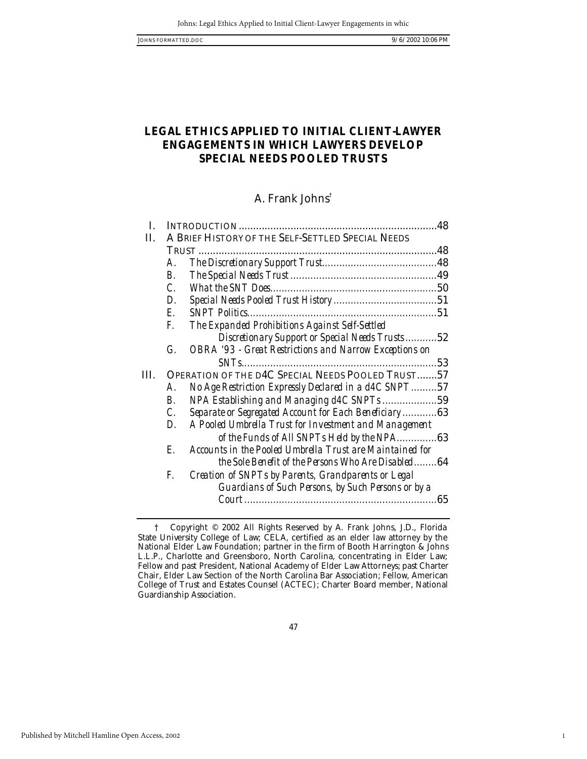1

# **LEGAL ETHICS APPLIED TO INITIAL CLIENT-LAWYER ENGAGEMENTS IN WHICH LAWYERS DEVELOP SPECIAL NEEDS POOLED TRUSTS**

# A. Frank Johns†

| I.   |                                                   |                                                               |
|------|---------------------------------------------------|---------------------------------------------------------------|
| II.  |                                                   | A BRIEF HISTORY OF THE SELF-SETTLED SPECIAL NEEDS             |
|      |                                                   | TRUST                                                         |
|      | A.                                                |                                                               |
|      | $B_{\cdot}$                                       |                                                               |
|      | $\mathcal{C}$ .                                   |                                                               |
|      | D.                                                |                                                               |
|      | E.                                                |                                                               |
|      | F.                                                | The Expanded Prohibitions Against Self-Settled                |
|      |                                                   | Discretionary Support or Special Needs Trusts52               |
|      | G.                                                | <b>OBRA</b> '93 - Great Restrictions and Narrow Exceptions on |
|      |                                                   | $SNTs$ .<br>53                                                |
| III. | OPERATION OF THE D4C SPECIAL NEEDS POOLED TRUST57 |                                                               |
|      | А.                                                | No Age Restriction Expressly Declared in a d4C SNPT57         |
|      | В.                                                | NPA Establishing and Managing d4C SNPTs 59                    |
|      | $\mathcal{C}$ .                                   | Separate or Segregated Account for Each Beneficiary63         |
|      | D.                                                | A Pooled Umbrella Trust for Investment and Management         |
|      |                                                   | of the Funds of All SNPTs Held by the NPA63                   |
|      | E.                                                | Accounts in the Pooled Umbrella Trust are Maintained for      |
|      |                                                   | the Sole Benefit of the Persons Who Are Disabled64            |
|      | F.                                                | Creation of SNPTs by Parents, Grandparents or Legal           |
|      |                                                   | Guardians of Such Persons, by Such Persons or by a            |
|      |                                                   | .65                                                           |
|      |                                                   |                                                               |

<sup>†</sup> Copyright © 2002 All Rights Reserved by A. Frank Johns, J.D., Florida State University College of Law; CELA, certified as an elder law attorney by the National Elder Law Foundation; partner in the firm of Booth Harrington & Johns L.L.P., Charlotte and Greensboro, North Carolina, concentrating in Elder Law; Fellow and past President, National Academy of Elder Law Attorneys; past Charter Chair, Elder Law Section of the North Carolina Bar Association; Fellow, American College of Trust and Estates Counsel (ACTEC); Charter Board member, National Guardianship Association.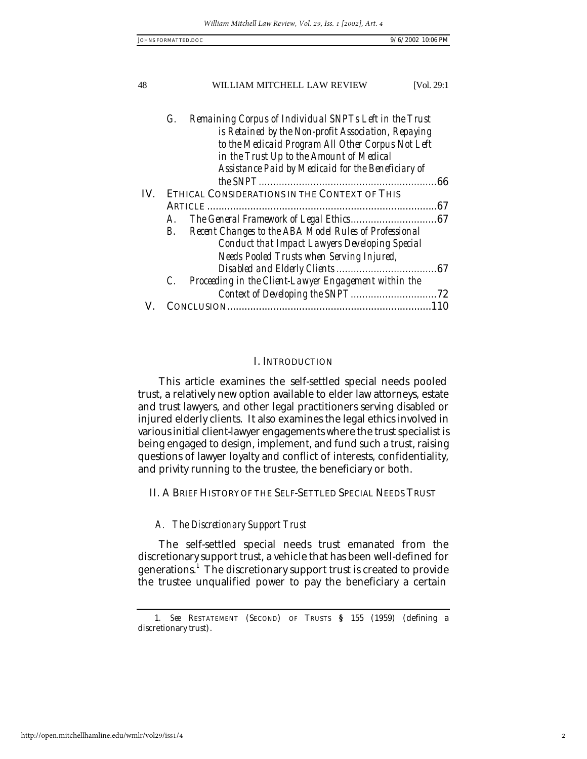| $9/6/2002$ 10:06 PM<br><b>JOHNS FORMATTED.DOC</b> |                                                                                                                     |  |
|---------------------------------------------------|---------------------------------------------------------------------------------------------------------------------|--|
| 48                                                | WILLIAM MITCHELL LAW REVIEW<br>[Vol. 29:1]                                                                          |  |
|                                                   | Remaining Corpus of Individual SNPTs Left in the Trust<br>G.<br>is Retained by the Non-profit Association, Repaying |  |
|                                                   | to the Medicaid Program All Other Corpus Not Left                                                                   |  |
|                                                   | in the Trust Up to the Amount of Medical                                                                            |  |
|                                                   | Assistance Paid by Medicaid for the Beneficiary of                                                                  |  |
|                                                   | the SNPT<br>66                                                                                                      |  |
| IV.                                               | ETHICAL CONSIDERATIONS IN THE CONTEXT OF THIS                                                                       |  |
|                                                   | 67<br><b>ARTICLE</b>                                                                                                |  |
|                                                   | А.                                                                                                                  |  |
|                                                   | Recent Changes to the ABA Model Rules of Professional<br>B.                                                         |  |
|                                                   | <b>Conduct that Impact Lawyers Developing Special</b>                                                               |  |
|                                                   | <b>Needs Pooled Trusts when Serving Injured,</b>                                                                    |  |
|                                                   | Disabled and Elderly Clients<br>67                                                                                  |  |
|                                                   | Proceeding in the Client-Lawyer Engagement within the<br>C.                                                         |  |
|                                                   | Context of Developing the SNPT<br>72                                                                                |  |

# I. INTRODUCTION

V. CONCLUSION.......................................................................110

This article examines the self-settled special needs pooled trust, a relatively new option available to elder law attorneys, estate and trust lawyers, and other legal practitioners serving disabled or injured elderly clients. It also examines the legal ethics involved in various initial client-lawyer engagements where the trust specialist is being engaged to design, implement, and fund such a trust, raising questions of lawyer loyalty and conflict of interests, confidentiality, and privity running to the trustee, the beneficiary or both.

II. A BRIEF HISTORY OF THE SELF-SETTLED SPECIAL NEEDS TRUST

# *A. The Discretionary Support Trust*

The self-settled special needs trust emanated from the discretionary support trust, a vehicle that has been well-defined for generations. $^{\rm 1}$  The discretionary support trust is created to provide the trustee unqualified power to pay the beneficiary a certain

<sup>1</sup>*. See* RESTATEMENT (SECOND) OF TRUSTS **§** 155 (1959) (defining a discretionary trust).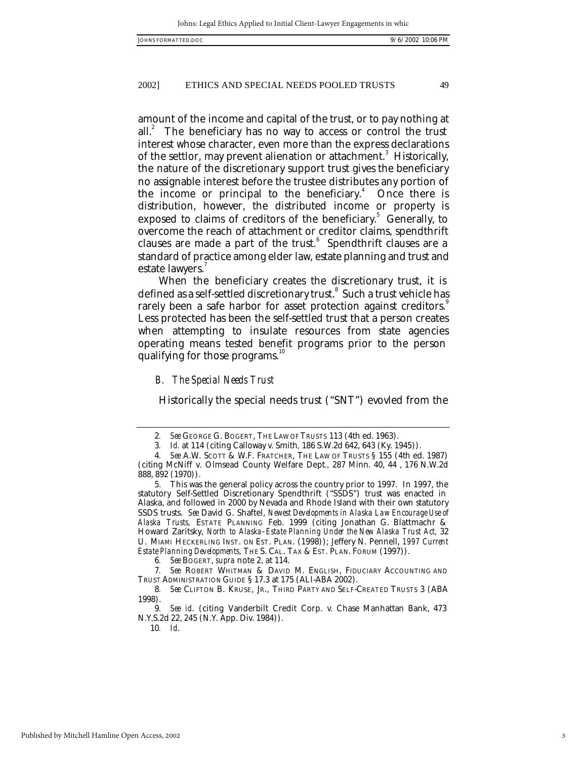amount of the income and capital of the trust, or to pay nothing at all. $^2$  The beneficiary has no way to access or control the trust interest whose character, even more than the express declarations of the settlor, may prevent alienation or attachment.<sup>3</sup> Historically, the nature of the discretionary support trust gives the beneficiary no assignable interest before the trustee distributes any portion of the income or principal to the beneficiary.<sup>4</sup> Once there is distribution, however, the distributed income or property is exposed to claims of creditors of the beneficiary.<sup>5</sup> Generally, to overcome the reach of attachment or creditor claims, spendthrift clauses are made a part of the trust.<sup>6</sup> Spendthrift clauses are a standard of practice among elder law, estate planning and trust and estate lawyers.

When the beneficiary creates the discretionary trust, it is defined as a self-settled discretionary trust.<sup>8</sup> Such a trust vehicle has rarely been a safe harbor for asset protection against creditors.<sup>9</sup> Less protected has been the self-settled trust that a person creates when attempting to insulate resources from state agencies operating means tested benefit programs prior to the person qualifying for those programs. $10$ 

*B. The Special Needs Trust*

Historically the special needs trust ("SNT") evovled from the

6*. See* BOGERT, *supra* note 2, at 114.

7*. See* ROBERT WHITMAN & DAVID M. ENGLISH, FIDUCIARY ACCOUNTING AND TRUST ADMINISTRATION GUIDE § 17.3 at 175 (ALI-ABA 2002).

10*. Id*.

<sup>2</sup>*. See* GEORGE G. BOGERT, THE LAW OF TRUSTS 113 (4th ed. 1963).

<sup>3</sup>*. Id.* at 114 (citing Calloway v. Smith*,* 186 S.W.2d 642, 643 (Ky. 1945)).

<sup>4</sup>*. See* A.W. SCOTT & W.F. FRATCHER, THE LAW OF TRUSTS § 155 (4th ed. 1987) (citing McNiff v. Olmsead County Welfare Dept*.,* 287 Minn. 40, 44 , 176 N.W.2d 888, 892 (1970)).

<sup>5.</sup> This was the general policy across the country prior to 1997. In 1997, the statutory Self-Settled Discretionary Spendthrift ("SSDS") trust was enacted in Alaska, and followed in 2000 by Nevada and Rhode Island with their own statutory SSDS trusts. *See* David G. Shaftel, *Newest Developments in Alaska Law Encourage Use of Alaska Trusts,* ESTATE PLANNING Feb. 1999 (citing Jonathan G. Blattmachr & Howard Zaritsky, *North to Alaska–Estate Planning Under the New Alaska Trust Act,* 32 U. MIAMI HECKERLING INST. ON EST. PLAN. (1998)); Jeffery N. Pennell, *1997 Current Estate Planning Developments,* THE S. CAL. TAX & EST. PLAN. FORUM (1997)).

<sup>8</sup>*. See* CLIFTON B. KRUSE, JR., THIRD PARTY AND SELF-CREATED TRUSTS 3 (ABA 1998).

<sup>9</sup>*. See id*. (citing Vanderbilt Credit Corp. v. Chase Manhattan Bank, 473 N.Y.S.2d 22, 245 (N.Y. App. Div. 1984)).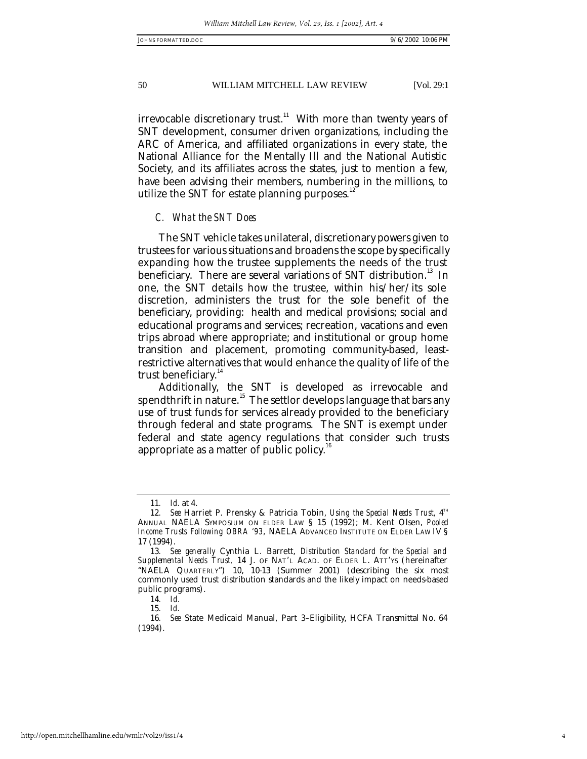irrevocable discretionary trust.<sup>11</sup> With more than twenty years of SNT development, consumer driven organizations, including the ARC of America, and affiliated organizations in every state, the National Alliance for the Mentally Ill and the National Autistic Society, and its affiliates across the states, just to mention a few, have been advising their members, numbering in the millions, to utilize the SNT for estate planning purposes.<sup>1</sup>

#### *C. What the SNT Does*

The SNT vehicle takes unilateral, discretionary powers given to trustees for various situations and broadens the scope by specifically expanding how the trustee supplements the needs of the trust beneficiary. There are several variations of SNT distribution.<sup>13</sup> In one, the SNT details how the trustee, within his/her/its sole discretion, administers the trust for the sole benefit of the beneficiary, providing: health and medical provisions; social and educational programs and services; recreation, vacations and even trips abroad where appropriate; and institutional or group home transition and placement, promoting community-based, leastrestrictive alternatives that would enhance the quality of life of the trust beneficiary.<sup>14</sup>

Additionally, the SNT is developed as irrevocable and spendthrift in nature.<sup>15</sup> The settlor develops language that bars any use of trust funds for services already provided to the beneficiary through federal and state programs. The SNT is exempt under federal and state agency regulations that consider such trusts appropriate as a matter of public policy.<sup>16</sup>

<sup>11</sup>*. Id.* at 4.

<sup>12.</sup> See Harriet P. Prensky & Patricia Tobin, *Using the Special Needs Trust*,  $4^m$ ANNUAL NAELA SYMPOSIUM ON ELDER LAW § 15 (1992); M. Kent Olsen, *Pooled Income Trusts Following OBRA '93*, NAELA ADVANCED INSTITUTE ON ELDER LAW IV § 17 (1994).

<sup>13</sup>*. See generally* Cynthia L. Barrett, *Distribution Standard for the Special and Supplemental Needs Trust,* 14 J. OF NAT'L ACAD. OF ELDER L. ATT'YS (hereinafter "NAELA QUARTERLY") 10, 10-13 (Summer 2001) (describing the six most commonly used trust distribution standards and the likely impact on needs-based public programs).

<sup>14</sup>*. Id*.

<sup>15</sup>*. Id.*

<sup>16</sup>*. See* State Medicaid Manual, Part 3–Eligibility, HCFA Transmittal No. 64 (1994).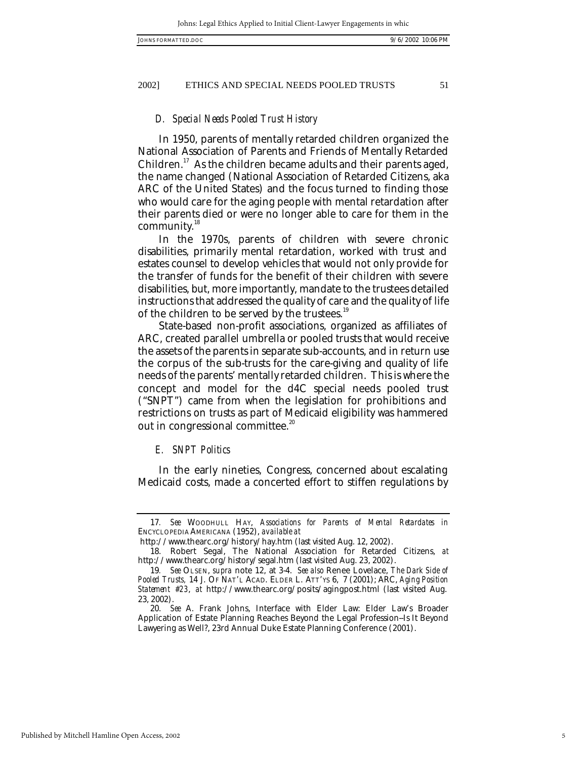#### *D. Special Needs Pooled Trust History*

In 1950, parents of mentally retarded children organized the National Association of Parents and Friends of Mentally Retarded Children. $17$  As the children became adults and their parents aged, the name changed (National Association of Retarded Citizens, aka ARC of the United States) and the focus turned to finding those who would care for the aging people with mental retardation after their parents died or were no longer able to care for them in the community.<sup>18</sup>

In the 1970s, parents of children with severe chronic disabilities, primarily mental retardation, worked with trust and estates counsel to develop vehicles that would not only provide for the transfer of funds for the benefit of their children with severe disabilities, but, more importantly, mandate to the trustees detailed instructions that addressed the quality of care and the quality of life of the children to be served by the trustees.<sup>19</sup>

State-based non-profit associations, organized as affiliates of ARC, created parallel umbrella or pooled trusts that would receive the assets of the parents in separate sub-accounts, and in return use the corpus of the sub-trusts for the care-giving and quality of life needs of the parents' mentally retarded children. This is where the concept and model for the d4C special needs pooled trust ("SNPT") came from when the legislation for prohibitions and restrictions on trusts as part of Medicaid eligibility was hammered out in congressional committee.<sup>20</sup>

# *E. SNPT Politics*

In the early nineties, Congress, concerned about escalating Medicaid costs, made a concerted effort to stiffen regulations by

<sup>17</sup>*. See* WOODHULL HAY, *Associations for Parents of Mental Retardates in* ENCYCLOPEDIA AMERICANA (1952), *available at*

http://www.thearc.org/history/hay.htm (last visited Aug. 12, 2002).

<sup>18.</sup> Robert Segal, The National Association for Retarded Citizens, *at* http://www.thearc.org/history/segal.htm (last visited Aug. 23, 2002).

<sup>19</sup>*. See* OLSEN, *supra* note 12, at 3-4. *See also* Renee Lovelace, *The Dark Side of Pooled Trusts,* 14 J. OF NAT'L ACAD. ELDER L. ATT'YS 6, 7 (2001); ARC, *Aging Position Statement #23*, *at* http://www.thearc.org/posits/agingpost.html (last visited Aug. 23, 2002).

<sup>20.</sup> *See* A. Frank Johns, Interface with Elder Law: Elder Law's Broader Application of Estate Planning Reaches Beyond the Legal Profession--Is It Beyond Lawyering as Well?, 23rd Annual Duke Estate Planning Conference (2001).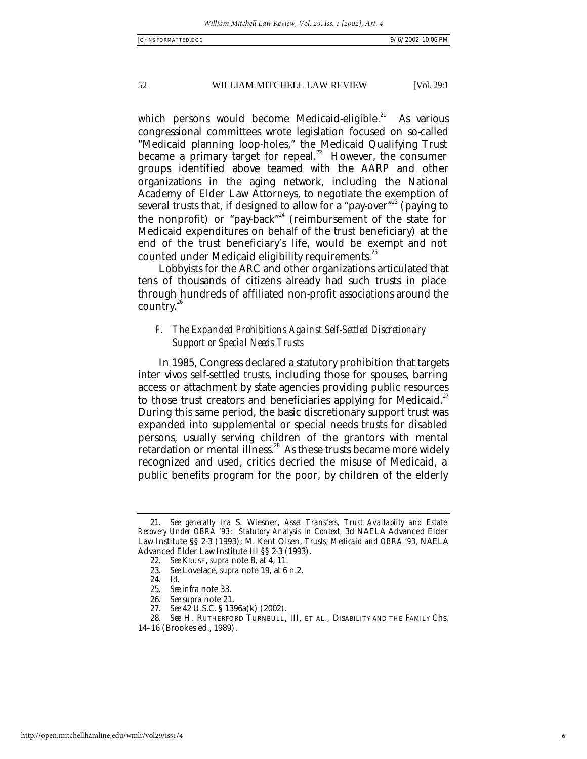which persons would become Medicaid-eligible.<sup>21</sup> As various congressional committees wrote legislation focused on so-called "Medicaid planning loop-holes," the Medicaid Qualifying Trust became a primary target for repeal.<sup>22</sup> However, the consumer groups identified above teamed with the AARP and other organizations in the aging network, including the National Academy of Elder Law Attorneys, to negotiate the exemption of several trusts that, if designed to allow for a "pay-over"<sup>23</sup> (paying to the nonprofit) or "pay-back"<sup>24</sup> (reimbursement of the state for Medicaid expenditures on behalf of the trust beneficiary) at the end of the trust beneficiary's life, would be exempt and not counted under Medicaid eligibility requirements.<sup>25</sup>

Lobbyists for the ARC and other organizations articulated that tens of thousands of citizens already had such trusts in place through hundreds of affiliated non-profit associations around the country. 26

# *F. The Expanded Prohibitions Against Self-Settled Discretionary Support or Special Needs Trusts*

In 1985, Congress declared a statutory prohibition that targets inter vivos self-settled trusts, including those for spouses, barring access or attachment by state agencies providing public resources to those trust creators and beneficiaries applying for Medicaid.<sup>27</sup> During this same period, the basic discretionary support trust was expanded into supplemental or special needs trusts for disabled persons, usually serving children of the grantors with mental retardation or mental illness.<sup>28</sup> As these trusts became more widely recognized and used, critics decried the misuse of Medicaid, a public benefits program for the poor, by children of the elderly

<sup>21</sup>*. See generally* Ira S. Wiesner, *Asset Transfers, Trust Availabiity and Estate Recovery Under OBRA '93: Statutory Analysis in Context,* 3d NAELA Advanced Elder Law Institute §§ 2-3 (1993); M. Kent Olsen, *Trusts, Medicaid and OBRA '93,* NAELA Advanced Elder Law Institute III §§ 2-3 (1993).

<sup>22</sup>*. See* KRUSE, *supra* note 8, at 4, 11.

<sup>23</sup>*. See* Lovelace, *supra* note 19, at 6 n.2.

<sup>24</sup>*. Id.*

<sup>25</sup>*. See infra* note 33.

<sup>26</sup>*. See supra* note 21.

<sup>27</sup>*. See* 42 U.S.C. § 1396a(k) (2002).

<sup>28</sup>*. See* H. RUTHERFORD TURNBULL, III, ET AL., DISABILITY AND THE FAMILY Chs. 14–16 (Brookes ed., 1989).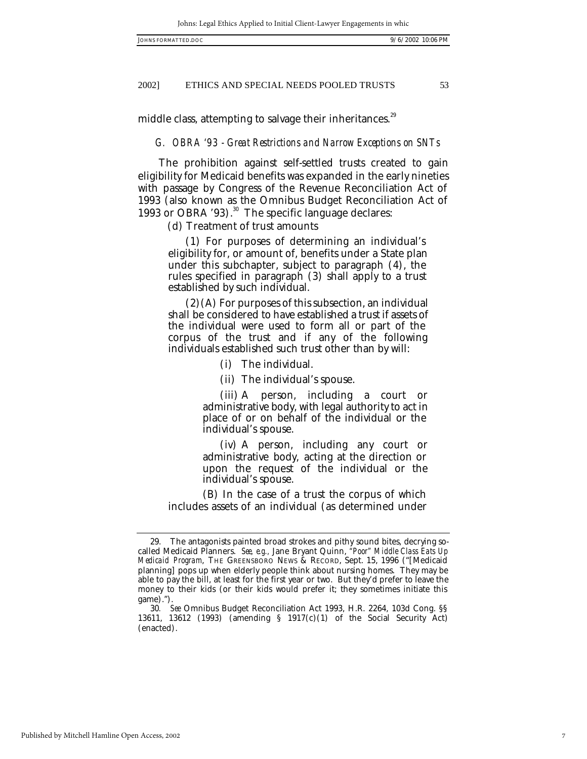middle class, attempting to salvage their inheritances.<sup>29</sup>

#### *G. OBRA '93 - Great Restrictions and Narrow Exceptions on SNTs*

The prohibition against self-settled trusts created to gain eligibility for Medicaid benefits was expanded in the early nineties with passage by Congress of the Revenue Reconciliation Act of 1993 (also known as the Omnibus Budget Reconciliation Act of 1993 or OBRA '93).<sup>30</sup> The specific language declares:

(d) Treatment of trust amounts

(1) For purposes of determining an individual's eligibility for, or amount of, benefits under a State plan under this subchapter, subject to paragraph (4), the rules specified in paragraph (3) shall apply to a trust established by such individual.

(2)(A) For purposes of this subsection, an individual shall be considered to have established a trust if assets of the individual were used to form all or part of the corpus of the trust and if any of the following individuals established such trust other than by will:

(i) The individual.

(ii) The individual's spouse.

(iii) A person, including a court or administrative body, with legal authority to act in place of or on behalf of the individual or the individual's spouse.

(iv) A person, including any court or administrative body, acting at the direction or upon the request of the individual or the individual's spouse.

(B) In the case of a trust the corpus of which includes assets of an individual (as determined under

<sup>29.</sup> The antagonists painted broad strokes and pithy sound bites, decrying socalled Medicaid Planners. *See, e.g.,* Jane Bryant Quinn, *"Poor" Middle Class Eats Up Medicaid Program*, THE GREENSBORO NEWS & RECORD, Sept. 15, 1996 ("[Medicaid planning] pops up when elderly people think about nursing homes. They may be able to pay the bill, at least for the first year or two. But they'd prefer to leave the money to their kids (or their kids would prefer it; they sometimes initiate this game).").

<sup>30</sup>*. See* Omnibus Budget Reconciliation Act 1993, H.R. 2264, 103d Cong. §§ 13611, 13612 (1993) (amending § 1917(c)(1) of the Social Security Act) (enacted).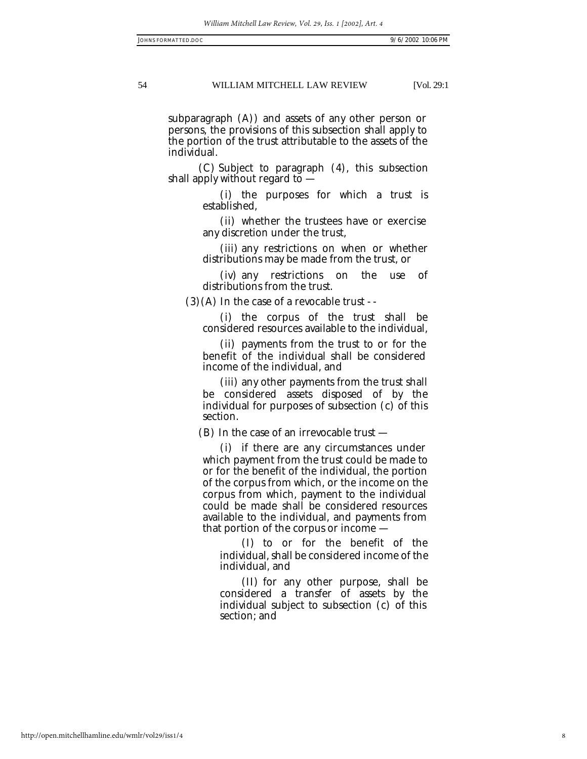subparagraph (A)) and assets of any other person or persons, the provisions of this subsection shall apply to the portion of the trust attributable to the assets of the individual.

(C) Subject to paragraph (4), this subsection shall apply without regard to —

> (i) the purposes for which a trust is established,

(ii) whether the trustees have or exercise any discretion under the trust,

(iii) any restrictions on when or whether distributions may be made from the trust, or

(iv) any restrictions on the use of distributions from the trust.

 $(3)(A)$  In the case of a revocable trust  $-$ 

(i) the corpus of the trust shall be considered resources available to the individual,

(ii) payments from the trust to or for the benefit of the individual shall be considered income of the individual, and

(iii) any other payments from the trust shall be considered assets disposed of by the individual for purposes of subsection (c) of this section.

(B) In the case of an irrevocable trust —

(i) if there are any circumstances under which payment from the trust could be made to or for the benefit of the individual, the portion of the corpus from which, or the income on the corpus from which, payment to the individual could be made shall be considered resources available to the individual, and payments from that portion of the corpus or income —

(I) to or for the benefit of the individual, shall be considered income of the individual, and

(II) for any other purpose, shall be considered a transfer of assets by the individual subject to subsection (c) of this section; and

http://open.mitchellhamline.edu/wmlr/vol29/iss1/4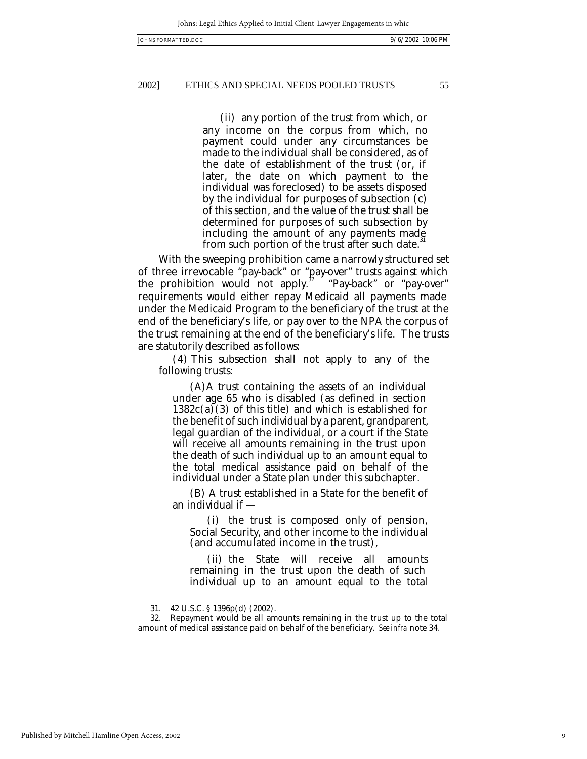(ii) any portion of the trust from which, or any income on the corpus from which, no payment could under any circumstances be made to the individual shall be considered, as of the date of establishment of the trust (or, if later, the date on which payment to the individual was foreclosed) to be assets disposed by the individual for purposes of subsection (c) of this section, and the value of the trust shall be determined for purposes of such subsection by including the amount of any payments made from such portion of the trust after such date.

With the sweeping prohibition came a narrowly structured set of three irrevocable "pay-back" or "pay-over" trusts against which the prohibition would not apply. $32$  "Pay-back" or "pay-over" requirements would either repay Medicaid all payments made under the Medicaid Program to the beneficiary of the trust at the end of the beneficiary's life, or pay over to the NPA the corpus of the trust remaining at the end of the beneficiary's life. The trusts are statutorily described as follows:

(4) This subsection shall not apply to any of the following trusts:

(A)A trust containing the assets of an individual under age 65 who is disabled (as defined in section  $1382c(a)(3)$  of this title) and which is established for the benefit of such individual by a parent, grandparent, legal guardian of the individual, or a court if the State will receive all amounts remaining in the trust upon the death of such individual up to an amount equal to the total medical assistance paid on behalf of the individual under a State plan under this subchapter.

(B) A trust established in a State for the benefit of an individual if —

(i) the trust is composed only of pension, Social Security, and other income to the individual (and accumulated income in the trust),

(ii) the State will receive all amounts remaining in the trust upon the death of such individual up to an amount equal to the total

<sup>31.</sup> 42 U.S.C. § 1396p(d) (2002).

<sup>32.</sup> Repayment would be all amounts remaining in the trust up to the total amount of medical assistance paid on behalf of the beneficiary. *See infra* note 34.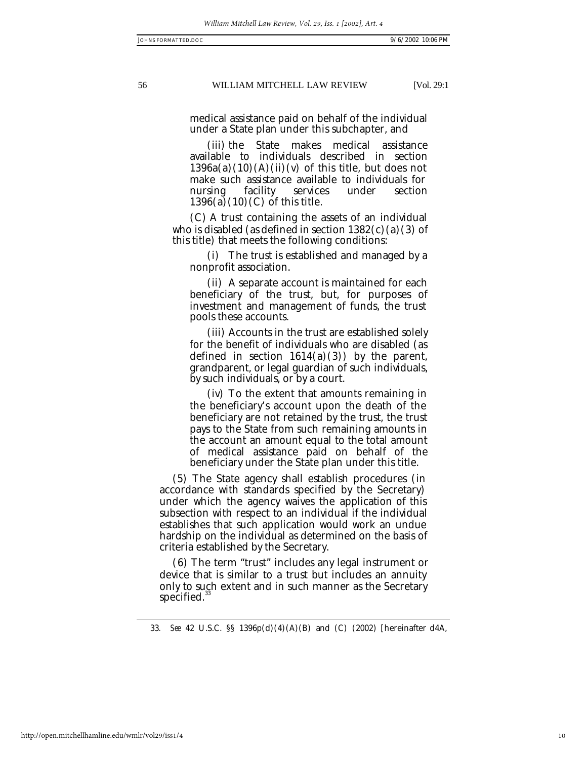medical assistance paid on behalf of the individual under a State plan under this subchapter, and

(iii) the State makes medical assistance available to individuals described in section  $1396a(a)(10)(A)(ii)(v)$  of this title, but does not make such assistance available to individuals for nursing facility services  $1396(a)(10)(C)$  of this title.

(C) A trust containing the assets of an individual who is disabled (as defined in section  $1382(c)(a)(3)$  of this title) that meets the following conditions:

(i) The trust is established and managed by a nonprofit association.

(ii) A separate account is maintained for each beneficiary of the trust, but, for purposes of investment and management of funds, the trust pools these accounts.

(iii) Accounts in the trust are established solely for the benefit of individuals who are disabled (as defined in section  $1614(a)(3)$  by the parent, grandparent, or legal guardian of such individuals, by such individuals, or by a court.

(iv) To the extent that amounts remaining in the beneficiary's account upon the death of the beneficiary are not retained by the trust, the trust pays to the State from such remaining amounts in the account an amount equal to the total amount of medical assistance paid on behalf of the beneficiary under the State plan under this title.

(5) The State agency shall establish procedures (in accordance with standards specified by the Secretary) under which the agency waives the application of this subsection with respect to an individual if the individual establishes that such application would work an undue hardship on the individual as determined on the basis of criteria established by the Secretary.

(6) The term "trust" includes any legal instrument or device that is similar to a trust but includes an annuity only to such extent and in such manner as the Secretary specified.<sup>33</sup>

http://open.mitchellhamline.edu/wmlr/vol29/iss1/4

<sup>33</sup>*. See* 42 U.S.C. §§ 1396p(d)(4)(A)(B) and (C) (2002) [hereinafter d4A,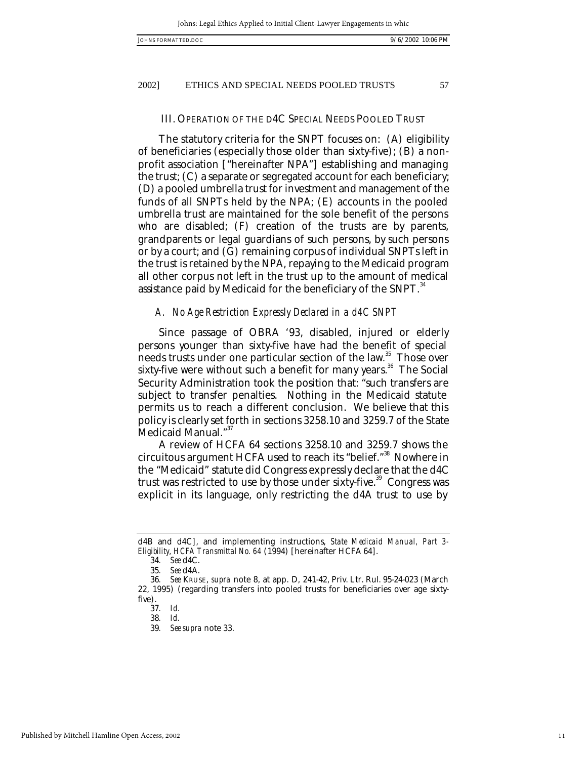#### III. OPERATION OF THE D4C SPECIAL NEEDS POOLED TRUST

The statutory criteria for the SNPT focuses on: (A) eligibility of beneficiaries (especially those older than sixty-five); (B) a nonprofit association ["hereinafter NPA"] establishing and managing the trust; (C) a separate or segregated account for each beneficiary; (D) a pooled umbrella trust for investment and management of the funds of all SNPTs held by the NPA; (E) accounts in the pooled umbrella trust are maintained for the sole benefit of the persons who are disabled; (F) creation of the trusts are by parents, grandparents or legal guardians of such persons, by such persons or by a court; and (G) remaining corpus of individual SNPTs left in the trust is retained by the NPA, repaying to the Medicaid program all other corpus not left in the trust up to the amount of medical assistance paid by Medicaid for the beneficiary of the SNPT.<sup>34</sup>

### *A. No Age Restriction Expressly Declared in a d4C SNPT*

Since passage of OBRA '93, disabled, injured or elderly persons younger than sixty-five have had the benefit of special needs trusts under one particular section of the law.<sup>35</sup> Those over sixty-five were without such a benefit for many years.<sup>36</sup> The Social Security Administration took the position that: "such transfers are subject to transfer penalties. Nothing in the Medicaid statute permits us to reach a different conclusion. We believe that this policy is clearly set forth in sections 3258.10 and 3259.7 of the State Medicaid Manual."<sup>37</sup>

A review of HCFA 64 sections 3258.10 and 3259.7 shows the circuitous argument HCFA used to reach its "belief."<sup>38</sup> Nowhere in the "Medicaid" statute did Congress expressly declare that the d4C trust was restricted to use by those under sixty-five.<sup>39</sup> Congress was explicit in its language, only restricting the d4A trust to use by

d4B and d4C], and implementing instructions, *State Medicaid Manual, Part 3- Eligibility, HCFA Transmittal No. 64* (1994) [hereinafter HCFA 64].

<sup>34</sup>*. See* d4C.

<sup>35</sup>*. See* d4A.

<sup>36</sup>*. See* KRUSE, *supra* note 8, at app. D, 241-42, Priv. Ltr. Rul. 95-24-023 (March 22, 1995) (regarding transfers into pooled trusts for beneficiaries over age sixtyfive).

<sup>37</sup>*. Id*.

<sup>38</sup>*. Id.*

<sup>39</sup>*. See supra* note 33.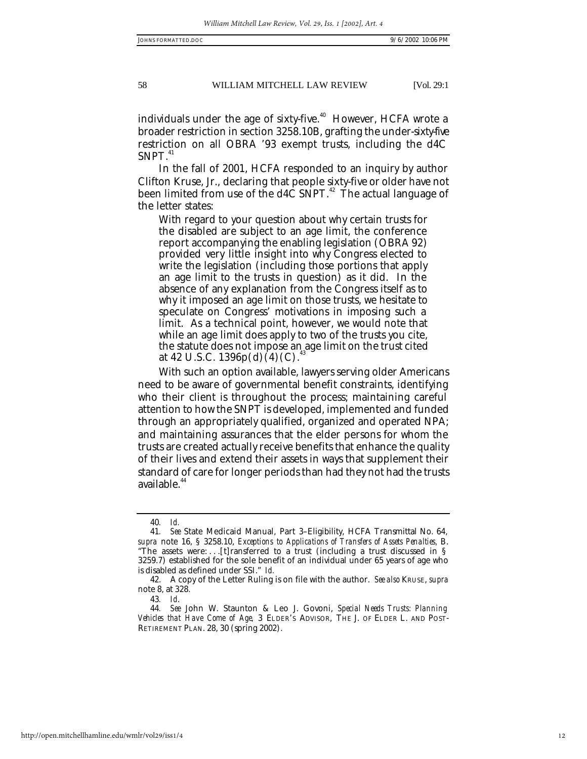individuals under the age of sixty-five. $40$  However, HCFA wrote a broader restriction in section 3258.10B, grafting the under-sixty-five restriction on all OBRA '93 exempt trusts, including the d4C  $SNPT.<sup>41</sup>$ 

In the fall of 2001, HCFA responded to an inquiry by author Clifton Kruse, Jr., declaring that people sixty-five or older have not been limited from use of the  $d4\overline{C}$  SNPT.<sup>42</sup> The actual language of the letter states:

With regard to your question about why certain trusts for the disabled are subject to an age limit, the conference report accompanying the enabling legislation (OBRA 92) provided very little insight into why Congress elected to write the legislation (including those portions that apply an age limit to the trusts in question) as it did. In the absence of any explanation from the Congress itself as to why it imposed an age limit on those trusts, we hesitate to speculate on Congress' motivations in imposing such a limit. As a technical point, however, we would note that while an age limit does apply to two of the trusts you cite, the statute does not impose an age limit on the trust cited at 42 U.S.C.  $1396p(d)(4)(C)^{4}$ 

With such an option available, lawyers serving older Americans need to be aware of governmental benefit constraints, identifying who their client is throughout the process; maintaining careful attention to how the SNPT is developed, implemented and funded through an appropriately qualified, organized and operated NPA; and maintaining assurances that the elder persons for whom the trusts are created actually receive benefits that enhance the quality of their lives and extend their assets in ways that supplement their standard of care for longer periods than had they not had the trusts available.<sup>44</sup>

<sup>40</sup>*. Id.*

<sup>41</sup>*. See* State Medicaid Manual, Part 3–Eligibility, HCFA Transmittal No. 64, *supra* note 16, § 3258.10, *Exceptions to Applications of Transfers of Assets Penalties,* B. "The assets were:... [t]ransferred to a trust (including a trust discussed in § 3259.7) established for the sole benefit of an individual under 65 years of age who is disabled as defined under SSI." *Id.*

<sup>42.</sup> A copy of the Letter Ruling is on file with the author. *See also* KRUSE, *supra* note 8, at 328.

<sup>43</sup>*. Id*.

<sup>44</sup>*. See* John W. Staunton & Leo J. Govoni, *Special Needs Trusts: Planning Vehicles that Have Come of Age,* 3 ELDER'S ADVISOR, THE J. OF ELDER L. AND POST-RETIREMENT PLAN. 28, 30 (spring 2002).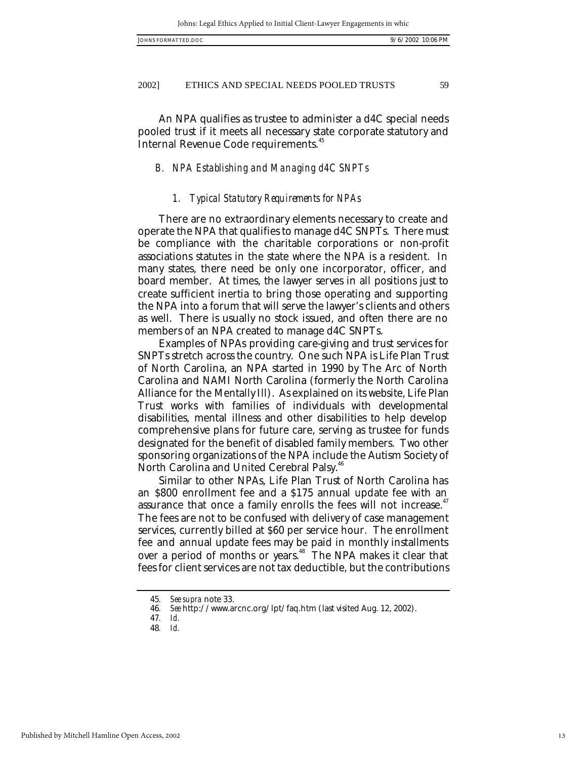An NPA qualifies as trustee to administer a d4C special needs pooled trust if it meets all necessary state corporate statutory and Internal Revenue Code requirements.<sup>45</sup>

# *B. NPA Establishing and Managing d4C SNPTs*

#### *1. Typical Statutory Requirements for NPAs*

There are no extraordinary elements necessary to create and operate the NPA that qualifies to manage d4C SNPTs. There must be compliance with the charitable corporations or non-profit associations statutes in the state where the NPA is a resident. In many states, there need be only one incorporator, officer, and board member. At times, the lawyer serves in all positions just to create sufficient inertia to bring those operating and supporting the NPA into a forum that will serve the lawyer's clients and others as well. There is usually no stock issued, and often there are no members of an NPA created to manage d4C SNPTs.

Examples of NPAs providing care-giving and trust services for SNPTs stretch across the country. One such NPA is Life Plan Trust of North Carolina, an NPA started in 1990 by The Arc of North Carolina and NAMI North Carolina (formerly the North Carolina Alliance for the Mentally Ill). As explained on its website, Life Plan Trust works with families of individuals with developmental disabilities, mental illness and other disabilities to help develop comprehensive plans for future care, serving as trustee for funds designated for the benefit of disabled family members. Two other sponsoring organizations of the NPA include the Autism Society of North Carolina and United Cerebral Palsy.<sup>46</sup>

Similar to other NPAs, Life Plan Trust of North Carolina has an \$800 enrollment fee and a \$175 annual update fee with an assurance that once a family enrolls the fees will not increase. $47$ The fees are not to be confused with delivery of case management services, currently billed at \$60 per service hour. The enrollment fee and annual update fees may be paid in monthly installments over a period of months or years.<sup>48</sup> The NPA makes it clear that fees for client services are not tax deductible, but the contributions

<sup>45</sup>*. See supra* note 33.

<sup>46</sup>*. See* http://www.arcnc.org/lpt/faq.htm (last visited Aug. 12, 2002).

<sup>47</sup>*. Id.*

<sup>48</sup>*. Id.*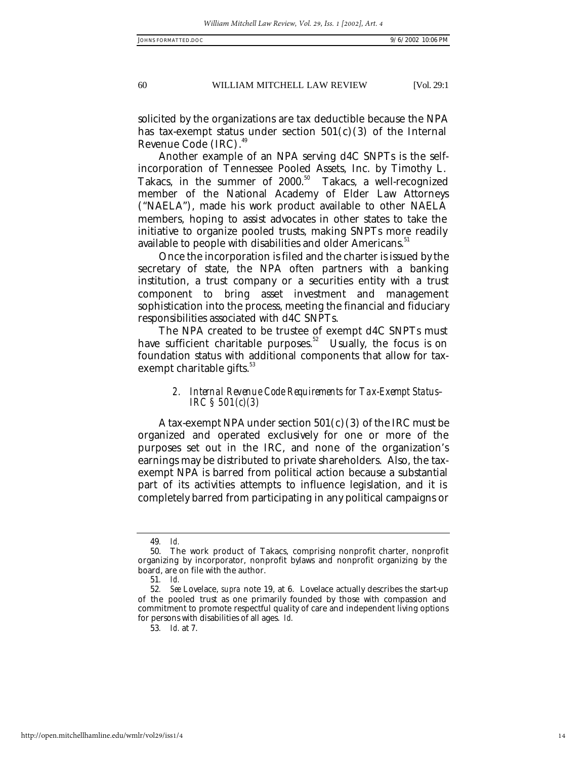solicited by the organizations are tax deductible because the NPA has tax-exempt status under section  $501(c)(3)$  of the Internal Revenue Code (IRC).<sup>49</sup>

Another example of an NPA serving d4C SNPTs is the selfincorporation of Tennessee Pooled Assets, Inc. by Timothy L. Takacs, in the summer of  $2000$ .<sup>50</sup> Takacs, a well-recognized member of the National Academy of Elder Law Attorneys ("NAELA"), made his work product available to other NAELA members, hoping to assist advocates in other states to take the initiative to organize pooled trusts, making SNPTs more readily available to people with disabilities and older Americans.<sup>51</sup>

Once the incorporation is filed and the charter is issued by the secretary of state, the NPA often partners with a banking institution, a trust company or a securities entity with a trust component to bring asset investment and management sophistication into the process, meeting the financial and fiduciary responsibilities associated with d4C SNPTs.

The NPA created to be trustee of exempt d4C SNPTs must have sufficient charitable purposes.<sup>52</sup> Usually, the focus is on foundation status with additional components that allow for taxexempt charitable gifts. $53$ 

# *2. Internal Revenue Code Requirements for Tax-Exempt Status– IRC § 501(c)(3)*

A tax-exempt NPA under section 501(c)(3) of the IRC must be organized and operated exclusively for one or more of the purposes set out in the IRC, and none of the organization's earnings may be distributed to private shareholders. Also, the taxexempt NPA is barred from political action because a substantial part of its activities attempts to influence legislation, and it is completely barred from participating in any political campaigns or

53*. Id.* at 7.

<sup>49</sup>*. Id.*

The work product of Takacs, comprising nonprofit charter, nonprofit organizing by incorporator, nonprofit bylaws and nonprofit organizing by the board, are on file with the author.

<sup>51</sup>*. Id.*

<sup>52</sup>*. See* Lovelace, *supra* note 19, at 6. Lovelace actually describes the start-up of the pooled trust as one primarily founded by those with compassion and commitment to promote respectful quality of care and independent living options for persons with disabilities of all ages. *Id.*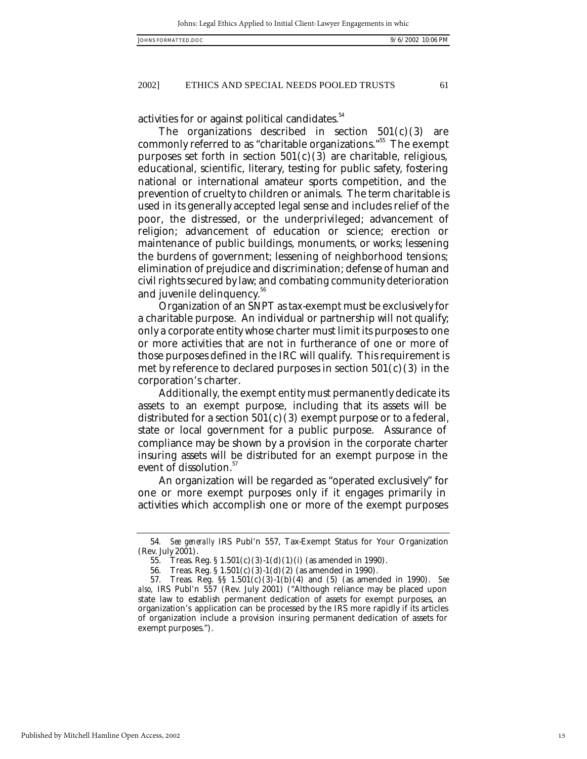activities for or against political candidates.<sup>54</sup>

The organizations described in section  $501(c)(3)$  are commonly referred to as "charitable organizations."<sup>55</sup> The exempt purposes set forth in section 501(c)(3) are charitable, religious, educational, scientific, literary, testing for public safety, fostering national or international amateur sports competition, and the prevention of cruelty to children or animals. The term charitable is used in its generally accepted legal sense and includes relief of the poor, the distressed, or the underprivileged; advancement of religion; advancement of education or science; erection or maintenance of public buildings, monuments, or works; lessening the burdens of government; lessening of neighborhood tensions; elimination of prejudice and discrimination; defense of human and civil rights secured by law; and combating community deterioration and juvenile delinquency.<sup>36</sup>

Organization of an SNPT as tax-exempt must be exclusively for a charitable purpose. An individual or partnership will not qualify; only a corporate entity whose charter must limit its purposes to one or more activities that are not in furtherance of one or more of those purposes defined in the IRC will qualify. This requirement is met by reference to declared purposes in section 501(c)(3) in the corporation's charter.

Additionally, the exempt entity must permanently dedicate its assets to an exempt purpose, including that its assets will be distributed for a section  $501(c)(3)$  exempt purpose or to a federal, state or local government for a public purpose. Assurance of compliance may be shown by a provision in the corporate charter insuring assets will be distributed for an exempt purpose in the event of dissolution.<sup>57</sup>

An organization will be regarded as "operated exclusively" for one or more exempt purposes only if it engages primarily in activities which accomplish one or more of the exempt purposes

<sup>54</sup>*. See generally* IRS Publ'n 557, Tax-Exempt Status for Your Organization (Rev. July 2001).

<sup>55.</sup> Treas. Reg. § 1.501(c)(3)-1(d)(1)(i) (as amended in 1990).

<sup>56.</sup> Treas. Reg. § 1.501(c)(3)-1(d)(2) (as amended in 1990).

<sup>57.</sup> Treas. Reg. §§ 1.501(c)(3)-1(b)(4) and (5) (as amended in 1990). *See also,* IRS Publ'n 557 (Rev. July 2001) ("Although reliance may be placed upon state law to establish permanent dedication of assets for exempt purposes, an organization's application can be processed by the IRS more rapidly if its articles of organization include a provision insuring permanent dedication of assets for exempt purposes.").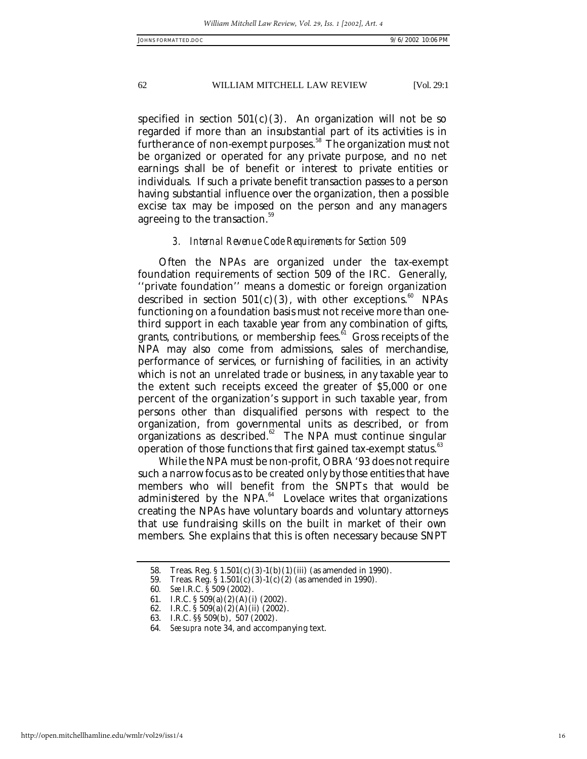specified in section  $501(c)(3)$ . An organization will not be so regarded if more than an insubstantial part of its activities is in furtherance of non-exempt purposes.<sup>58</sup> The organization must not be organized or operated for any private purpose, and no net earnings shall be of benefit or interest to private entities or individuals. If such a private benefit transaction passes to a person having substantial influence over the organization, then a possible excise tax may be imposed on the person and any managers agreeing to the transaction.<sup>39</sup>

# *3. Internal Revenue Code Requirements for Section 509*

Often the NPAs are organized under the tax-exempt foundation requirements of section 509 of the IRC. Generally, ''private foundation'' means a domestic or foreign organization described in section  $501(c)(3)$ , with other exceptions.<sup>60</sup> NPAs functioning on a foundation basis must not receive more than onethird support in each taxable year from any combination of gifts, grants, contributions, or membership fees. $61$  Gross receipts of the NPA may also come from admissions, sales of merchandise, performance of services, or furnishing of facilities, in an activity which is not an unrelated trade or business, in any taxable year to the extent such receipts exceed the greater of \$5,000 or one percent of the organization's support in such taxable year, from persons other than disqualified persons with respect to the organization, from governmental units as described, or from organizations as described. $62$  The NPA must continue singular operation of those functions that first gained tax-exempt status.<sup>63</sup>

While the NPA must be non-profit, OBRA '93 does not require such a narrow focus as to be created only by those entities that have members who will benefit from the SNPTs that would be administered by the  $NPA.<sup>64</sup>$  Lovelace writes that organizations creating the NPAs have voluntary boards and voluntary attorneys that use fundraising skills on the built in market of their own members. She explains that this is often necessary because SNPT

<sup>58.</sup> Treas. Reg. § 1.501(c)(3)-1(b)(1)(iii) (as amended in 1990).

<sup>59.</sup> Treas. Reg. § 1.501(c)(3)-1(c)(2) (as amended in 1990)*.*

<sup>60</sup>*. See* I.R.C. § 509 (2002).

<sup>61.</sup> I.R.C. § 509(a)(2)(A)(i) (2002).

<sup>62.</sup> I.R.C. § 509(a)(2)(A)(ii) (2002).

<sup>63.</sup> I.R.C. §§ 509(b), 507 (2002).

<sup>64</sup>*. See supra* note 34, and accompanying text.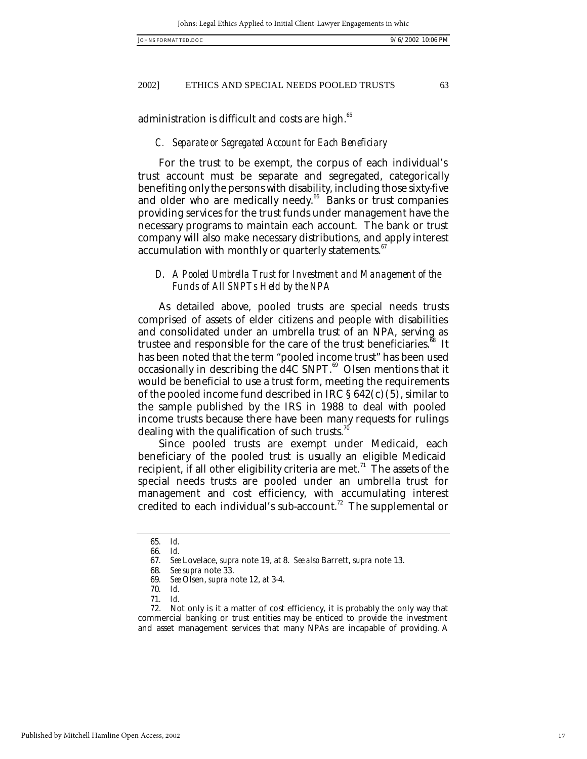administration is difficult and costs are high.<sup>65</sup>

#### *C. Separate or Segregated Account for Each Beneficiary*

For the trust to be exempt, the corpus of each individual's trust account must be separate and segregated, categorically benefiting only the persons with disability, including those sixty-five and older who are medically needy.<sup>66</sup> Banks or trust companies providing services for the trust funds under management have the necessary programs to maintain each account. The bank or trust company will also make necessary distributions, and apply interest accumulation with monthly or quarterly statements.<sup>67</sup>

# *D. A Pooled Umbrella Trust for Investment and Management of the Funds of All SNPTs Held by the NPA*

As detailed above, pooled trusts are special needs trusts comprised of assets of elder citizens and people with disabilities and consolidated under an umbrella trust of an NPA, serving as trustee and responsible for the care of the trust beneficiaries.<sup>88</sup> It has been noted that the term "pooled income trust" has been used occasionally in describing the  $\dot{d}$ 4C SNPT.<sup>69</sup> Olsen mentions that it would be beneficial to use a trust form, meeting the requirements of the pooled income fund described in IRC § 642(c)(5), similar to the sample published by the IRS in 1988 to deal with pooled income trusts because there have been many requests for rulings dealing with the qualification of such trusts.<sup>70</sup>

Since pooled trusts are exempt under Medicaid, each beneficiary of the pooled trust is usually an eligible Medicaid recipient, if all other eligibility criteria are met.<sup>71</sup> The assets of the special needs trusts are pooled under an umbrella trust for management and cost efficiency, with accumulating interest credited to each individual's sub-account.<sup>72</sup> The supplemental or

<sup>65</sup>*. Id.*

<sup>66</sup>*. Id.*

<sup>67</sup>*. See* Lovelace, *supra* note 19, at 8. *See also* Barrett, *supra* note 13.

<sup>68</sup>*. See supra* note 33.

<sup>69</sup>*. See* Olsen, *supra* note 12, at 3-4.

<sup>70</sup>*. Id.*

<sup>71</sup>*. Id.*

<sup>72.</sup> Not only is it a matter of cost efficiency, it is probably the only way that commercial banking or trust entities may be enticed to provide the investment and asset management services that many NPAs are incapable of providing. A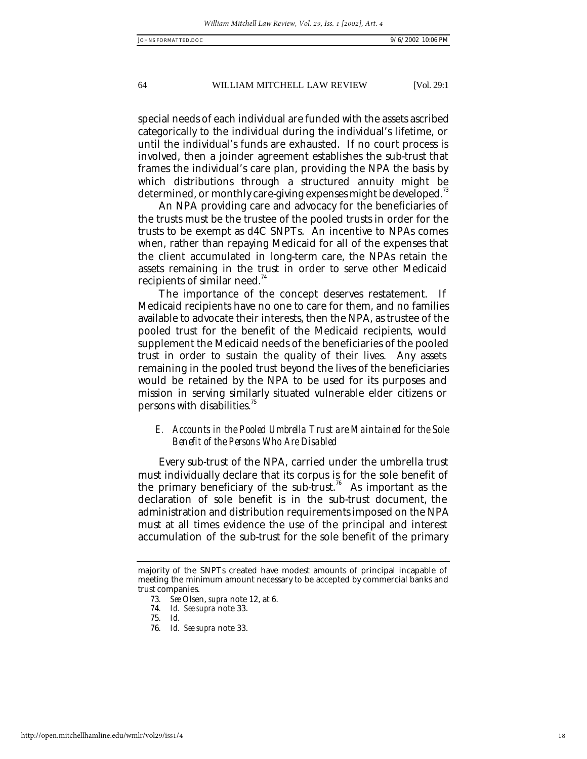special needs of each individual are funded with the assets ascribed categorically to the individual during the individual's lifetime, or until the individual's funds are exhausted. If no court process is involved, then a joinder agreement establishes the sub-trust that frames the individual's care plan, providing the NPA the basis by which distributions through a structured annuity might be determined, or monthly care-giving expenses might be developed.<sup>73</sup>

An NPA providing care and advocacy for the beneficiaries of the trusts must be the trustee of the pooled trusts in order for the trusts to be exempt as d4C SNPTs. An incentive to NPAs comes when, rather than repaying Medicaid for all of the expenses that the client accumulated in long-term care, the NPAs retain the assets remaining in the trust in order to serve other Medicaid recipients of similar need.<sup>74</sup>

The importance of the concept deserves restatement. If Medicaid recipients have no one to care for them, and no families available to advocate their interests, then the NPA, as trustee of the pooled trust for the benefit of the Medicaid recipients, would supplement the Medicaid needs of the beneficiaries of the pooled trust in order to sustain the quality of their lives. Any assets remaining in the pooled trust beyond the lives of the beneficiaries would be retained by the NPA to be used for its purposes and mission in serving similarly situated vulnerable elder citizens or persons with disabilities.<sup>75</sup>

# *E. Accounts in the Pooled Umbrella Trust are Maintained for the Sole Benefit of the Persons Who Are Disabled*

Every sub-trust of the NPA, carried under the umbrella trust must individually declare that its corpus is for the sole benefit of the primary beneficiary of the sub-trust.<sup>76</sup> As important as the declaration of sole benefit is in the sub-trust document, the administration and distribution requirements imposed on the NPA must at all times evidence the use of the principal and interest accumulation of the sub-trust for the sole benefit of the primary

majority of the SNPTs created have modest amounts of principal incapable of meeting the minimum amount necessary to be accepted by commercial banks and trust companies.

<sup>73</sup>*. See* Olsen, *supra* note 12, at 6.

<sup>74</sup>*. Id*. *See supra* note 33.

<sup>75</sup>*. Id*.

<sup>76</sup>*. Id*. *See supra* note 33.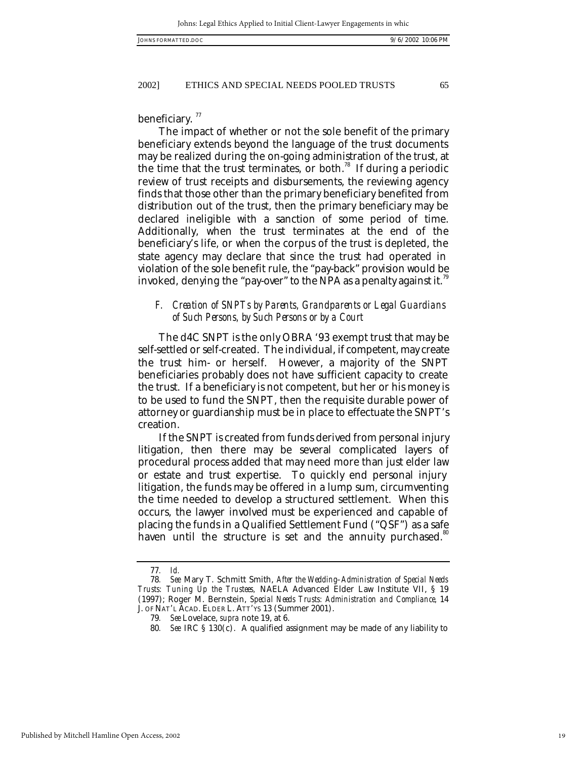beneficiary.<sup>77</sup>

The impact of whether or not the sole benefit of the primary beneficiary extends beyond the language of the trust documents may be realized during the on-going administration of the trust, at the time that the trust terminates, or both.<sup>78</sup> If during a periodic review of trust receipts and disbursements, the reviewing agency finds that those other than the primary beneficiary benefited from distribution out of the trust, then the primary beneficiary may be declared ineligible with a sanction of some period of time. Additionally, when the trust terminates at the end of the beneficiary's life, or when the corpus of the trust is depleted, the state agency may declare that since the trust had operated in violation of the sole benefit rule, the "pay-back" provision would be invoked, denying the "pay-over" to the NPA as a penalty against it.<sup>79</sup>

# *F. Creation of SNPTs by Parents, Grandparents or Legal Guardians of Such Persons, by Such Persons or by a Court*

The d4C SNPT is the only OBRA '93 exempt trust that may be self-settled or self-created. The individual, if competent, may create the trust him- or herself. However, a majority of the SNPT beneficiaries probably does not have sufficient capacity to create the trust. If a beneficiary is not competent, but her or his money is to be used to fund the SNPT, then the requisite durable power of attorney or guardianship must be in place to effectuate the SNPT's creation.

If the SNPT is created from funds derived from personal injury litigation, then there may be several complicated layers of procedural process added that may need more than just elder law or estate and trust expertise. To quickly end personal injury litigation, the funds may be offered in a lump sum, circumventing the time needed to develop a structured settlement. When this occurs, the lawyer involved must be experienced and capable of placing the funds in a Qualified Settlement Fund ("QSF") as a safe haven until the structure is set and the annuity purchased.<sup>80</sup>

<sup>77</sup>*. Id.*

<sup>78</sup>*. See* Mary T. Schmitt Smith, *After the Wedding–Administration of Special Needs Trusts: Tuning Up the Trustees,* NAELA Advanced Elder Law Institute VII, § 19 (1997); Roger M. Bernstein, *Special Needs Trusts: Administration and Compliance,* 14 J. OF NAT'L ACAD. ELDER L. ATT'YS 13 (Summer 2001).

<sup>79</sup>*. See* Lovelace, *supra* note 19, at 6.

<sup>80</sup>*. See* IRC § 130(c). A qualified assignment may be made of any liability to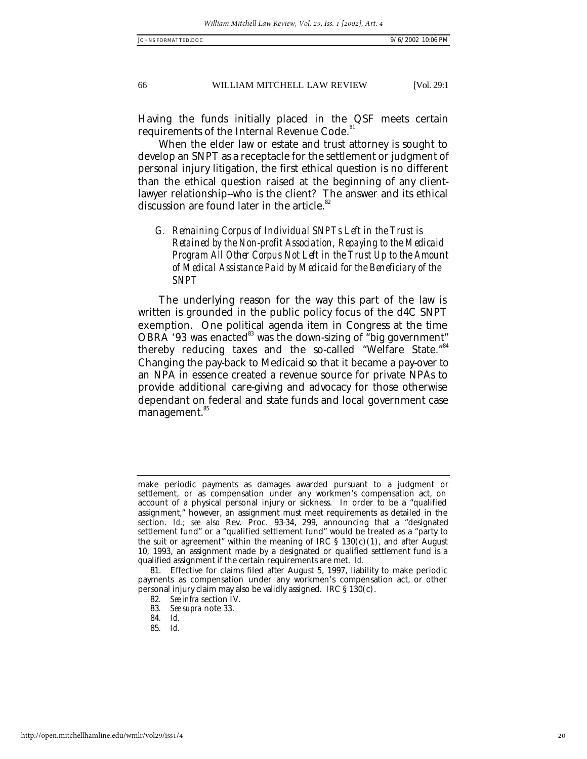Having the funds initially placed in the QSF meets certain requirements of the Internal Revenue Code.

When the elder law or estate and trust attorney is sought to develop an SNPT as a receptacle for the settlement or judgment of personal injury litigation, the first ethical question is no different than the ethical question raised at the beginning of any clientlawyer relationship--who is the client? The answer and its ethical discussion are found later in the article.<sup>82</sup>

*G. Remaining Corpus of Individual SNPTs Left in the Trust is Retained by the Non-profit Association, Repaying to the Medicaid Program All Other Corpus Not Left in the Trust Up to the Amount of Medical Assistance Paid by Medicaid for the Beneficiary of the SNPT*

The underlying reason for the way this part of the law is written is grounded in the public policy focus of the d4C SNPT exemption. One political agenda item in Congress at the time  $OBR\AA$  '93 was enacted<sup>83</sup> was the down-sizing of "big government" thereby reducing taxes and the so-called "Welfare State."<sup>84</sup> Changing the pay-back to Medicaid so that it became a pay-over to an NPA in essence created a revenue source for private NPAs to provide additional care-giving and advocacy for those otherwise dependant on federal and state funds and local government case management.<sup>85</sup>

make periodic payments as damages awarded pursuant to a judgment or settlement, or as compensation under any workmen's compensation act, on account of a physical personal injury or sickness. In order to be a "qualified assignment," however, an assignment must meet requirements as detailed in the section. *Id.*; *see also* Rev. Proc. 93-34, 299, announcing that a "designated settlement fund" or a "qualified settlement fund" would be treated as a "party to the suit or agreement" within the meaning of IRC § 130(c)(1), and after August 10, 1993, an assignment made by a designated or qualified settlement fund is a qualified assignment if the certain requirements are met. *Id.*

<sup>81.</sup> Effective for claims filed after August 5, 1997, liability to make periodic payments as compensation under any workmen's compensation act, or other personal injury claim may also be validly assigned. IRC § 130(c).

<sup>82</sup>*. See infra* section IV.

<sup>83</sup>*. See supra* note 33.

<sup>84</sup>*. Id.*

<sup>85</sup>*. Id.*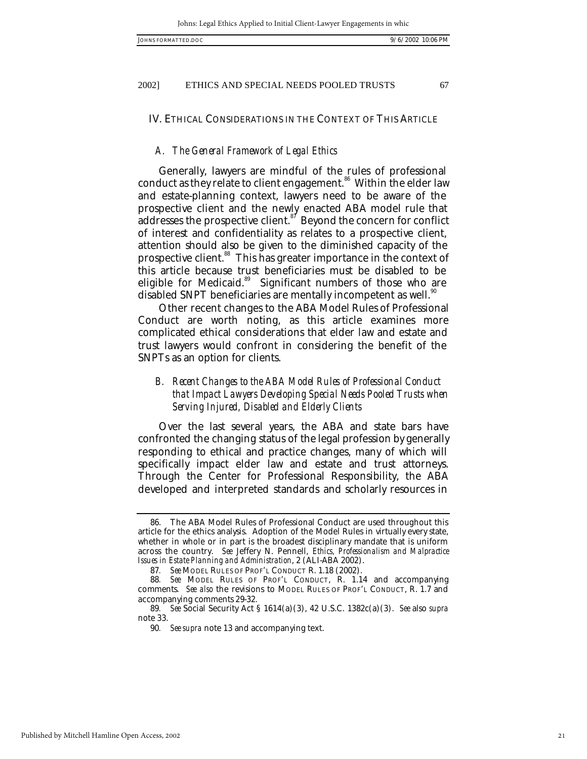#### IV. ETHICAL CONSIDERATIONS IN THE CONTEXT OF THIS ARTICLE

# *A. The General Framework of Legal Ethics*

Generally, lawyers are mindful of the rules of professional conduct as they relate to client engagement.<sup>86</sup> Within the elder law and estate-planning context, lawyers need to be aware of the prospective client and the newly enacted ABA model rule that addresses the prospective client.<sup>87</sup> Beyond the concern for conflict of interest and confidentiality as relates to a prospective client, attention should also be given to the diminished capacity of the prospective client.<sup>88</sup> This has greater importance in the context of this article because trust beneficiaries must be disabled to be eligible for Medicaid.<sup>89</sup> Significant numbers of those who are disabled SNPT beneficiaries are mentally incompetent as well.<sup>30</sup>

Other recent changes to the ABA Model Rules of Professional Conduct are worth noting, as this article examines more complicated ethical considerations that elder law and estate and trust lawyers would confront in considering the benefit of the SNPTs as an option for clients.

# *B. Recent Changes to the ABA Model Rules of Professional Conduct that Impact Lawyers Developing Special Needs Pooled Trusts when Serving Injured, Disabled and Elderly Clients*

Over the last several years, the ABA and state bars have confronted the changing status of the legal profession by generally responding to ethical and practice changes, many of which will specifically impact elder law and estate and trust attorneys. Through the Center for Professional Responsibility, the ABA developed and interpreted standards and scholarly resources in

<sup>86.</sup> The ABA Model Rules of Professional Conduct are used throughout this article for the ethics analysis. Adoption of the Model Rules in virtually every state, whether in whole or in part is the broadest disciplinary mandate that is uniform across the country. *See* Jeffery N. Pennell, *Ethics, Professionalism and Malpractice Issues in Estate Planning and Administration*, 2 (ALI-ABA 2002).

<sup>87</sup>*. See* MODEL RULES OF PROF'L CONDUCT R. 1.18 (2002).

<sup>88</sup>*. See* MODEL RULES OF PROF'L CONDUCT, R. 1.14 and accompanying comments. *See also* the revisions to MODEL RULES OF PROF'L CONDUCT, R. 1.7 and accompanying comments 29-32.

<sup>89</sup>*. See* Social Security Act § 1614(a)(3), 42 U.S.C. 1382c(a)(3). *See* also *supra* note 33.

<sup>90</sup>*. See supra* note 13 and accompanying text.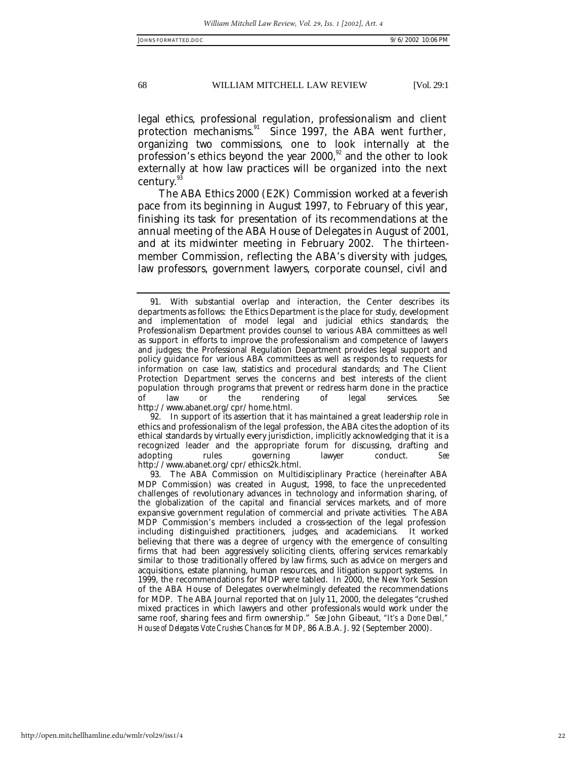legal ethics, professional regulation, professionalism and client protection mechanisms.<sup>91</sup> Since 1997, the ABA went further, organizing two commissions, one to look internally at the profession's ethics beyond the year 2000,<sup>92</sup> and the other to look externally at how law practices will be organized into the next century.

The ABA Ethics 2000 (E2K) Commission worked at a feverish pace from its beginning in August 1997, to February of this year, finishing its task for presentation of its recommendations at the annual meeting of the ABA House of Delegates in August of 2001, and at its midwinter meeting in February 2002. The thirteenmember Commission, reflecting the ABA's diversity with judges, law professors, government lawyers, corporate counsel, civil and

92. In support of its assertion that it has maintained a great leadership role in ethics and professionalism of the legal profession, the ABA cites the adoption of its ethical standards by virtually every jurisdiction, implicitly acknowledging that it is a recognized leader and the appropriate forum for discussing, drafting and adopting rules governing lawyer conduct. *See*  http://www.abanet.org/cpr/ethics2k.html.

<sup>91.</sup> With substantial overlap and interaction, the Center describes its departments as follows: the Ethics Department is the place for study, development and implementation of model legal and judicial ethics standards; the Professionalism Department provides counsel to various ABA committees as well as support in efforts to improve the professionalism and competence of lawyers and judges; the Professional Regulation Department provides legal support and policy guidance for various ABA committees as well as responds to requests for information on case law, statistics and procedural standards; and The Client Protection Department serves the concerns and best interests of the client population through programs that prevent or redress harm done in the practice of law or the rendering of legal services. *See*  http://www.abanet.org/cpr/home.html*.*

<sup>93.</sup> The ABA Commission on Multidisciplinary Practice (hereinafter ABA MDP Commission) was created in August, 1998, to face the unprecedented challenges of revolutionary advances in technology and information sharing, of the globalization of the capital and financial services markets, and of more expansive government regulation of commercial and private activities. The ABA MDP Commission's members included a cross-section of the legal profession including distinguished practitioners, judges, and academicians. It worked believing that there was a degree of urgency with the emergence of consulting firms that had been aggressively soliciting clients, offering services remarkably similar to those traditionally offered by law firms, such as advice on mergers and acquisitions, estate planning, human resources, and litigation support systems. In 1999, the recommendations for MDP were tabled. In 2000, the New York Session of the ABA House of Delegates overwhelmingly defeated the recommendations for MDP. The ABA Journal reported that on July 11, 2000, the delegates "crushed mixed practices in which lawyers and other professionals would work under the same roof, sharing fees and firm ownership." *See* John Gibeaut, *"It's a Done Deal," House of Delegates Vote Crushes Chances for MDP,* 86 A.B.A. J. 92 (September 2000).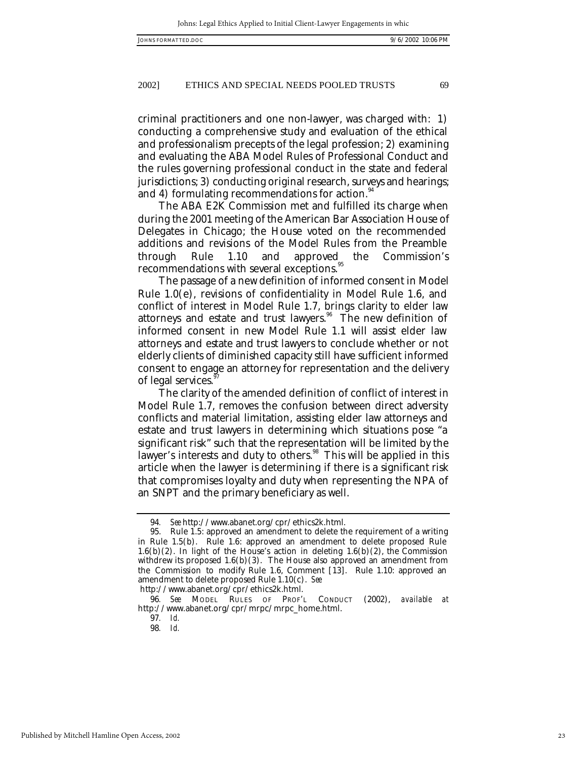criminal practitioners and one non-lawyer, was charged with: 1) conducting a comprehensive study and evaluation of the ethical and professionalism precepts of the legal profession; 2) examining and evaluating the ABA Model Rules of Professional Conduct and the rules governing professional conduct in the state and federal jurisdictions; 3) conducting original research, surveys and hearings; and 4) formulating recommendations for action.<sup>94</sup>

The ABA E2K Commission met and fulfilled its charge when during the 2001 meeting of the American Bar Association House of Delegates in Chicago; the House voted on the recommended additions and revisions of the Model Rules from the Preamble through Rule 1.10 and approved the Commission's recommendations with several exceptions.<sup>95</sup>

The passage of a new definition of informed consent in Model Rule 1.0(e), revisions of confidentiality in Model Rule 1.6, and conflict of interest in Model Rule 1.7, brings clarity to elder law attorneys and estate and trust lawyers.<sup>36</sup> The new definition of informed consent in new Model Rule 1.1 will assist elder law attorneys and estate and trust lawyers to conclude whether or not elderly clients of diminished capacity still have sufficient informed consent to engage an attorney for representation and the delivery of legal services.

The clarity of the amended definition of conflict of interest in Model Rule 1.7, removes the confusion between direct adversity conflicts and material limitation, assisting elder law attorneys and estate and trust lawyers in determining which situations pose "a significant risk" such that the representation will be limited by the lawyer's interests and duty to others.<sup>98</sup> This will be applied in this article when the lawyer is determining if there is a significant risk that compromises loyalty and duty when representing the NPA of an SNPT and the primary beneficiary as well.

97*. Id.*

<sup>94</sup>*. See* http://www.abanet.org/cpr/ethics2k.html.

<sup>95.</sup> Rule 1.5: approved an amendment to delete the requirement of a writing in Rule 1.5(b). Rule 1.6: approved an amendment to delete proposed Rule 1.6(b)(2). In light of the House's action in deleting  $1.6(b)(2)$ , the Commission withdrew its proposed 1.6(b)(3). The House also approved an amendment from the Commission to modify Rule 1.6, Comment [13]. Rule 1.10: approved an amendment to delete proposed Rule 1.10(c). *See* http://www.abanet.org/cpr/ethics2k.html.

<sup>96</sup>*. See* MODEL RULES OF PROF'L CONDUCT (2002), *available at* http://www.abanet.org/cpr/mrpc/mrpc\_home.html.

<sup>98</sup>*. Id.*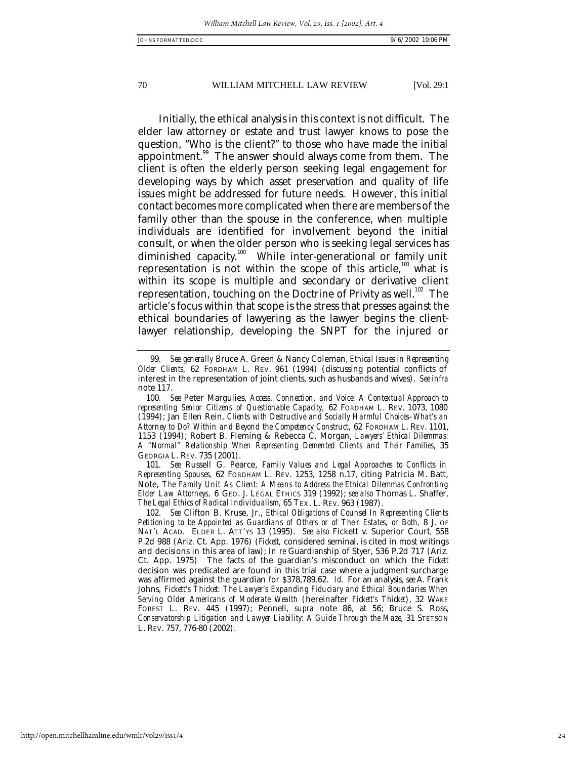Initially, the ethical analysis in this context is not difficult. The elder law attorney or estate and trust lawyer knows to pose the question, "Who is the client?" to those who have made the initial appointment.<sup>99</sup> The answer should always come from them. The client is often the elderly person seeking legal engagement for developing ways by which asset preservation and quality of life issues might be addressed for future needs. However, this initial contact becomes more complicated when there are members of the family other than the spouse in the conference, when multiple individuals are identified for involvement beyond the initial consult, or when the older person who is seeking legal services has diminished capacity.<sup>100</sup> While inter-generational or family unit representation is not within the scope of this article, $101$  what is within its scope is multiple and secondary or derivative client representation, touching on the Doctrine of Privity as well.<sup>102</sup> The article's focus within that scope is the stress that presses against the ethical boundaries of lawyering as the lawyer begins the clientlawyer relationship, developing the SNPT for the injured or

101*. See* Russell G. Pearce, *Family Values and Legal Approaches to Conflicts in Representing Spouses,* 62 FORDHAM L. REV. 1253, 1258 n.17, citing Patricia M. Batt, Note, *The Family Unit As Client: A Means to Address the Ethical Dilemmas Confronting Elder Law Attorneys,* 6 GEO. J. LEGAL ETHICS 319 (1992); *see also* Thomas L. Shaffer*, The Legal Ethics of Radical Individualism,* 65 TEX. L. REV. 963 (1987).

<sup>99</sup>*. See generally* Bruce A. Green & Nancy Coleman, *Ethical Issues in Representing Older Clients,* 62 FORDHAM L. REV. 961 (1994) (discussing potential conflicts of interest in the representation of joint clients, such as husbands and wives). *See infra* note 117.

<sup>100</sup>*. See* Peter Margulies, *Access, Connection, and Voice: A Contextual Approach to representing Senior Citizens of Questionable Capacity,* 62 FORDHAM L. REV. 1073, 1080 (1994); Jan Ellen Rein, *Clients with Destructive and Socially Harmful Choices–What's an Attorney to Do? Within and Beyond the Competency Construct,* 62 FORDHAM L. REV. 1101, 1153 (1994); Robert B. Fleming & Rebecca C. Morgan, *Lawyers' Ethical Dilemmas: A "Normal" Relationship When Representing Demented Clients and Their Families*, 35 GEORGIA L. REV. 735 (2001).

<sup>102</sup>*. See* Clifton B. Kruse, Jr., *Ethical Obligations of Counsel In Representing Clients Petitioning to be Appointed as Guardians of Others or of Their Estates, or Both,* 8 J. OF NAT'L ACAD. ELDER L. ATT'YS 13 (1995). *See also* Fickett v. Superior Court*,* 558 P.2d 988 (Ariz. Ct. App. 1976) (*Fickett,* considered seminal, is cited in most writings and decisions in this area of law); *In re* Guardianship of Styer, 536 P.2d 717 (Ariz. Ct. App. 1975) The facts of the guardian's misconduct on which the *Fickett* decision was predicated are found in this trial case where a judgment surcharge was affirmed against the guardian for \$378,789.62. *Id.* For an analysis*, see* A. Frank Johns, *Fickett's Thicket: The Lawyer's Expanding Fiduciary and Ethical Boundaries When Serving Older Americans of Moderate Wealth* (hereinafter *Fickett's Thicket*), 32 WAKE FOREST L. REV. 445 (1997); Pennell, *supra* note 86, at 56; Bruce S. Ross, *Conservatorship Litigation and Lawyer Liability: A Guide Through the Maze,* 31 STETSON L. REV. 757, 776-80 (2002).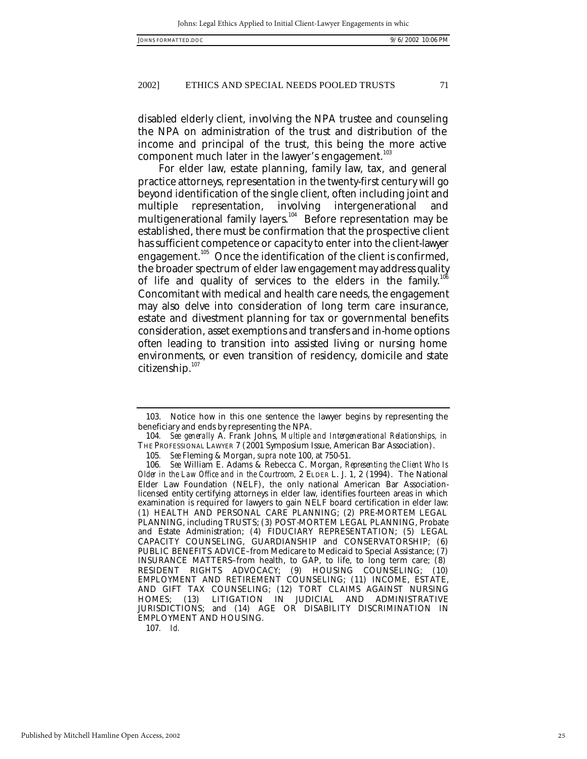disabled elderly client, involving the NPA trustee and counseling the NPA on administration of the trust and distribution of the income and principal of the trust, this being the more active component much later in the lawyer's engagement. $103$ 

For elder law, estate planning, family law, tax, and general practice attorneys, representation in the twenty-first century will go beyond identification of the single client, often including joint and multiple representation, involving intergenerational and multigenerational family layers.<sup>104</sup> Before representation may be established, there must be confirmation that the prospective client has sufficient competence or capacity to enter into the client-lawyer engagement.<sup>105</sup> Once the identification of the client is confirmed, the broader spectrum of elder law engagement may address quality of life and quality of services to the elders in the family.<sup>1</sup> Concomitant with medical and health care needs, the engagement may also delve into consideration of long term care insurance, estate and divestment planning for tax or governmental benefits consideration, asset exemptions and transfers and in-home options often leading to transition into assisted living or nursing home environments, or even transition of residency, domicile and state citizenship. $107$ 

107*. Id.*

<sup>103.</sup> Notice how in this one sentence the lawyer begins by representing the beneficiary and ends by representing the NPA.

<sup>104</sup>*. See generally* A. Frank Johns, *Multiple and Intergenerational Relationships, in*  THE PROFESSIONAL LAWYER 7 (2001 Symposium Issue, American Bar Association).

<sup>105</sup>*. See* Fleming & Morgan, *supra* note 100, at 750-51.

<sup>106</sup>*. See* William E. Adams & Rebecca C. Morgan, *Representing the Client Who Is Older in the Law Office and in the Courtroom,* 2 ELDER L. J. 1, 2 (1994). The National Elder Law Foundation (NELF), the only national American Bar Associationlicensed entity certifying attorneys in elder law, identifies fourteen areas in which examination is required for lawyers to gain NELF board certification in elder law: (1) HEALTH AND PERSONAL CARE PLANNING; (2) PRE-MORTEM LEGAL PLANNING, including TRUSTS; (3) POST-MORTEM LEGAL PLANNING, Probate and Estate Administration; (4) FIDUCIARY REPRESENTATION; (5) LEGAL CAPACITY COUNSELING, GUARDIANSHIP and CONSERVATORSHIP; (6) PUBLIC BENEFITS ADVICE–from Medicare to Medicaid to Special Assistance; (7) INSURANCE MATTERS–from health, to GAP, to life, to long term care; (8) RESIDENT RIGHTS ADVOCACY; (9) HOUSING COUNSELING; (10) EMPLOYMENT AND RETIREMENT COUNSELING; (11) INCOME, ESTATE, AND GIFT TAX COUNSELING; (12) TORT CLAIMS AGAINST NURSING HOMES; (13) LITIGATION IN JUDICIAL AND ADMINISTRATIVE JURISDICTIONS; and (14) AGE OR DISABILITY DISCRIMINATION IN EMPLOYMENT AND HOUSING.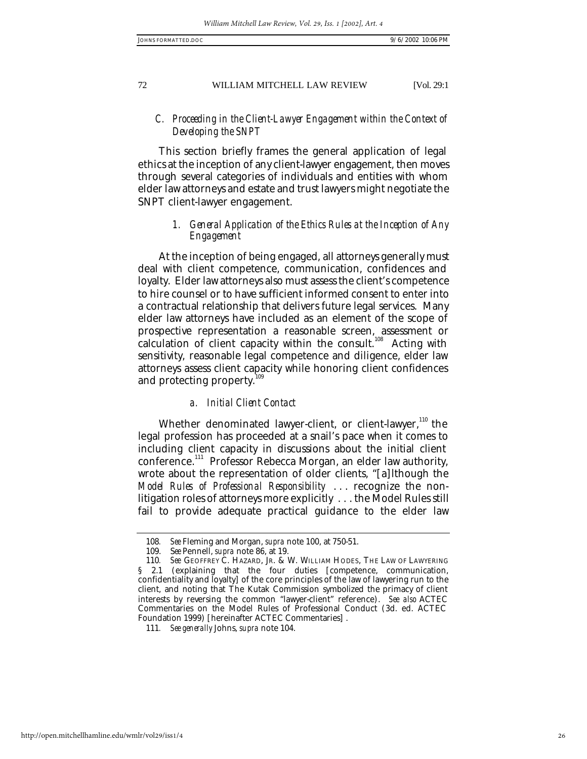# *C. Proceeding in the Client-Lawyer Engagement within the Context of Developing the SNPT*

This section briefly frames the general application of legal ethics at the inception of any client-lawyer engagement, then moves through several categories of individuals and entities with whom elder law attorneys and estate and trust lawyers might negotiate the SNPT client-lawyer engagement.

# *1. General Application of the Ethics Rules at the Inception of Any Engagement*

At the inception of being engaged, all attorneys generally must deal with client competence, communication, confidences and loyalty. Elder law attorneys also must assess the client's competence to hire counsel or to have sufficient informed consent to enter into a contractual relationship that delivers future legal services. Many elder law attorneys have included as an element of the scope of prospective representation a reasonable screen, assessment or calculation of client capacity within the consult.<sup>108</sup> Acting with sensitivity, reasonable legal competence and diligence, elder law attorneys assess client capacity while honoring client confidences and protecting property.<sup>1</sup>

# *a. Initial Client Contact*

Whether denominated lawyer-client, or client-lawyer, $110$  the legal profession has proceeded at a snail's pace when it comes to including client capacity in discussions about the initial client conference.<sup>111</sup> Professor Rebecca Morgan, an elder law authority, wrote about the representation of older clients, "[a]lthough the *Model Rules of Professional Responsibility* . . . recognize the nonlitigation roles of attorneys more explicitly . . . the Model Rules still fail to provide adequate practical guidance to the elder law

<sup>108</sup>*. See* Fleming and Morgan, *supra* note 100, at 750-51.

<sup>109.</sup> S*ee* Pennell, *supra* note 86, at 19.

<sup>110</sup>*. See* GEOFFREY C. HAZARD, JR. & W. WILLIAM HODES, THE LAW OF LAWYERING  $\S$  2.1 (explaining that the four duties [competence, communication, § 2.1 (explaining that the four duties [competence, communication, confidentiality and loyalty] of the core principles of the law of lawyering run to the client, and noting that The Kutak Commission symbolized the primacy of client interests by reversing the common "lawyer-client" reference). *See also* ACTEC Commentaries on the Model Rules of Professional Conduct (3d. ed. ACTEC Foundation 1999) [hereinafter ACTEC Commentaries] .

<sup>111</sup>*. See generally* Johns, *supra* note 104.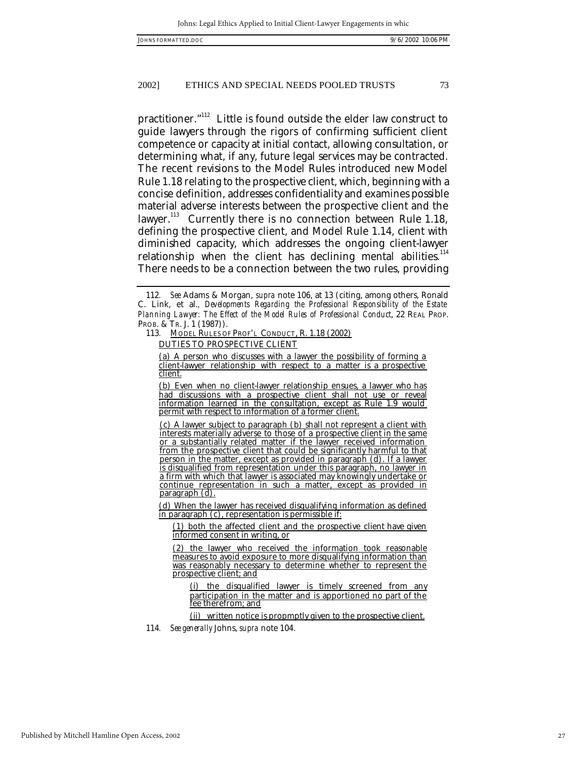practitioner."<sup>112</sup> Little is found outside the elder law construct to guide lawyers through the rigors of confirming sufficient client competence or capacity at initial contact, allowing consultation, or determining what, if any, future legal services may be contracted. The recent revisions to the Model Rules introduced new Model Rule 1.18 relating to the prospective client, which, beginning with a concise definition, addresses confidentiality and examines possible material adverse interests between the prospective client and the lawyer.<sup>113</sup> Currently there is no connection between Rule 1.18, defining the prospective client, and Model Rule 1.14, client with diminished capacity, which addresses the ongoing client-lawyer relationship when the client has declining mental abilities. $^{\rm 114}$ There needs to be a connection between the two rules, providing

### 113*.* MODEL RULES OF PROF'L CONDUCT, R. 1.18 (2002)

DUTIES TO PROSPECTIVE CLIENT

(a) A person who discusses with a lawyer the possibility of forming a client-lawyer relationship with respect to a matter is a prospective client.

(b) Even when no client-lawyer relationship ensues, a lawyer who has had discussions with a prospective client shall not use or reveal information learned in the consultation, except as Rule 1.9 would permit with respect to information of a former client.

(c) A lawyer subject to paragraph (b) shall not represent a client with interests materially adverse to those of a prospective client in the same or a substantially related matter if the lawyer received information from the prospective client that could be significantly harmful to that person in the matter, except as provided in paragraph (d). If a lawyer is disqualified from representation under this paragraph, no lawyer in a firm with which that lawyer is associated may knowingly undertake or continue representation in such a matter, except as provided in paragraph (d).

(d) When the lawyer has received disqualifying information as defined in paragraph (c), representation is permissible if:

(1) both the affected client and the prospective client have given informed consent in writing, or

(2) the lawyer who received the information took reasonable measures to avoid exposure to more disqualifying information than was reasonably necessary to determine whether to represent the prospective client; and

(i) the disqualified lawyer is timely screened from any participation in the matter and is apportioned no part of the <u>fee therefrom; and</u>

(ii) written notice is propmptly given to the prospective client.

114*. See generally* Johns, *supra* note 104.

<sup>112</sup>*. See* Adams & Morgan, *supra* note 106, at 13 (citing, among others, Ronald C. Link, et al.*, Developments Regarding the Professional Responsibility of the Estate Planning Lawyer: The Effect of the Model Rules of Professional Conduct*, 22 REAL PROP. PROB. & TR. J. 1 (1987)).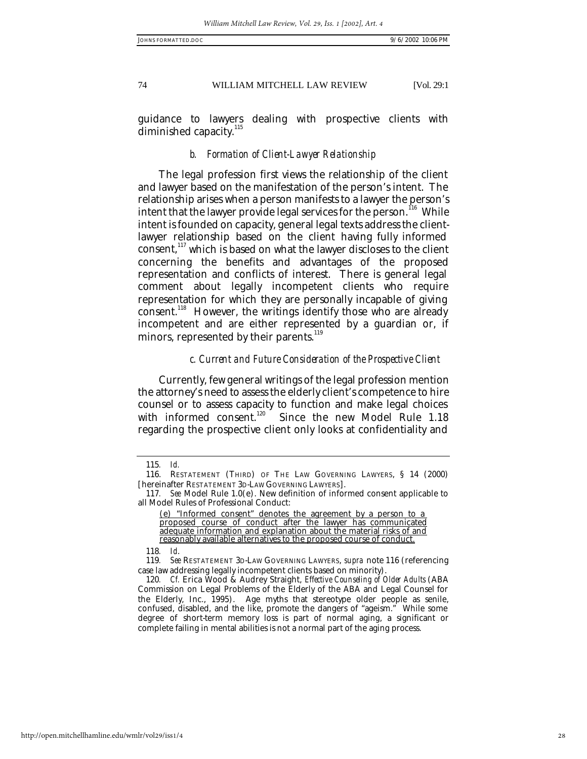guidance to lawyers dealing with prospective clients with diminished capacity.<sup>115</sup>

# *b. Formation of Client-Lawyer Relationship*

The legal profession first views the relationship of the client and lawyer based on the manifestation of the person's intent. The relationship arises when a person manifests to a lawyer the person's intent that the lawyer provide legal services for the person.<sup>116</sup> While intent is founded on capacity, general legal texts address the clientlawyer relationship based on the client having fully informed consent,<sup>117</sup> which is based on what the lawyer discloses to the client concerning the benefits and advantages of the proposed representation and conflicts of interest. There is general legal comment about legally incompetent clients who require representation for which they are personally incapable of giving consent.<sup>118</sup> However, the writings identify those who are already incompetent and are either represented by a guardian or, if minors, represented by their parents.<sup>119</sup>

# *c. Current and Future Consideration of the Prospective Client*

Currently, few general writings of the legal profession mention the attorney's need to assess the elderly client's competence to hire counsel or to assess capacity to function and make legal choices with informed consent.<sup>120</sup> Since the new Model Rule 1.18 regarding the prospective client only looks at confidentiality and

118*. Id*.

<sup>115</sup>*. Id.*

<sup>116.</sup> RESTATEMENT (THIRD) OF THE LAW GOVERNING LAWYERS, § 14 (2000) [hereinafter RESTATEMENT 3D-LAW GOVERNING LAWYERS].

<sup>117</sup>*. See* Model Rule 1.0(e). New definition of informed consent applicable to all Model Rules of Professional Conduct:

<sup>(</sup>e) "Informed consent" denotes the agreement by a person to a proposed course of conduct after the lawyer has communicated adequate information and explanation about the material risks of and <u>reasonably available alternatives to the proposed course of conduct.</u>

<sup>119</sup>*. See* RESTATEMENT 3D-LAW GOVERNING LAWYERS, *supra* note 116 (referencing case law addressing legally incompetent clients based on minority).

<sup>120</sup>*. Cf.* Erica Wood & Audrey Straight, *Effective Counseling of Older Adults* (ABA Commission on Legal Problems of the Elderly of the ABA and Legal Counsel for the Elderly, Inc., 1995). Age myths that stereotype older people as senile, confused, disabled, and the like, promote the dangers of "ageism." While some degree of short-term memory loss is part of normal aging, a significant or complete failing in mental abilities is not a normal part of the aging process.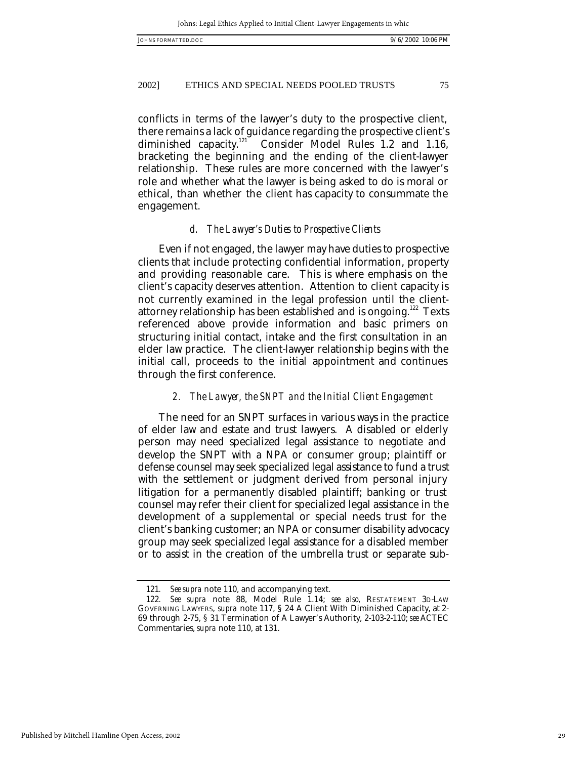conflicts in terms of the lawyer's duty to the prospective client, there remains a lack of guidance regarding the prospective client's diminished capacity.<sup>121</sup> Consider Model Rules 1.2 and 1.16, bracketing the beginning and the ending of the client-lawyer relationship. These rules are more concerned with the lawyer's role and whether what the lawyer is being asked to do is moral or ethical, than whether the client has capacity to consummate the engagement.

# *d. The Lawyer's Duties to Prospective Clients*

Even if not engaged, the lawyer may have duties to prospective clients that include protecting confidential information, property and providing reasonable care. This is where emphasis on the client's capacity deserves attention. Attention to client capacity is not currently examined in the legal profession until the clientattorney relationship has been established and is ongoing.<sup>122</sup> Texts referenced above provide information and basic primers on structuring initial contact, intake and the first consultation in an elder law practice. The client-lawyer relationship begins with the initial call, proceeds to the initial appointment and continues through the first conference.

# *2. The Lawyer, the SNPT and the Initial Client Engagement*

The need for an SNPT surfaces in various ways in the practice of elder law and estate and trust lawyers. A disabled or elderly person may need specialized legal assistance to negotiate and develop the SNPT with a NPA or consumer group; plaintiff or defense counsel may seek specialized legal assistance to fund a trust with the settlement or judgment derived from personal injury litigation for a permanently disabled plaintiff; banking or trust counsel may refer their client for specialized legal assistance in the development of a supplemental or special needs trust for the client's banking customer; an NPA or consumer disability advocacy group may seek specialized legal assistance for a disabled member or to assist in the creation of the umbrella trust or separate sub-

<sup>121</sup>*. See supra* note 110, and accompanying text.

<sup>122</sup>*. See supra* note 88, Model Rule 1.14; *see also,* RESTATEMENT 3D-LAW GOVERNING LAWYERS, *supra* note 117, § 24 A Client With Diminished Capacity, at 2- 69 through 2-75, § 31 Termination of A Lawyer's Authority, 2-103-2-110; *see* ACTEC Commentaries, *supra* note 110, at 131.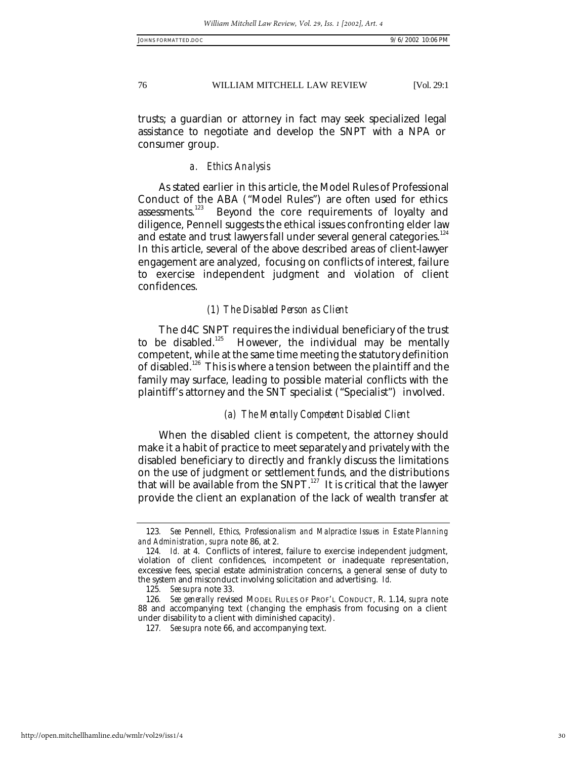trusts; a guardian or attorney in fact may seek specialized legal assistance to negotiate and develop the SNPT with a NPA or consumer group.

# *a. Ethics Analysis*

As stated earlier in this article, the Model Rules of Professional Conduct of the ABA ("Model Rules") are often used for ethics<br>assessments.<sup>123</sup> Bevond the core requirements of lovalty and Beyond the core requirements of loyalty and diligence, Pennell suggests the ethical issues confronting elder law and estate and trust lawyers fall under several general categories.  $^{\scriptscriptstyle 124}$ In this article, several of the above described areas of client-lawyer engagement are analyzed, focusing on conflicts of interest, failure to exercise independent judgment and violation of client confidences.

### *(1) The Disabled Person as Client*

The d4C SNPT requires the individual beneficiary of the trust to be disabled.<sup>125</sup> However, the individual may be mentally competent, while at the same time meeting the statutory definition of disabled.<sup>126</sup> This is where a tension between the plaintiff and the family may surface, leading to possible material conflicts with the plaintiff's attorney and the SNT specialist ("Specialist") involved.

# *(a) The Mentally Competent Disabled Client*

When the disabled client is competent, the attorney should make it a habit of practice to meet separately and privately with the disabled beneficiary to directly and frankly discuss the limitations on the use of judgment or settlement funds, and the distributions that will be available from the SNPT. $127$  It is critical that the lawyer provide the client an explanation of the lack of wealth transfer at

<sup>123</sup>*. See* Pennell, *Ethics, Professionalism and Malpractice Issues in Estate Planning and Administration*, *supra* note 86, at 2.

<sup>124</sup>*. Id.* at 4. Conflicts of interest, failure to exercise independent judgment, violation of client confidences, incompetent or inadequate representation, excessive fees, special estate administration concerns, a general sense of duty to the system and misconduct involving solicitation and advertising. *Id.*

<sup>125</sup>*. See supra* note 33.

<sup>126</sup>*. See generally* revised MODEL RULES OF PROF'L CONDUCT, R. 1.14, *supra* note 88 and accompanying text (changing the emphasis from focusing on a client under disability to a client with diminished capacity).

<sup>127</sup>*. See supra* note 66, and accompanying text.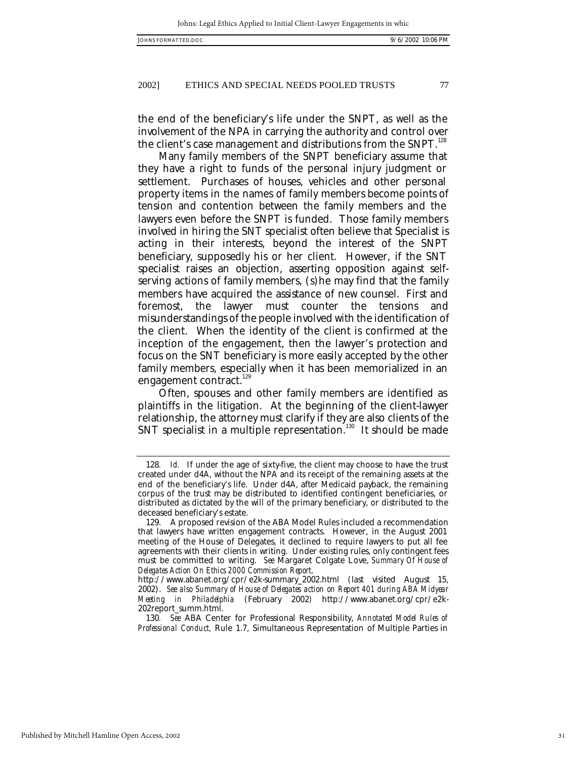the end of the beneficiary's life under the SNPT, as well as the involvement of the NPA in carrying the authority and control over the client's case management and distributions from the SNPT.<sup>128</sup>

Many family members of the SNPT beneficiary assume that they have a right to funds of the personal injury judgment or settlement. Purchases of houses, vehicles and other personal property items in the names of family members become points of tension and contention between the family members and the lawyers even before the SNPT is funded. Those family members involved in hiring the SNT specialist often believe that Specialist is acting in their interests, beyond the interest of the SNPT beneficiary, supposedly his or her client. However, if the SNT specialist raises an objection, asserting opposition against selfserving actions of family members, (s)he may find that the family members have acquired the assistance of new counsel. First and foremost, the lawyer must counter the tensions and misunderstandings of the people involved with the identification of the client. When the identity of the client is confirmed at the inception of the engagement, then the lawyer's protection and focus on the SNT beneficiary is more easily accepted by the other family members, especially when it has been memorialized in an engagement contract.<sup>129</sup>

Often, spouses and other family members are identified as plaintiffs in the litigation. At the beginning of the client-lawyer relationship, the attorney must clarify if they are also clients of the SNT specialist in a multiple representation.<sup>130</sup> It should be made

<sup>128</sup>*. Id.* If under the age of sixty-five, the client may choose to have the trust created under d4A, without the NPA and its receipt of the remaining assets at the end of the beneficiary's life. Under d4A, after Medicaid payback, the remaining corpus of the trust may be distributed to identified contingent beneficiaries, or distributed as dictated by the will of the primary beneficiary, or distributed to the deceased beneficiary's estate.

<sup>129.</sup> A proposed revision of the ABA Model Rules included a recommendation that lawyers have written engagement contracts. However, in the August 2001 meeting of the House of Delegates, it declined to require lawyers to put all fee agreements with their clients in writing. Under existing rules, only contingent fees must be committed to writing. *See* Margaret Colgate Love, *Summary Of House of Delegates Action On Ethics 2000 Commission Report,*

http://www.abanet.org/cpr/e2k-summary\_2002.html (last visited August 15, 2002). *See also Summary of House of Delegates action on Report 401 during ABA Midyear Meeting in Philadelphia* (February 2002*)* http://www.abanet.org/cpr/e2k-202report\_summ.html.

<sup>130</sup>*. See* ABA Center for Professional Responsibility, *Annotated Model Rules of Professional Conduct,* Rule 1.7, Simultaneous Representation of Multiple Parties in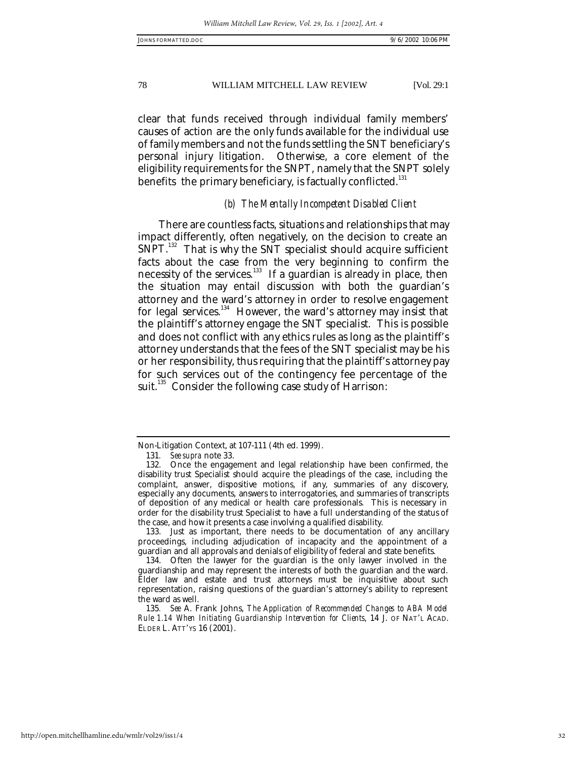clear that funds received through individual family members' causes of action are the only funds available for the individual use of family members and not the funds settling the SNT beneficiary's personal injury litigation. Otherwise, a core element of the eligibility requirements for the SNPT, namely that the SNPT solely benefits the primary beneficiary, is factually conflicted.<sup>131</sup>

# *(b) The Mentally Incompetent Disabled Client*

There are countless facts, situations and relationships that may impact differently, often negatively, on the decision to create an  $SNPT.<sup>132</sup>$  That is why the SNT specialist should acquire sufficient facts about the case from the very beginning to confirm the necessity of the services.<sup>133</sup> If a guardian is already in place, then the situation may entail discussion with both the guardian's attorney and the ward's attorney in order to resolve engagement for legal services.<sup>134</sup> However, the ward's attorney may insist that the plaintiff's attorney engage the SNT specialist. This is possible and does not conflict with any ethics rules as long as the plaintiff's attorney understands that the fees of the SNT specialist may be his or her responsibility, thus requiring that the plaintiff's attorney pay for such services out of the contingency fee percentage of the suit.<sup>135</sup> Consider the following case study of Harrison:

Non-Litigation Context, at 107-111 (4th ed. 1999).

<sup>131</sup>*. See supra* note 33.

<sup>132.</sup> Once the engagement and legal relationship have been confirmed, the disability trust Specialist should acquire the pleadings of the case, including the complaint, answer, dispositive motions, if any, summaries of any discovery, especially any documents, answers to interrogatories, and summaries of transcripts of deposition of any medical or health care professionals. This is necessary in order for the disability trust Specialist to have a full understanding of the status of the case, and how it presents a case involving a qualified disability.

<sup>133.</sup> Just as important, there needs to be documentation of any ancillary proceedings, including adjudication of incapacity and the appointment of a guardian and all approvals and denials of eligibility of federal and state benefits.

<sup>134.</sup> Often the lawyer for the guardian is the only lawyer involved in the guardianship and may represent the interests of both the guardian and the ward. Elder law and estate and trust attorneys must be inquisitive about such representation, raising questions of the guardian's attorney's ability to represent the ward as well.

<sup>135</sup>*. See* A. Frank Johns, *The Application of Recommended Changes to ABA Model Rule 1.14 When Initiating Guardianship Intervention for Clients*, 14 J. OF NAT'L ACAD. ELDER L. ATT'YS 16 (2001).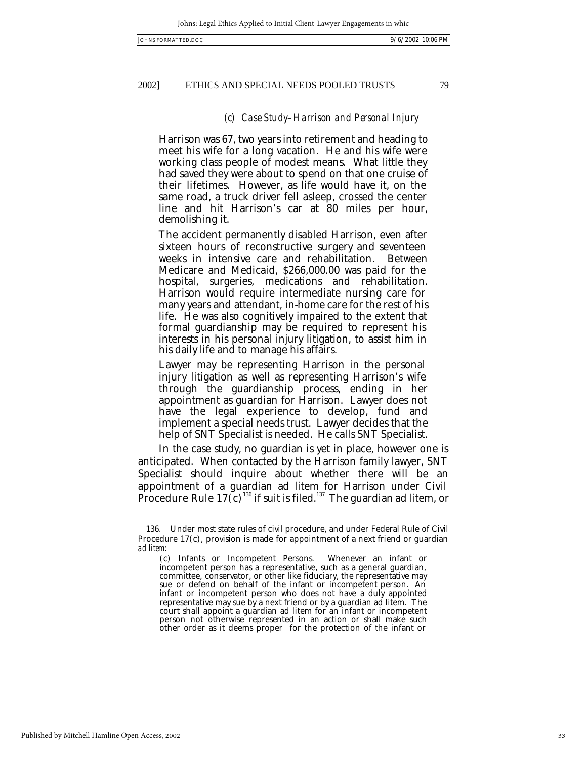#### *(c) Case Study–Harrison and Personal Injury*

Harrison was 67, two years into retirement and heading to meet his wife for a long vacation. He and his wife were working class people of modest means. What little they had saved they were about to spend on that one cruise of their lifetimes. However, as life would have it, on the same road, a truck driver fell asleep, crossed the center line and hit Harrison's car at 80 miles per hour, demolishing it.

The accident permanently disabled Harrison, even after sixteen hours of reconstructive surgery and seventeen weeks in intensive care and rehabilitation. Between Medicare and Medicaid, \$266,000.00 was paid for the hospital, surgeries, medications and rehabilitation. Harrison would require intermediate nursing care for many years and attendant, in-home care for the rest of his life. He was also cognitively impaired to the extent that formal guardianship may be required to represent his interests in his personal injury litigation, to assist him in his daily life and to manage his affairs.

Lawyer may be representing Harrison in the personal injury litigation as well as representing Harrison's wife through the guardianship process, ending in her appointment as guardian for Harrison. Lawyer does not have the legal experience to develop, fund and implement a special needs trust. Lawyer decides that the help of SNT Specialist is needed. He calls SNT Specialist.

In the case study, no guardian is yet in place, however one is anticipated. When contacted by the Harrison family lawyer, SNT Specialist should inquire about whether there will be an appointment of a guardian ad litem for Harrison under Civil Procedure Rule  $17(c)^{136}$  if suit is filed.<sup>137</sup> The guardian ad litem, or

<sup>136.</sup> Under most state rules of civil procedure, and under Federal Rule of Civil Procedure  $17(c)$ , provision is made for appointment of a next friend or guardian *ad litem*:

<sup>(</sup>c) Infants or Incompetent Persons. Whenever an infant or incompetent person has a representative, such as a general guardian, committee, conservator, or other like fiduciary, the representative may sue or defend on behalf of the infant or incompetent person. An infant or incompetent person who does not have a duly appointed representative may sue by a next friend or by a guardian ad litem. The court shall appoint a guardian ad litem for an infant or incompetent person not otherwise represented in an action or shall make such other order as it deems proper for the protection of the infant or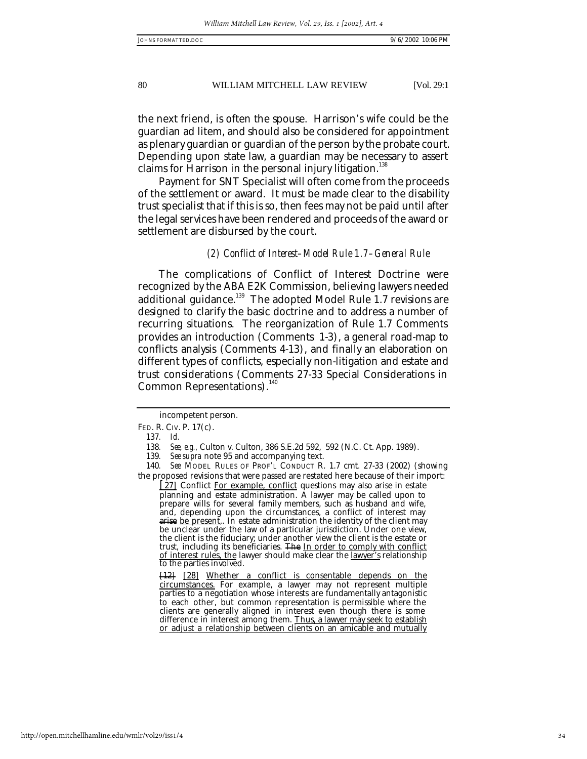the next friend, is often the spouse. Harrison's wife could be the guardian ad litem, and should also be considered for appointment as plenary guardian or guardian of the person by the probate court. Depending upon state law, a guardian may be necessary to assert claims for Harrison in the personal injury litigation.<sup>138</sup>

Payment for SNT Specialist will often come from the proceeds of the settlement or award. It must be made clear to the disability trust specialist that if this is so, then fees may not be paid until after the legal services have been rendered and proceeds of the award or settlement are disbursed by the court.

# *(2) Conflict of Interest–Model Rule 1.7–General Rule*

The complications of Conflict of Interest Doctrine were recognized by the ABA E2K Commission, believing lawyers needed additional guidance.<sup>139</sup> The adopted Model Rule 1.7 revisions are designed to clarify the basic doctrine and to address a number of recurring situations. The reorganization of Rule 1.7 Comments provides an introduction (Comments 1-3), a general road-map to conflicts analysis (Comments 4-13), and finally an elaboration on different types of conflicts, especially non-litigation and estate and trust considerations (Comments 27-33 Special Considerations in Common Representations).<sup>140</sup>

[27] Conflict For example, conflict questions may also arise in estate planning and estate administration. A lawyer may be called upon to prepare wills for several family members, such as husband and wife, and, depending upon the circumstances, a conflict of interest may arise be present. In estate administration the identity of the client may be unclear under the law of a particular jurisdiction. Under one view, the client is the fiduciary; under another view the client is the estate or trust, including its beneficiaries. The In order to comply with conflict of interest rules, the lawyer should make clear the <u>lawyer's</u> relationship to the parties involved.

[12] [28] Whether a conflict is consentable depends on the circumstances. For example, a lawyer may not represent multiple parties to a negotiation whose interests are fundamentally antagonistic to each other, but common representation is permissible where the clients are generally aligned in interest even though there is some difference in interest among them. Thus, a lawyer may seek to establish or adjust a relationship between clients on an amicable and mutually

incompetent person.

FED. R. CIV. P. 17(c).

<sup>137</sup>*. Id.*

<sup>138</sup>*. See, e.g.,* Culton v. Culton, 386 S.E.2d 592, 592 (N.C. Ct. App. 1989).

<sup>139</sup>*. See supra* note 95 and accompanying text.

<sup>140</sup>*. See* MODEL RULES OF PROF'L CONDUCT R. 1.7 cmt. 27-33 (2002) (showing the proposed revisions that were passed are restated here because of their import: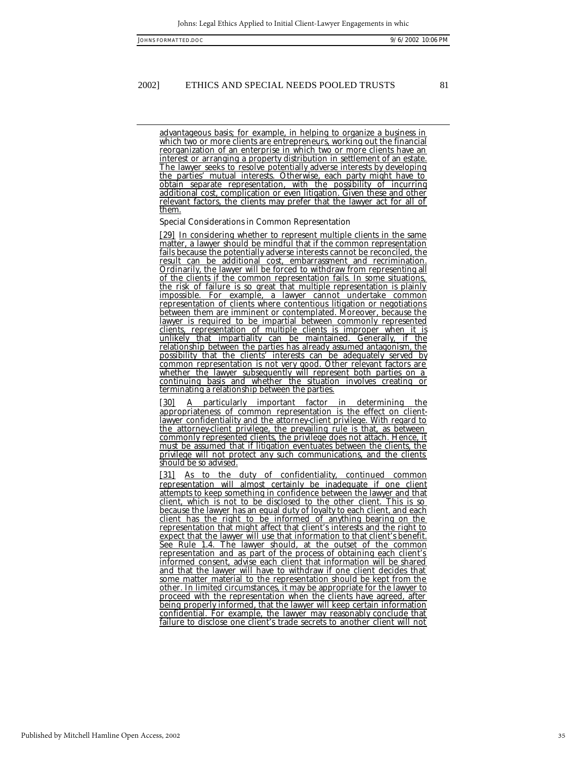advantageous basis; for example, in helping to organize a business in which two or more clients are entrepreneurs, working out the financial reorganization of an enterprise in which two or more clients have an interest or arranging a property distribution in settlement of an estate. The lawyer seeks to resolve potentially adverse interests by developing the parties' mutual interests. Otherwise, each party might have to obtain separate representation, with the possibility of incurring additional cost, complication or even litigation. Given these and other relevant factors, the clients may prefer that the lawyer act for all of them.

Special Considerations in Common Representation

[29] In considering whether to represent multiple clients in the same matter, a lawyer should be mindful that if the common representation fails because the potentially adverse interests cannot be reconciled, the result can be additional cost, embarrassment and recrimination. Ordinarily, the lawyer will be forced to withdraw from representing all of the clients if the common representation fails. In some situations, the risk of failure is so great that multiple representation is plainly impossible. For example, a lawyer cannot undertake common representation of clients where contentious litigation or negotiations between them are imminent or contemplated. Moreover, because the lawyer is required to be impartial between commonly represented clients, representation of multiple clients is improper when it is unlikely that impartiality can be maintained. Generally, if the relationship between the parties has already assumed antagonism, the possibility that the clients' interests can be adequately served by common representation is not very good. Other relevant factors are whether the lawyer subsequently will represent both parties on a continuing basis and whether the situation involves creating or terminating a relationship between the parties.

[30] A particularly important factor in determining the appropriateness of common representation is the effect on clientlawyer confidentiality and the attorney-client privilege. With regard to the attorney-client privilege, the prevailing rule is that, as between commonly represented clients, the privilege does not attach. Hence, it must be assumed that if litigation eventuates between the clients, the privilege will not protect any such communications, and the clients should be so advised.

[31] As to the duty of confidentiality, continued common representation will almost certainly be inadequate if one client attempts to keep something in confidence between the lawyer and that client, which is not to be disclosed to the other client. This is so because the lawyer has an equal duty of loyalty to each client, and each client has the right to be informed of anything bearing on the representation that might affect that client's interests and the right to expect that the lawyer will use that information to that client's benefit. See Rule 1.4. The lawyer should, at the outset of the common representation and as part of the process of obtaining each client's informed consent, advise each client that information will be shared and that the lawyer will have to withdraw if one client decides that some matter material to the representation should be kept from the other. In limited circumstances, it may be appropriate for the lawyer to proceed with the representation when the clients have agreed, after being properly informed, that the lawyer will keep certain information confidential. For example, the lawyer may reasonably conclude that failure to disclose one client's trade secrets to another client will not

Published by Mitchell Hamline Open Access, 2002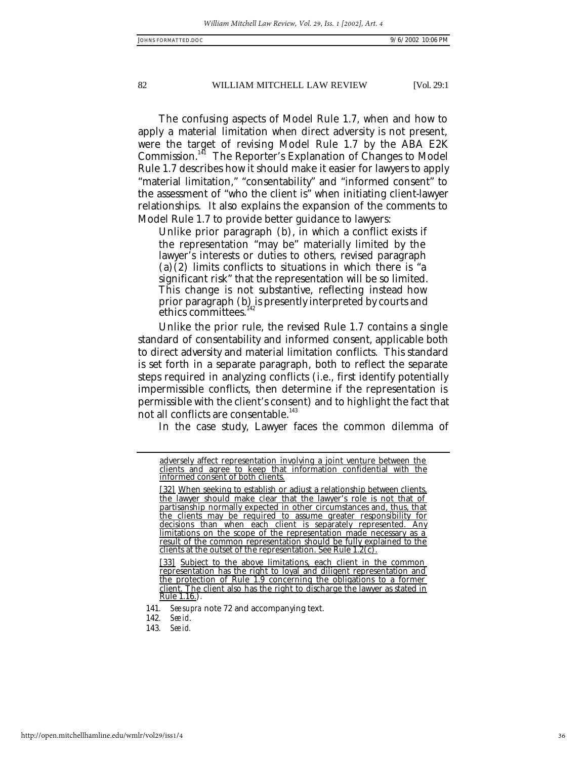The confusing aspects of Model Rule 1.7, when and how to apply a material limitation when direct adversity is not present, were the target of revising Model Rule 1.7 by the ABA E2K Commission.<sup>141</sup> The Reporter's Explanation of Changes to Model Rule 1.7 describes how it should make it easier for lawyers to apply "material limitation," "consentability" and "informed consent" to the assessment of "who the client is" when initiating client-lawyer relationships. It also explains the expansion of the comments to Model Rule 1.7 to provide better guidance to lawyers:

Unlike prior paragraph (b), in which a conflict exists if the representation "may be" materially limited by the lawyer's interests or duties to others, revised paragraph (a)(2) limits conflicts to situations in which there is "a significant risk" that the representation will be so limited. This change is not substantive, reflecting instead how prior paragraph (b) is presently interpreted by courts and ethics committees.

Unlike the prior rule, the revised Rule 1.7 contains a single standard of consentability and informed consent, applicable both to direct adversity and material limitation conflicts. This standard is set forth in a separate paragraph, both to reflect the separate steps required in analyzing conflicts (i.e., first identify potentially impermissible conflicts, then determine if the representation is permissible with the client's consent) and to highlight the fact that not all conflicts are consentable.<sup>143</sup>

In the case study, Lawyer faces the common dilemma of

adversely affect representation involving a joint venture between the clients and agree to keep that information confidential with the informed consent of both clients.

<sup>[32]</sup> When seeking to establish or adjust a relationship between clients, the lawyer should make clear that the lawyer's role is not that of partisanship normally expected in other circumstances and, thus, that the clients may be required to assume greater responsibility for decisions than when each client is separately represented. Any limitations on the scope of the representation made necessary as a result of the common representation should be fully explained to the clients at the outset of the representation. See Rule 1.2(c).

<sup>[33]</sup> Subject to the above limitations, each client in the common representation has the right to loyal and diligent representation and the protection of Rule 1.9 concerning the obligations to a former client. The client also has the right to discharge the lawyer as stated in <u>Rule 1.16.</u>).

<sup>141</sup>*. See supra* note 72 and accompanying text.

<sup>142</sup>*. See id*.

<sup>143</sup>*. See id.*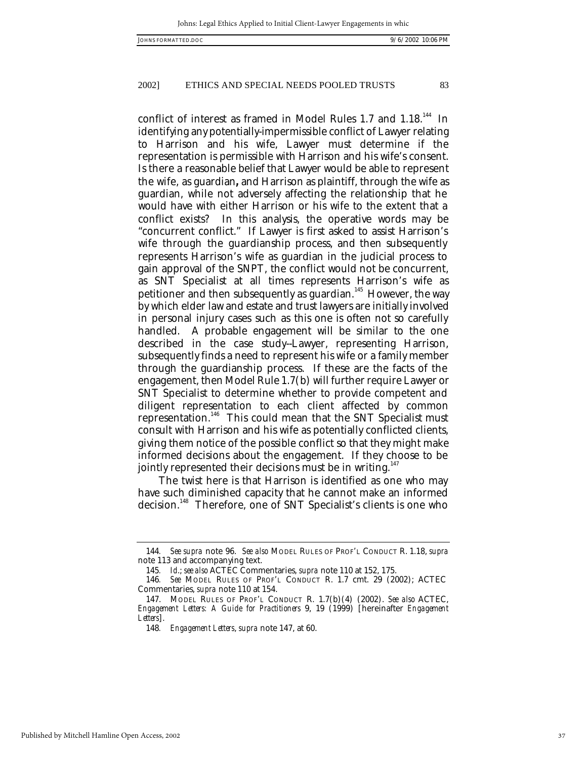conflict of interest as framed in Model Rules 1.7 and 1.18.<sup>144</sup> In identifying any potentially-impermissible conflict of Lawyer relating to Harrison and his wife, Lawyer must determine if the representation is permissible with Harrison and his wife's consent. Is there a reasonable belief that Lawyer would be able to represent the wife, as guardian**,** and Harrison as plaintiff, through the wife as guardian, while not adversely affecting the relationship that he would have with either Harrison or his wife to the extent that a conflict exists? In this analysis, the operative words may be "concurrent conflict." If Lawyer is first asked to assist Harrison's wife through the guardianship process, and then subsequently represents Harrison's wife as guardian in the judicial process to gain approval of the SNPT, the conflict would not be concurrent, as SNT Specialist at all times represents Harrison's wife as petitioner and then subsequently as guardian.<sup>145</sup> However, the way by which elder law and estate and trust lawyers are initially involved in personal injury cases such as this one is often not so carefully handled. A probable engagement will be similar to the one described in the case study--Lawyer, representing Harrison, subsequently finds a need to represent his wife or a family member through the guardianship process. If these are the facts of the engagement, then Model Rule 1.7(b) will further require Lawyer or SNT Specialist to determine whether to provide competent and diligent representation to each client affected by common representation.<sup>146</sup> This could mean that the SNT Specialist must consult with Harrison and his wife as potentially conflicted clients, giving them notice of the possible conflict so that they might make informed decisions about the engagement. If they choose to be jointly represented their decisions must be in writing.<sup>147</sup>

The twist here is that Harrison is identified as one who may have such diminished capacity that he cannot make an informed decision.<sup>148</sup> Therefore, one of SNT Specialist's clients is one who

<sup>144</sup>*. See supra* note 96. *See also* MODEL RULES OF PROF'L CONDUCT R. 1.18, *supra* note 113 and accompanying text.

<sup>145</sup>*. Id*.; *see also* ACTEC Commentaries, *supra* note 110 at 152, 175.

<sup>146</sup>*. See* MODEL RULES OF PROF'L CONDUCT R. 1.7 cmt. 29 (2002); ACTEC Commentaries, *supra* note 110 at 154.

<sup>147.</sup> MODEL RULES OF PROF'L CONDUCT R. 1.7(b)(4) (2002). *See also* ACTEC, *Engagement Letters: A Guide for Practitioners* 9, 19 (1999) [hereinafter *Engagement Letters*].

<sup>148</sup>*. Engagement Letters*, *supra* note 147, at 60.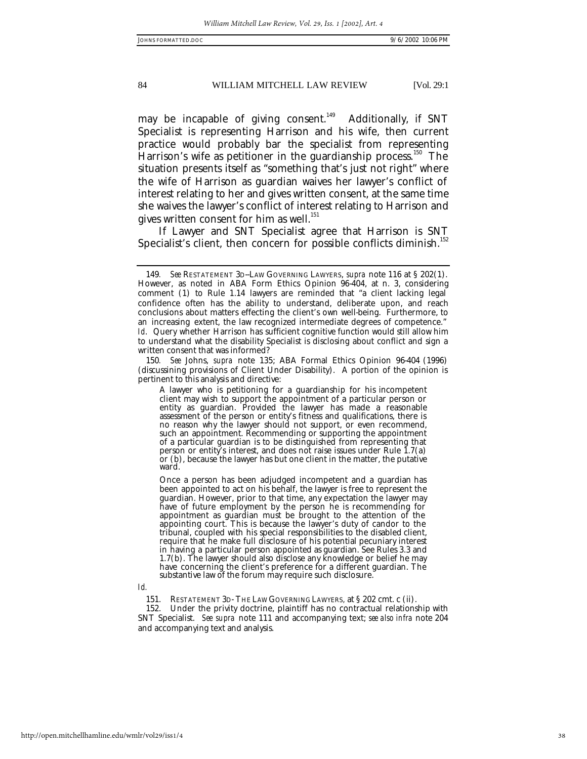may be incapable of giving consent.<sup>149</sup> Additionally, if SNT Specialist is representing Harrison and his wife, then current practice would probably bar the specialist from representing Harrison's wife as petitioner in the guardianship process.<sup>150</sup> The situation presents itself as "something that's just not right" where the wife of Harrison as guardian waives her lawyer's conflict of interest relating to her and gives written consent, at the same time she waives the lawyer's conflict of interest relating to Harrison and gives written consent for him as well. $^{151}$ 

If Lawyer and SNT Specialist agree that Harrison is SNT Specialist's client, then concern for possible conflicts diminish.<sup>152</sup>

A lawyer who is petitioning for a guardianship for his incompetent client may wish to support the appointment of a particular person or entity as guardian. Provided the lawyer has made a reasonable assessment of the person or entity's fitness and qualifications, there is no reason why the lawyer should not support, or even recommend, such an appointment. Recommending or supporting the appointment of a particular guardian is to be distinguished from representing that person or entity's interest, and does not raise issues under Rule 1.7(a) or (b), because the lawyer has but one client in the matter, the putative ward.

Once a person has been adjudged incompetent and a guardian has been appointed to act on his behalf, the lawyer is free to represent the guardian. However, prior to that time, any expectation the lawyer may have of future employment by the person he is recommending for appointment as guardian must be brought to the attention of the appointing court. This is because the lawyer's duty of candor to the tribunal, coupled with his special responsibilities to the disabled client, require that he make full disclosure of his potential pecuniary interest in having a particular person appointed as guardian. See Rules 3.3 and 1.7(b). The lawyer should also disclose any knowledge or belief he may have concerning the client's preference for a different guardian. The substantive law of the forum may require such disclosure.

#### *Id.*

151. RESTATEMENT 3D- THE LAW GOVERNING LAWYERS*,* at § 202 cmt. c (ii).

152. Under the privity doctrine, plaintiff has no contractual relationship with SNT Specialist. *See supra* note 111 and accompanying text; *see also infra* note 204 and accompanying text and analysis.

<sup>149</sup>*. See* RESTATEMENT 3D--LAW GOVERNING LAWYERS, *supra* note 116 at § 202(1). However, as noted in ABA Form Ethics Opinion 96-404, at n. 3, considering comment (1) to Rule 1.14 lawyers are reminded that "a client lacking legal confidence often has the ability to understand, deliberate upon, and reach conclusions about matters effecting the client's own well-being. Furthermore, to an increasing extent, the law recognized intermediate degrees of competence." *Id*. Query whether Harrison has sufficient cognitive function would still allow him to understand what the disability Specialist is disclosing about conflict and sign a written consent that was informed?

<sup>150</sup>*. See* Johns, *supra* note 135; ABA Formal Ethics Opinion 96-404 (1996) (discussining provisions of Client Under Disability). A portion of the opinion is pertinent to this analysis and directive: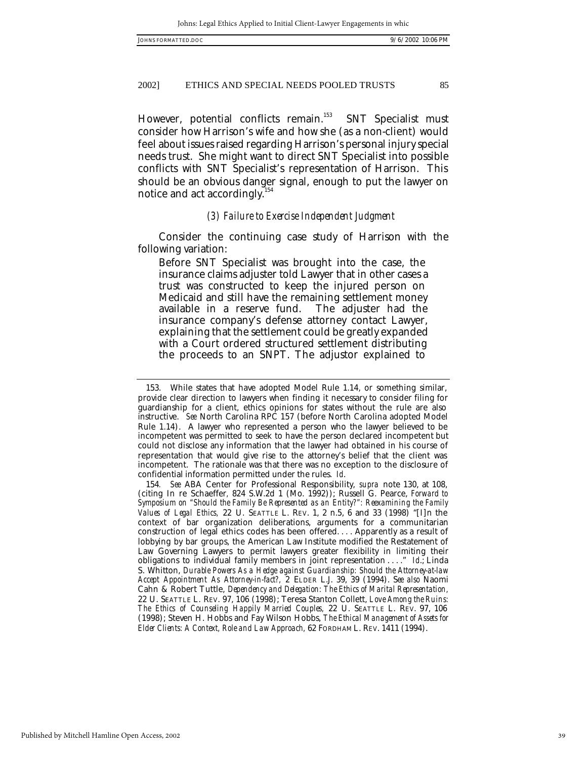However, potential conflicts remain.<sup>153</sup> SNT Specialist must consider how Harrison's wife and how she (as a non-client) would feel about issues raised regarding Harrison's personal injury special needs trust. She might want to direct SNT Specialist into possible conflicts with SNT Specialist's representation of Harrison. This should be an obvious danger signal, enough to put the lawyer on notice and act accordingly.<sup>154</sup>

# *(3) Failure to Exercise Independent Judgment*

Consider the continuing case study of Harrison with the following variation:

Before SNT Specialist was brought into the case, the insurance claims adjuster told Lawyer that in other cases a trust was constructed to keep the injured person on Medicaid and still have the remaining settlement money available in a reserve fund. The adjuster had the insurance company's defense attorney contact Lawyer, explaining that the settlement could be greatly expanded with a Court ordered structured settlement distributing the proceeds to an SNPT. The adjustor explained to

<sup>153.</sup> While states that have adopted Model Rule 1.14, or something similar, provide clear direction to lawyers when finding it necessary to consider filing for guardianship for a client, ethics opinions for states without the rule are also instructive. *See* North Carolina RPC 157 (before North Carolina adopted Model Rule 1.14). A lawyer who represented a person who the lawyer believed to be incompetent was permitted to seek to have the person declared incompetent but could not disclose any information that the lawyer had obtained in his course of representation that would give rise to the attorney's belief that the client was incompetent. The rationale was that there was no exception to the disclosure of confidential information permitted under the rules. *Id*.

<sup>154</sup>*. See* ABA Center for Professional Responsibility, *supra* note 130, at 108, (citing In re Schaeffer*,* 824 S.W.2d 1 (Mo. 1992)); Russell G. Pearce, *Forward to Symposium on "Should the Family Be Represented as an Entity?": Reexamining the Family Values of Legal Ethics,* 22 U. SEATTLE L. REV. 1, 2 n.5, 6 and 33 (1998) "[I]n the context of bar organization deliberations, arguments for a communitarian construction of legal ethics codes has been offered. . . . Apparently as a result of lobbying by bar groups, the American Law Institute modified the Restatement of Law Governing Lawyers to permit lawyers greater flexibility in limiting their obligations to individual family members in joint representation . . . ." *Id*.; Linda S. Whitton, *Durable Powers As a Hedge against Guardianship: Should the Attorney-at-law Accept Appointment As Attorney-in-fact?,* 2 ELDER L.J. 39, 39 (1994). S*ee also* Naomi Cahn & Robert Tuttle, *Dependency and Delegation: The Ethics of Marital Representation,*  22 U. SEATTLE L. REV. 97, 106 (1998); Teresa Stanton Collett, *Love Among the Ruins: The Ethics of Counseling Happily Married Couples,* 22 U. SEATTLE L. REV. 97, 106 (1998); Steven H. Hobbs and Fay Wilson Hobbs, *The Ethical Management of Assets for Elder Clients: A Context, Role and Law Approach,* 62 FORDHAM L. REV. 1411 (1994).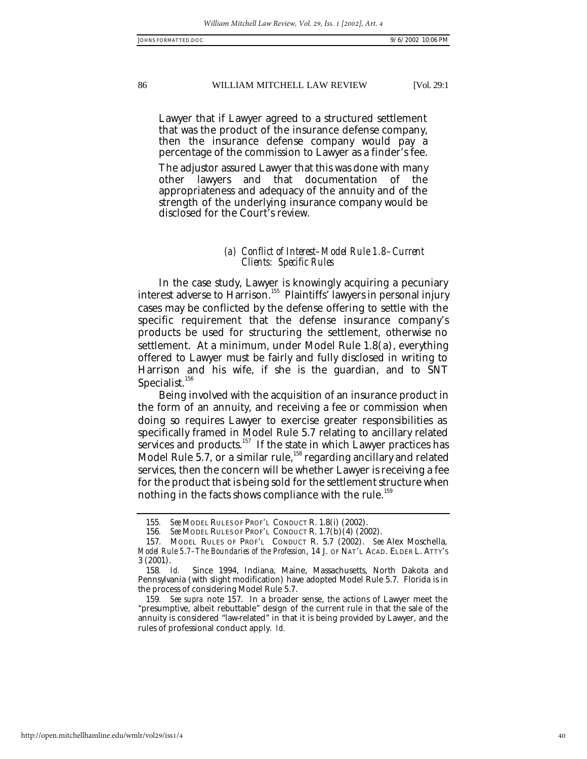Lawyer that if Lawyer agreed to a structured settlement that was the product of the insurance defense company, then the insurance defense company would pay a percentage of the commission to Lawyer as a finder's fee.

The adjustor assured Lawyer that this was done with many other lawyers and that documentation of the appropriateness and adequacy of the annuity and of the strength of the underlying insurance company would be disclosed for the Court's review.

# *(a) Conflict of Interest–Model Rule 1.8–Current Clients: Specific Rules*

In the case study, Lawyer is knowingly acquiring a pecuniary interest adverse to Harrison.<sup>155</sup> Plaintiffs' lawyers in personal injury cases may be conflicted by the defense offering to settle with the specific requirement that the defense insurance company's products be used for structuring the settlement, otherwise no settlement. At a minimum, under Model Rule 1.8(a), everything offered to Lawyer must be fairly and fully disclosed in writing to Harrison and his wife, if she is the guardian, and to SNT Specialist.<sup>156</sup>

Being involved with the acquisition of an insurance product in the form of an annuity, and receiving a fee or commission when doing so requires Lawyer to exercise greater responsibilities as specifically framed in Model Rule 5.7 relating to ancillary related services and products.<sup>157</sup> If the state in which Lawyer practices has Model Rule 5.7, or a similar rule,<sup>158</sup> regarding ancillary and related services, then the concern will be whether Lawyer is receiving a fee for the product that is being sold for the settlement structure when nothing in the facts shows compliance with the rule.<sup>159</sup>

<sup>155</sup>*. See* MODEL RULES OF PROF'L CONDUCT R. 1.8(i) (2002).

<sup>156</sup>*. See* MODEL RULES OF PROF'L CONDUCT R. 1.7(b)(4) (2002)*.*

<sup>157.</sup> MODEL RULES OF PROF'L CONDUCT R. 5.7 (2002). *See* Alex Moschella, *Model Rule 5.7–The Boundaries of the Profession*, 14 J. OF NAT'L ACAD. ELDER L. ATTY'S  $3(2001).$ <br>158. *Id.* 

Since 1994, Indiana, Maine, Massachusetts, North Dakota and Pennsylvania (with slight modification) have adopted Model Rule 5.7. Florida is in the process of considering Model Rule 5.7.

<sup>159</sup>*. See supra* note 157. In a broader sense, the actions of Lawyer meet the "presumptive, albeit rebuttable" design of the current rule in that the sale of the annuity is considered "law-related" in that it is being provided by Lawyer, and the rules of professional conduct apply. *Id.*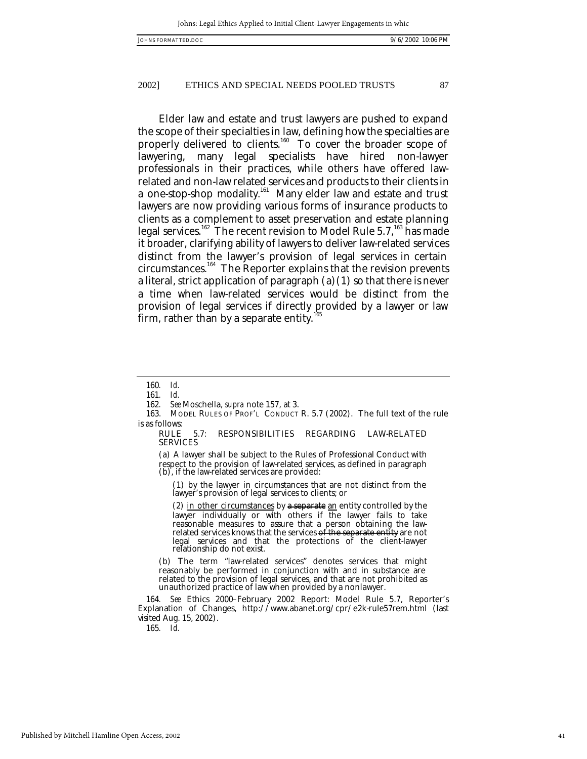Elder law and estate and trust lawyers are pushed to expand the scope of their specialties in law, defining how the specialties are properly delivered to clients.<sup>160</sup> To cover the broader scope of lawyering, many legal specialists have hired non-lawyer professionals in their practices, while others have offered lawrelated and non-law related services and products to their clients in a one-stop-shop modality.<sup>161</sup> Many elder law and estate and trust lawyers are now providing various forms of insurance products to clients as a complement to asset preservation and estate planning legal services.<sup>162</sup> The recent revision to Model Rule 5.7,<sup>163</sup> has made it broader, clarifying ability of lawyers to deliver law-related services distinct from the lawyer's provision of legal services in certain circumstances.<sup>164</sup> The Reporter explains that the revision prevents a literal, strict application of paragraph  $(a)(1)$  so that there is never a time when law-related services would be distinct from the provision of legal services if directly provided by a lawyer or law firm, rather than by a separate entity.<sup>1</sup>

161*. Id.*

162*. See* Moschella, *supra* note 157, at 3.

163. MODEL RULES OF PROF'L CONDUCT R. 5.7 (2002). The full text of the rule is as follows:

(a) A lawyer shall be subject to the Rules of Professional Conduct with respect to the provision of law-related services, as defined in paragraph (b), if the law-related services are provided:

(1) by the lawyer in circumstances that are not distinct from the lawyer's provision of legal services to clients; or

(2) in other circumstances by a separate an entity controlled by the lawyer individually or with others if the lawyer fails to take reasonable measures to assure that a person obtaining the lawrelated services knows that the services <del>of the separate entity</del> are not legal services and that the protections of the client-lawyer relationship do not exist.

(b) The term "law-related services" denotes services that might reasonably be performed in conjunction with and in substance are related to the provision of legal services, and that are not prohibited as unauthorized practice of law when provided by a nonlawyer.

164*. See* Ethics 2000–February 2002 Report: Model Rule 5.7, Reporter's Explanation of Changes, http://www.abanet.org/cpr/e2k-rule57rem.html (last visited Aug. 15, 2002).

165*. Id.*

<sup>160</sup>*. Id.*

RULE 5.7: RESPONSIBILITIES REGARDING LAW-RELATED SERVICES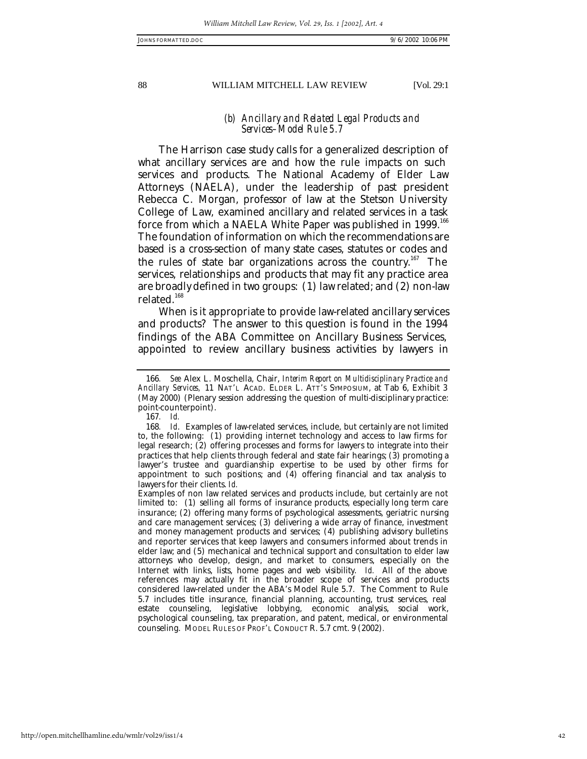# *(b) Ancillary and Related Legal Products and Services–Model Rule 5.7*

The Harrison case study calls for a generalized description of what ancillary services are and how the rule impacts on such services and products. The National Academy of Elder Law Attorneys (NAELA), under the leadership of past president Rebecca C. Morgan, professor of law at the Stetson University College of Law, examined ancillary and related services in a task force from which a NAELA White Paper was published in 1999. $^{166}$ The foundation of information on which the recommendations are based is a cross-section of many state cases, statutes or codes and the rules of state bar organizations across the country.<sup>167</sup> The services, relationships and products that may fit any practice area are broadly defined in two groups: (1) law related; and (2) non-law related.<sup>168</sup>

When is it appropriate to provide law-related ancillary services and products? The answer to this question is found in the 1994 findings of the ABA Committee on Ancillary Business Services, appointed to review ancillary business activities by lawyers in

<sup>166</sup>*. See* Alex L. Moschella, Chair, *Interim Report on Multidisciplinary Practice and Ancillary Services,* 11 NAT'L ACAD. ELDER L. ATT'S SYMPOSIUM, at Tab 6, Exhibit 3 (May 2000) (Plenary session addressing the question of multi-disciplinary practice: point-counterpoint).

<sup>167</sup>*. Id.*

<sup>168</sup>*. Id*. Examples of law-related services, include, but certainly are not limited to, the following: (1) providing internet technology and access to law firms for legal research; (2) offering processes and forms for lawyers to integrate into their practices that help clients through federal and state fair hearings; (3) promoting a lawyer's trustee and guardianship expertise to be used by other firms for appointment to such positions; and (4) offering financial and tax analysis to lawyers for their clients. *Id.*

Examples of non law related services and products include, but certainly are not limited to: (1) selling all forms of insurance products, especially long term care insurance; (2) offering many forms of psychological assessments, geriatric nursing and care management services; (3) delivering a wide array of finance, investment and money management products and services; (4) publishing advisory bulletins and reporter services that keep lawyers and consumers informed about trends in elder law; and (5) mechanical and technical support and consultation to elder law attorneys who develop, design, and market to consumers, especially on the Internet with links, lists, home pages and web visibility. *Id.* All of the above references may actually fit in the broader scope of services and products considered law-related under the ABA's Model Rule 5.7. The Comment to Rule 5.7 includes title insurance, financial planning, accounting, trust services, real estate counseling, legislative lobbying, economic analysis, social work, psychological counseling, tax preparation, and patent, medical, or environmental counseling. MODEL RULES OF PROF'L CONDUCT R. 5.7 cmt. 9 (2002)*.*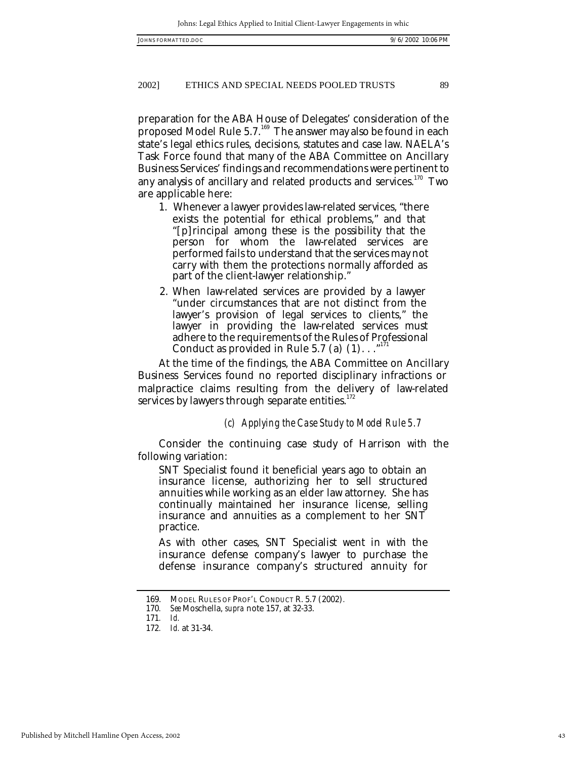preparation for the ABA House of Delegates' consideration of the proposed Model Rule 5.7. $^{169}$  The answer may also be found in each state's legal ethics rules, decisions, statutes and case law. NAELA's Task Force found that many of the ABA Committee on Ancillary Business Services' findings and recommendations were pertinent to any analysis of ancillary and related products and services.<sup>170</sup> Two are applicable here:

- 1. Whenever a lawyer provides law-related services, "there exists the potential for ethical problems," and that "[p]rincipal among these is the possibility that the person for whom the law-related services are performed fails to understand that the services may not carry with them the protections normally afforded as part of the client-lawyer relationship."
- 2. When law-related services are provided by a lawyer "under circumstances that are not distinct from the lawyer's provision of legal services to clients," the lawyer in providing the law-related services must adhere to the requirements of the Rules of Professional Conduct as provided in Rule 5.7 (a)  $(1)$ ..."<sup>171</sup>

At the time of the findings, the ABA Committee on Ancillary Business Services found no reported disciplinary infractions or malpractice claims resulting from the delivery of law-related services by lawyers through separate entities.<sup>172</sup>

# *(c) Applying the Case Study to Model Rule 5.7*

Consider the continuing case study of Harrison with the following variation:

SNT Specialist found it beneficial years ago to obtain an insurance license, authorizing her to sell structured annuities while working as an elder law attorney. She has continually maintained her insurance license, selling insurance and annuities as a complement to her SNT practice.

As with other cases, SNT Specialist went in with the insurance defense company's lawyer to purchase the defense insurance company's structured annuity for

<sup>169.</sup> MODEL RULES OF PROF'L CONDUCT R. 5.7 (2002)*.*

<sup>170</sup>*. See* Moschella, *supra* note 157, at 32-33.

<sup>171</sup>*. Id.*

<sup>172</sup>*. Id.* at 31-34.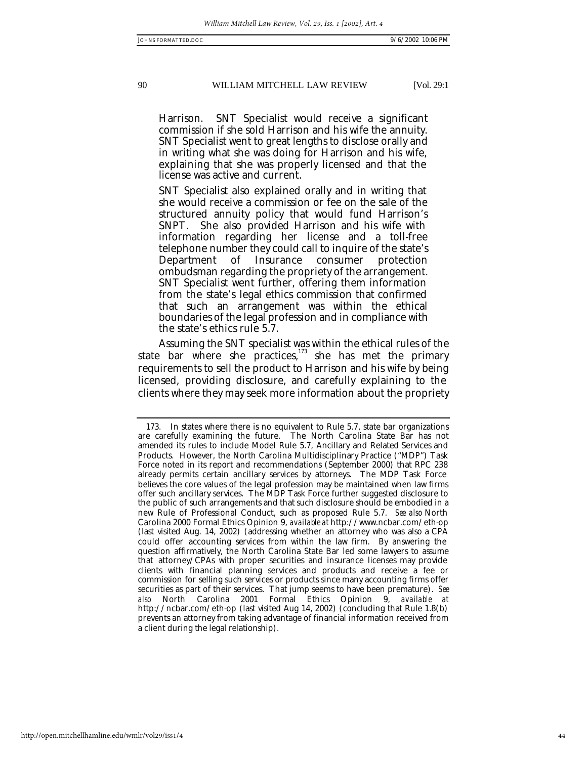Harrison. SNT Specialist would receive a significant commission if she sold Harrison and his wife the annuity. SNT Specialist went to great lengths to disclose orally and in writing what she was doing for Harrison and his wife, explaining that she was properly licensed and that the license was active and current.

SNT Specialist also explained orally and in writing that she would receive a commission or fee on the sale of the structured annuity policy that would fund Harrison's SNPT. She also provided Harrison and his wife with information regarding her license and a toll-free telephone number they could call to inquire of the state's Department of Insurance consumer protection ombudsman regarding the propriety of the arrangement. SNT Specialist went further, offering them information from the state's legal ethics commission that confirmed that such an arrangement was within the ethical boundaries of the legal profession and in compliance with the state's ethics rule 5.7.

Assuming the SNT specialist was within the ethical rules of the state bar where she practices, $173$  she has met the primary requirements to sell the product to Harrison and his wife by being licensed, providing disclosure, and carefully explaining to the clients where they may seek more information about the propriety

<sup>173.</sup> In states where there is no equivalent to Rule 5.7, state bar organizations are carefully examining the future. The North Carolina State Bar has not amended its rules to include Model Rule 5.7, Ancillary and Related Services and Products. However, the North Carolina Multidisciplinary Practice ("MDP") Task Force noted in its report and recommendations (September 2000) that RPC 238 already permits certain ancillary services by attorneys. The MDP Task Force believes the core values of the legal profession may be maintained when law firms offer such ancillary services. The MDP Task Force further suggested disclosure to the public of such arrangements and that such disclosure should be embodied in a new Rule of Professional Conduct, such as proposed Rule 5.7. *See also* North Carolina 2000 Formal Ethics Opinion 9, *available at* http://www.ncbar.com/eth-op (last visited Aug. 14, 2002) (addressing whether an attorney who was also a CPA could offer accounting services from within the law firm. By answering the question affirmatively, the North Carolina State Bar led some lawyers to assume that attorney/CPAs with proper securities and insurance licenses may provide clients with financial planning services and products and receive a fee or commission for selling such services or products since many accounting firms offer securities as part of their services. That jump seems to have been premature). *See also* North Carolina 2001 Formal Ethics Opinion 9, *available at* http://ncbar.com/eth-op (last visited Aug 14, 2002) (concluding that Rule 1.8(b) prevents an attorney from taking advantage of financial information received from a client during the legal relationship).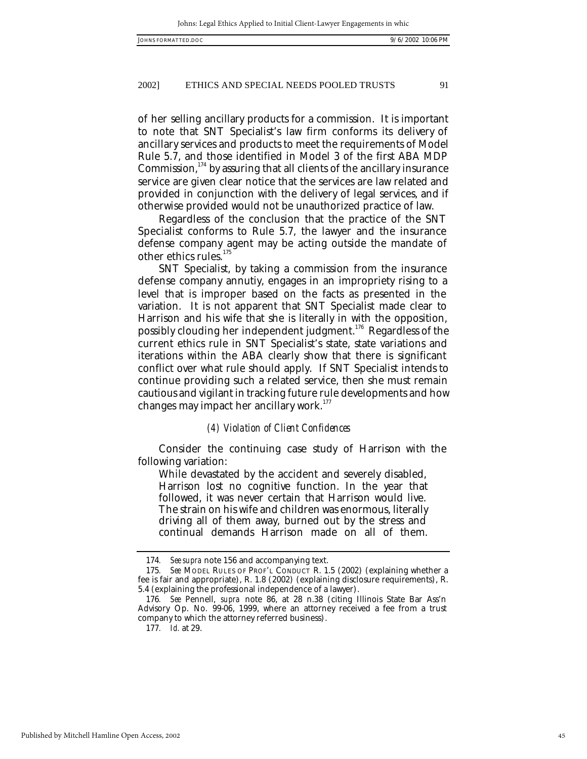of her selling ancillary products for a commission. It is important to note that SNT Specialist's law firm conforms its delivery of ancillary services and products to meet the requirements of Model Rule 5.7, and those identified in Model 3 of the first ABA MDP Commission,<sup>174</sup> by assuring that all clients of the ancillary insurance service are given clear notice that the services are law related and provided in conjunction with the delivery of legal services, and if otherwise provided would not be unauthorized practice of law.

Regardless of the conclusion that the practice of the SNT Specialist conforms to Rule 5.7, the lawyer and the insurance defense company agent may be acting outside the mandate of other ethics rules.<sup>175</sup>

SNT Specialist, by taking a commission from the insurance defense company annutiy, engages in an impropriety rising to a level that is improper based on the facts as presented in the variation. It is not apparent that SNT Specialist made clear to Harrison and his wife that she is literally in with the opposition, possibly clouding her independent judgment.<sup>176</sup> Regardless of the current ethics rule in SNT Specialist's state, state variations and iterations within the ABA clearly show that there is significant conflict over what rule should apply. If SNT Specialist intends to continue providing such a related service, then she must remain cautious and vigilant in tracking future rule developments and how changes may impact her ancillary work. $177$ 

# *(4) Violation of Client Confidences*

Consider the continuing case study of Harrison with the following variation:

While devastated by the accident and severely disabled, Harrison lost no cognitive function. In the year that followed, it was never certain that Harrison would live. The strain on his wife and children was enormous, literally driving all of them away, burned out by the stress and continual demands Harrison made on all of them.

<sup>174</sup>*. See supra* note 156 and accompanying text.

<sup>175</sup>*. See* MODEL RULES OF PROF'L CONDUCT R. 1.5 (2002) (explaining whether a fee is fair and appropriate), R. 1.8 (2002) (explaining disclosure requirements), R. 5.4 (explaining the professional independence of a lawyer).

<sup>176</sup>*. See* Pennell, *supra* note 86, at 28 n.38 (citing Illinois State Bar Ass'n Advisory Op. No. 99-06, 1999, where an attorney received a fee from a trust company to which the attorney referred business).

<sup>177</sup>*. Id.* at 29.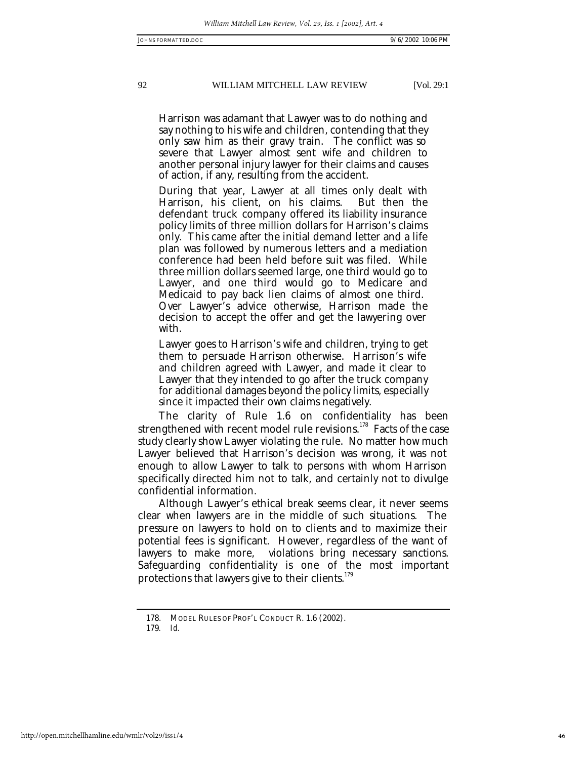Harrison was adamant that Lawyer was to do nothing and say nothing to his wife and children, contending that they only saw him as their gravy train. The conflict was so severe that Lawyer almost sent wife and children to another personal injury lawyer for their claims and causes of action, if any, resulting from the accident.

During that year, Lawyer at all times only dealt with Harrison, his client, on his claims. But then the defendant truck company offered its liability insurance policy limits of three million dollars for Harrison's claims only. This came after the initial demand letter and a life plan was followed by numerous letters and a mediation conference had been held before suit was filed. While three million dollars seemed large, one third would go to Lawyer, and one third would go to Medicare and Medicaid to pay back lien claims of almost one third. Over Lawyer's advice otherwise, Harrison made the decision to accept the offer and get the lawyering over with.

Lawyer goes to Harrison's wife and children, trying to get them to persuade Harrison otherwise. Harrison's wife and children agreed with Lawyer, and made it clear to Lawyer that they intended to go after the truck company for additional damages beyond the policy limits, especially since it impacted their own claims negatively.

The clarity of Rule 1.6 on confidentiality has been strengthened with recent model rule revisions.<sup>178</sup> Facts of the case study clearly show Lawyer violating the rule. No matter how much Lawyer believed that Harrison's decision was wrong, it was not enough to allow Lawyer to talk to persons with whom Harrison specifically directed him not to talk, and certainly not to divulge confidential information.

Although Lawyer's ethical break seems clear, it never seems clear when lawyers are in the middle of such situations. The pressure on lawyers to hold on to clients and to maximize their potential fees is significant. However, regardless of the want of lawyers to make more, violations bring necessary sanctions. Safeguarding confidentiality is one of the most important protections that lawyers give to their clients. $179$ 

<sup>178.</sup> MODEL RULES OF PROF'L CONDUCT R. 1.6 (2002).

<sup>179</sup>*. Id.*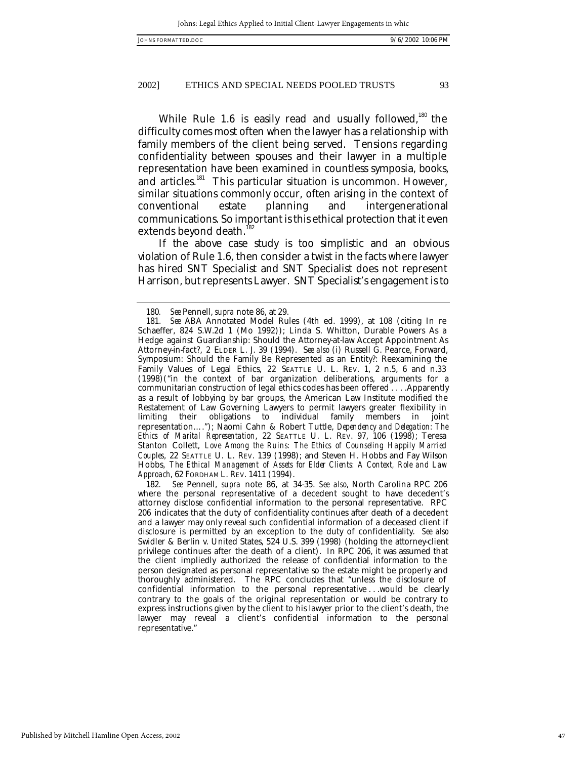While Rule 1.6 is easily read and usually followed, $180$  the difficulty comes most often when the lawyer has a relationship with family members of the client being served. Tensions regarding confidentiality between spouses and their lawyer in a multiple representation have been examined in countless symposia, books, and articles.<sup>181</sup> This particular situation is uncommon. However, similar situations commonly occur, often arising in the context of conventional estate planning and intergenerational communications. So important is this ethical protection that it even extends beyond death. $18$ 

If the above case study is too simplistic and an obvious violation of Rule 1.6, then consider a twist in the facts where lawyer has hired SNT Specialist and SNT Specialist does not represent Harrison, but represents Lawyer. SNT Specialist's engagement is to

182*. See* Pennell, *supra* note 86, at 34-35. *See also*, North Carolina RPC 206 where the personal representative of a decedent sought to have decedent's attorney disclose confidential information to the personal representative. RPC 206 indicates that the duty of confidentiality continues after death of a decedent and a lawyer may only reveal such confidential information of a deceased client if disclosure is permitted by an exception to the duty of confidentiality. *See also* Swidler & Berlin v. United States, 524 U.S. 399 (1998) (holding the attorney-client privilege continues after the death of a client). In RPC 206, it was assumed that the client impliedly authorized the release of confidential information to the person designated as personal representative so the estate might be properly and thoroughly administered. The RPC concludes that "unless the disclosure of confidential information to the personal representative . . .would be clearly contrary to the goals of the original representation or would be contrary to express instructions given by the client to his lawyer prior to the client's death, the lawyer may reveal a client's confidential information to the personal representative."

Published by Mitchell Hamline Open Access, 2002

<sup>180</sup>*. See* Pennell, *supra* note 86, at 29.

See ABA Annotated Model Rules (4th ed. 1999), at 108 (citing In re Schaeffer, 824 S.W.2d 1 (Mo 1992)); Linda S. Whitton, Durable Powers As a Hedge against Guardianship: Should the Attorney-at-law Accept Appointment As Attorney-in-fact?, 2 ELDER L. J. 39 (1994). S*ee also* (i) Russell G. Pearce, Forward, Symposium: Should the Family Be Represented as an Entity?: Reexamining the Family Values of Legal Ethics, 22 SEATTLE U. L. REV. 1, 2 n.5, 6 and n.33 (1998)("in the context of bar organization deliberations, arguments for a communitarian construction of legal ethics codes has been offered . . . .Apparently as a result of lobbying by bar groups, the American Law Institute modified the Restatement of Law Governing Lawyers to permit lawyers greater flexibility in limiting their obligations to individual family members in joint limiting their obligations to individual family members in joint representation…."); Naomi Cahn & Robert Tuttle, *Dependency and Delegation: The Ethics of Marital Representation*, 22 SEATTLE U. L. REV. 97, 106 (1998); Teresa Stanton Collett, *Love Among the Ruins: The Ethics of Counseling Happily Married Couples*, 22 SEATTLE U. L. REV. 139 (1998); and Steven H. Hobbs and Fay Wilson Hobbs, *The Ethical Management of Assets for Elder Clients: A Context, Role and Law Approach*, 62 FORDHAM L. REV. 1411 (1994).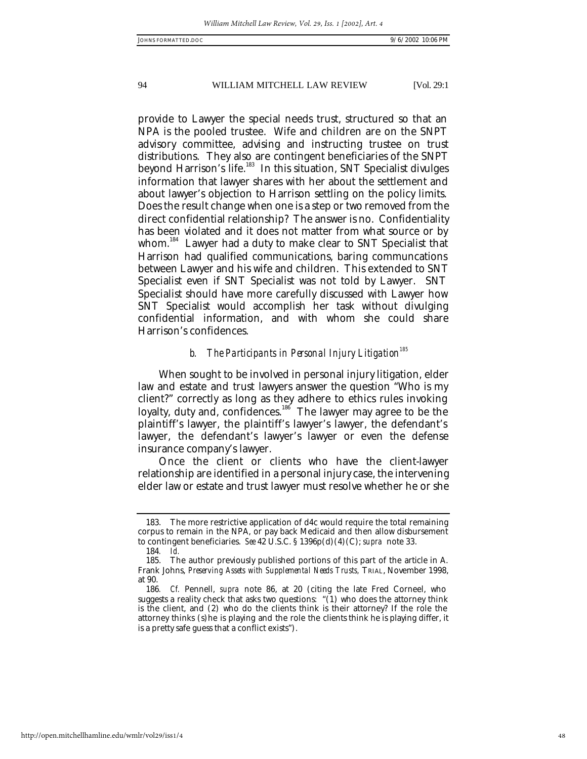provide to Lawyer the special needs trust, structured so that an NPA is the pooled trustee. Wife and children are on the SNPT advisory committee, advising and instructing trustee on trust distributions. They also are contingent beneficiaries of the SNPT beyond Harrison's life.<sup>183</sup> In this situation, SNT Specialist divulges information that lawyer shares with her about the settlement and about lawyer's objection to Harrison settling on the policy limits. Does the result change when one is a step or two removed from the direct confidential relationship? The answer is no. Confidentiality has been violated and it does not matter from what source or by whom.<sup>184</sup> Lawyer had a duty to make clear to SNT Specialist that Harrison had qualified communications, baring communcations between Lawyer and his wife and children. This extended to SNT Specialist even if SNT Specialist was not told by Lawyer. SNT Specialist should have more carefully discussed with Lawyer how SNT Specialist would accomplish her task without divulging confidential information, and with whom she could share Harrison's confidences.

# *b. The Participants in Personal Injury Litigation<sup>185</sup>*

When sought to be involved in personal injury litigation, elder law and estate and trust lawyers answer the question "Who is my client?" correctly as long as they adhere to ethics rules invoking loyalty, duty and, confidences. $^{186}$  The lawyer may agree to be the plaintiff's lawyer, the plaintiff's lawyer's lawyer, the defendant's lawyer, the defendant's lawyer's lawyer or even the defense insurance company's lawyer.

Once the client or clients who have the client-lawyer relationship are identified in a personal injury case, the intervening elder law or estate and trust lawyer must resolve whether he or she

<sup>183.</sup> The more restrictive application of d4c would require the total remaining corpus to remain in the NPA, or pay back Medicaid and then allow disbursement to contingent beneficiaries. *See* 42 U.S.C. § 1396p(d)(4)(C); *supra* note 33.

<sup>184</sup>*. Id.*

<sup>185.</sup> The author previously published portions of this part of the article in A. Frank Johns, *Preserving Assets with Supplemental Needs Trusts,* TRIAL, November 1998, at 90.

<sup>186</sup>*. Cf.* Pennell, *supra* note 86, at 20 (citing the late Fred Corneel, who suggests a reality check that asks two questions: "(1) who does the attorney think is the client, and (2) who do the clients think is their attorney? If the role the attorney thinks (s)he is playing and the role the clients think he is playing differ, it is a pretty safe guess that a conflict exists").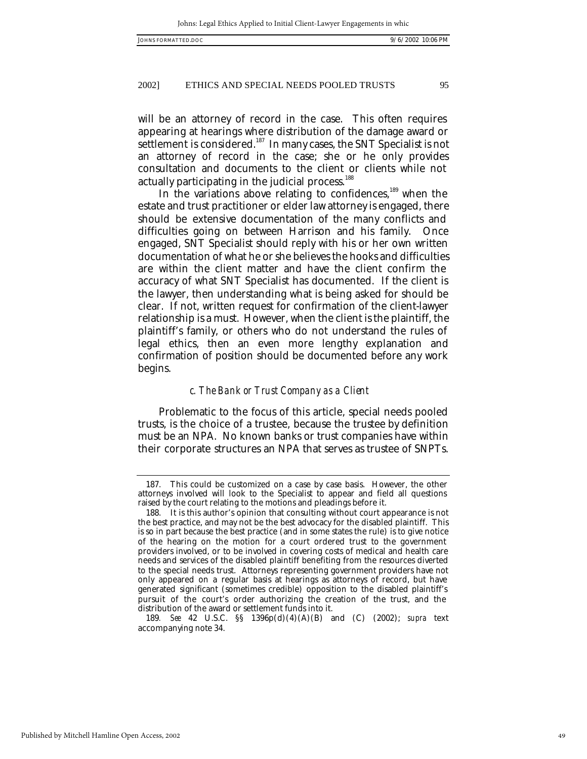will be an attorney of record in the case. This often requires appearing at hearings where distribution of the damage award or settlement is considered.<sup>187</sup> In many cases, the SNT Specialist is not an attorney of record in the case; she or he only provides consultation and documents to the client or clients while not actually participating in the judicial process.<sup>188</sup>

In the variations above relating to confidences,<sup>189</sup> when the estate and trust practitioner or elder law attorney is engaged, there should be extensive documentation of the many conflicts and difficulties going on between Harrison and his family. Once engaged, SNT Specialist should reply with his or her own written documentation of what he or she believes the hooks and difficulties are within the client matter and have the client confirm the accuracy of what SNT Specialist has documented. If the client is the lawyer, then understanding what is being asked for should be clear. If not, written request for confirmation of the client-lawyer relationship is a must. However, when the client is the plaintiff, the plaintiff's family, or others who do not understand the rules of legal ethics, then an even more lengthy explanation and confirmation of position should be documented before any work begins.

# *c. The Bank or Trust Company as a Client*

Problematic to the focus of this article, special needs pooled trusts, is the choice of a trustee, because the trustee by definition must be an NPA. No known banks or trust companies have within their corporate structures an NPA that serves as trustee of SNPTs.

<sup>187.</sup> This could be customized on a case by case basis. However, the other attorneys involved will look to the Specialist to appear and field all questions raised by the court relating to the motions and pleadings before it.

<sup>188.</sup> It is this author's opinion that consulting without court appearance is not the best practice, and may not be the best advocacy for the disabled plaintiff. This is so in part because the best practice (and in some states the rule) is to give notice of the hearing on the motion for a court ordered trust to the government providers involved, or to be involved in covering costs of medical and health care needs and services of the disabled plaintiff benefiting from the resources diverted to the special needs trust. Attorneys representing government providers have not only appeared on a regular basis at hearings as attorneys of record, but have generated significant (sometimes credible) opposition to the disabled plaintiff's pursuit of the court's order authorizing the creation of the trust, and the distribution of the award or settlement funds into it.

<sup>189</sup>*. See* 42 U.S.C. §§ 1396p(d)(4)(A)(B) and (C) (2002); *supra* text accompanying note 34.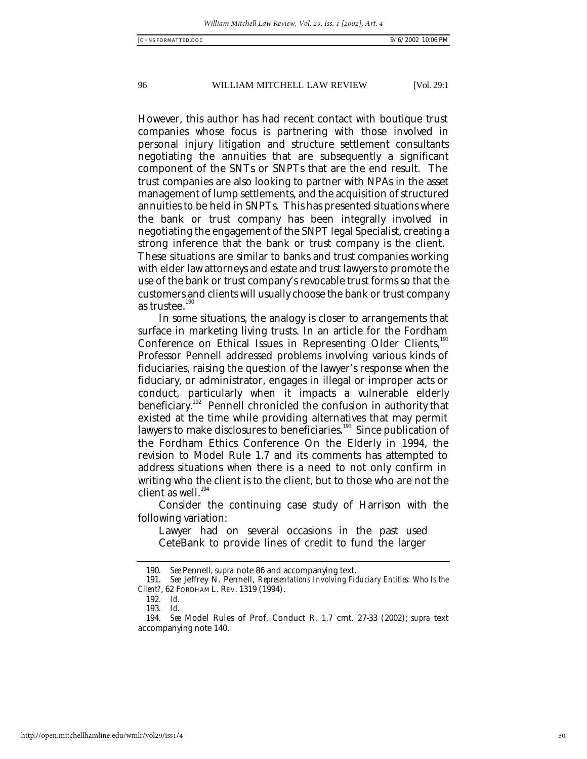However, this author has had recent contact with boutique trust companies whose focus is partnering with those involved in personal injury litigation and structure settlement consultants negotiating the annuities that are subsequently a significant component of the SNTs or SNPTs that are the end result. The trust companies are also looking to partner with NPAs in the asset management of lump settlements, and the acquisition of structured annuities to be held in SNPTs. This has presented situations where the bank or trust company has been integrally involved in negotiating the engagement of the SNPT legal Specialist, creating a strong inference that the bank or trust company is the client. These situations are similar to banks and trust companies working with elder law attorneys and estate and trust lawyers to promote the use of the bank or trust company's revocable trust forms so that the customers and clients will usually choose the bank or trust company as trustee. $190$ 

In some situations, the analogy is closer to arrangements that surface in marketing living trusts. In an article for the Fordham Conference on Ethical Issues in Representing Older Clients,<sup>191</sup> Professor Pennell addressed problems involving various kinds of fiduciaries, raising the question of the lawyer's response when the fiduciary, or administrator, engages in illegal or improper acts or conduct, particularly when it impacts a vulnerable elderly beneficiary.<sup>192</sup> Pennell chronicled the confusion in authority that existed at the time while providing alternatives that may permit lawyers to make disclosures to beneficiaries.<sup>193</sup> Since publication of the Fordham Ethics Conference On the Elderly in 1994, the revision to Model Rule 1.7 and its comments has attempted to address situations when there is a need to not only confirm in writing who the client is to the client, but to those who are not the client as well. $^{194}$ 

Consider the continuing case study of Harrison with the following variation:

Lawyer had on several occasions in the past used CeteBank to provide lines of credit to fund the larger

<sup>190</sup>*. See* Pennell, *supra* note 86 and accompanying text.

<sup>191</sup>*. See* Jeffrey N. Pennell, *Representations Involving Fiduciary Entities: Who Is the Client?*, 62 FORDHAM L. REV. 1319 (1994).

<sup>192</sup>*. Id.*

<sup>193</sup>*. Id.*

<sup>194</sup>*. See* Model Rules of Prof. Conduct R. 1.7 cmt. 27-33 (2002); *supra* text accompanying note 140.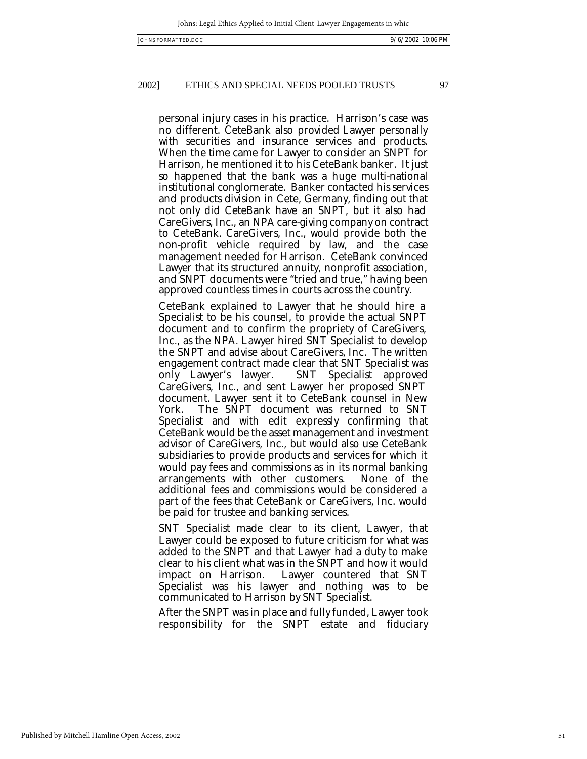personal injury cases in his practice. Harrison's case was no different. CeteBank also provided Lawyer personally with securities and insurance services and products. When the time came for Lawyer to consider an SNPT for Harrison, he mentioned it to his CeteBank banker. It just so happened that the bank was a huge multi-national institutional conglomerate. Banker contacted his services and products division in Cete, Germany, finding out that not only did CeteBank have an SNPT, but it also had CareGivers, Inc., an NPA care-giving company on contract to CeteBank. CareGivers, Inc., would provide both the non-profit vehicle required by law, and the case management needed for Harrison. CeteBank convinced Lawyer that its structured annuity, nonprofit association, and SNPT documents were "tried and true," having been approved countless times in courts across the country.

CeteBank explained to Lawyer that he should hire a Specialist to be his counsel, to provide the actual SNPT document and to confirm the propriety of CareGivers, Inc., as the NPA. Lawyer hired SNT Specialist to develop the SNPT and advise about CareGivers, Inc. The written engagement contract made clear that SNT Specialist was only Lawyer's lawyer. SNT Specialist approved CareGivers, Inc., and sent Lawyer her proposed SNPT document. Lawyer sent it to CeteBank counsel in New The SNPT document was returned to SNT Specialist and with edit expressly confirming that CeteBank would be the asset management and investment advisor of CareGivers, Inc., but would also use CeteBank subsidiaries to provide products and services for which it would pay fees and commissions as in its normal banking arrangements with other customers. additional fees and commissions would be considered a part of the fees that CeteBank or CareGivers, Inc. would be paid for trustee and banking services.

SNT Specialist made clear to its client, Lawyer, that Lawyer could be exposed to future criticism for what was added to the SNPT and that Lawyer had a duty to make clear to his client what was in the SNPT and how it would impact on Harrison. Lawyer countered that SNT Specialist was his lawyer and nothing was to be communicated to Harrison by SNT Specialist.

After the SNPT was in place and fully funded, Lawyer took responsibility for the SNPT estate and fiduciary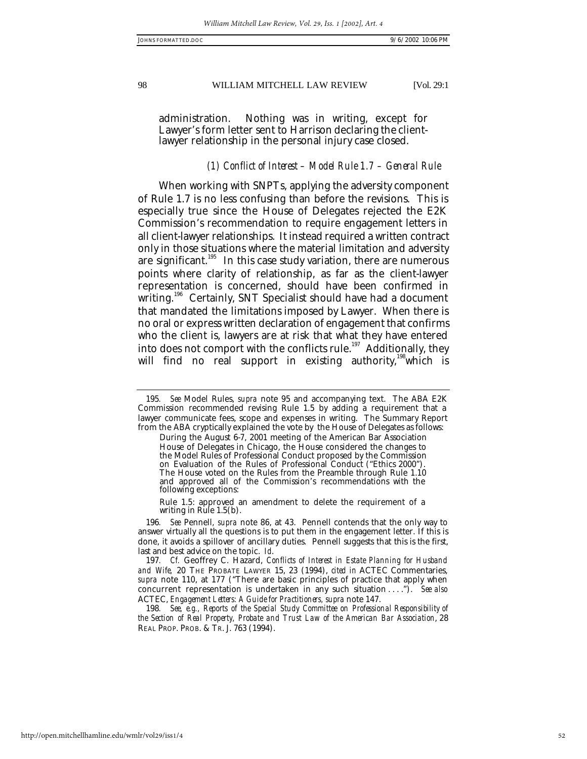administration. Nothing was in writing, except for Lawyer's form letter sent to Harrison declaring the clientlawyer relationship in the personal injury case closed.

# *(1) Conflict of Interest – Model Rule 1.7 – General Rule*

When working with SNPTs, applying the adversity component of Rule 1.7 is no less confusing than before the revisions. This is especially true since the House of Delegates rejected the E2K Commission's recommendation to require engagement letters in all client-lawyer relationships. It instead required a written contract only in those situations where the material limitation and adversity are significant.<sup>195</sup> In this case study variation, there are numerous points where clarity of relationship, as far as the client-lawyer representation is concerned, should have been confirmed in writing.<sup>196</sup> Certainly, SNT Specialist should have had a document that mandated the limitations imposed by Lawyer. When there is no oral or express written declaration of engagement that confirms who the client is, lawyers are at risk that what they have entered into does not comport with the conflicts rule.<sup>197</sup> Additionally, they will find no real support in existing authority, $198$ <sup>which is</sup>

Rule 1.5: approved an amendment to delete the requirement of a writing in Rule 1.5(b).

196*. See* Pennell, *supra* note 86, at 43. Pennell contends that the only way to answer virtually all the questions is to put them in the engagement letter. If this is done, it avoids a spillover of ancillary duties. Pennell suggests that this is the first, last and best advice on the topic. *Id*.

<sup>195</sup>*. See* Model Rules, *supra* note 95 and accompanying text. The ABA E2K Commission recommended revising Rule 1.5 by adding a requirement that a lawyer communicate fees, scope and expenses in writing. The Summary Report from the ABA cryptically explained the vote by the House of Delegates as follows:

During the August 6-7, 2001 meeting of the American Bar Association House of Delegates in Chicago, the House considered the changes to the Model Rules of Professional Conduct proposed by the Commission on Evaluation of the Rules of Professional Conduct ("Ethics 2000"). The House voted on the Rules from the Preamble through Rule 1.10 and approved all of the Commission's recommendations with the following exceptions:

<sup>197</sup>*. Cf.* Geoffrey C. Hazard, *Conflicts of Interest in Estate Planning for Husband and Wife,* 20 THE PROBATE LAWYER 15, 23 (1994), *cited in* ACTEC Commentaries, *supra* note 110, at 177 ("There are basic principles of practice that apply when concurrent representation is undertaken in any such situation . . . ."). *See also*  ACTEC, *Engagement Letters: A Guide for Practitioners, supra* note 147.

<sup>198</sup>*. See, e.g., Reports of the Special Study Committee on Professional Responsibility of the Section of Real Property, Probate and Trust Law of the American Bar Association*, 28 REAL PROP. PROB. & TR. J. 763 (1994).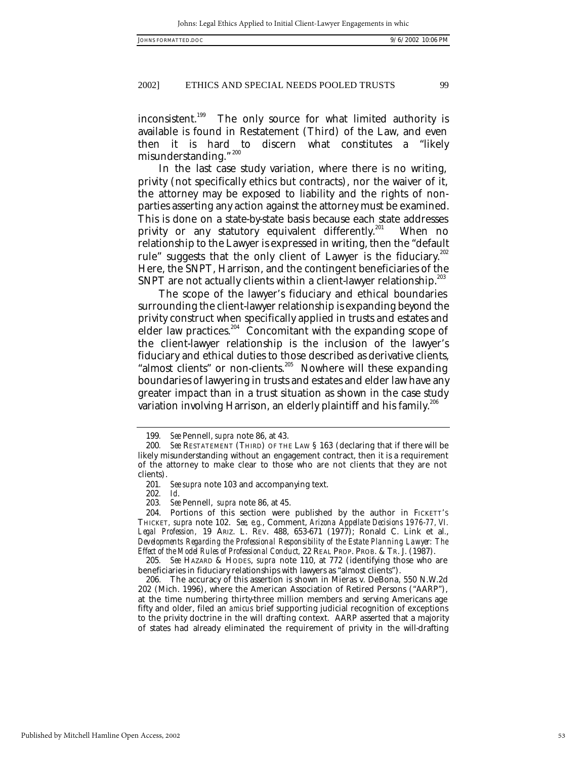inconsistent.<sup>199</sup> The only source for what limited authority is available is found in Restatement (Third) of the Law, and even then it is hard to discern what constitutes a "likely misunderstanding." <sup>200</sup>

In the last case study variation, where there is no writing, privity (not specifically ethics but contracts), nor the waiver of it, the attorney may be exposed to liability and the rights of nonparties asserting any action against the attorney must be examined. This is done on a state-by-state basis because each state addresses privity or any statutory equivalent differently.<sup>201</sup> When no relationship to the Lawyer is expressed in writing, then the "default rule" suggests that the only client of Lawyer is the fiduciary.<sup>202</sup> Here, the SNPT, Harrison, and the contingent beneficiaries of the SNPT are not actually clients within a client-lawyer relationship.<sup>20</sup>

The scope of the lawyer's fiduciary and ethical boundaries surrounding the client-lawyer relationship is expanding beyond the privity construct when specifically applied in trusts and estates and elder law practices.<sup>204</sup> Concomitant with the expanding scope of the client-lawyer relationship is the inclusion of the lawyer's fiduciary and ethical duties to those described as derivative clients, "almost clients" or non-clients.<sup>205</sup> Nowhere will these expanding boundaries of lawyering in trusts and estates and elder law have any greater impact than in a trust situation as shown in the case study variation involving Harrison, an elderly plaintiff and his family.<sup>206</sup>

205*. See* HAZARD & HODES, *supra* note 110, at 772 (identifying those who are beneficiaries in fiduciary relationships with lawyers as "almost clients").

206. The accuracy of this assertion is shown in Mieras v. DeBona, 550 N.W.2d 202 (Mich. 1996), where the American Association of Retired Persons ("AARP"), at the time numbering thirty-three million members and serving Americans age fifty and older, filed an *amicus* brief supporting judicial recognition of exceptions to the privity doctrine in the will drafting context. AARP asserted that a majority of states had already eliminated the requirement of privity in the will-drafting

<sup>199</sup>*. See* Pennell, *supra* note 86, at 43.

<sup>200</sup>*. See* RESTATEMENT (THIRD) OF THE LAW § 163 (declaring that if there will be likely misunderstanding without an engagement contract, then it is a requirement of the attorney to make clear to those who are not clients that they are not clients).

<sup>201</sup>*. See supra* note 103 and accompanying text.

<sup>202</sup>*. Id*.

<sup>203</sup>*. See* Pennell, *supra* note 86, at 45.

<sup>204.</sup> Portions of this section were published by the author in FICKETT'S THICKET*, supra* note 102. *See, e.g.*, Comment, *Arizona Appellate Decisions 1976-77, VI. Legal Profession,* 19 ARIZ. L. REV. 488, 653-671 (1977); Ronald C. Link et al*.*, *Developments Regarding the Professional Responsibility of the Estate Planning Lawyer: The Effect of the Model Rules of Professional Conduct,* 22 REAL PROP. PROB. & TR. J. (1987).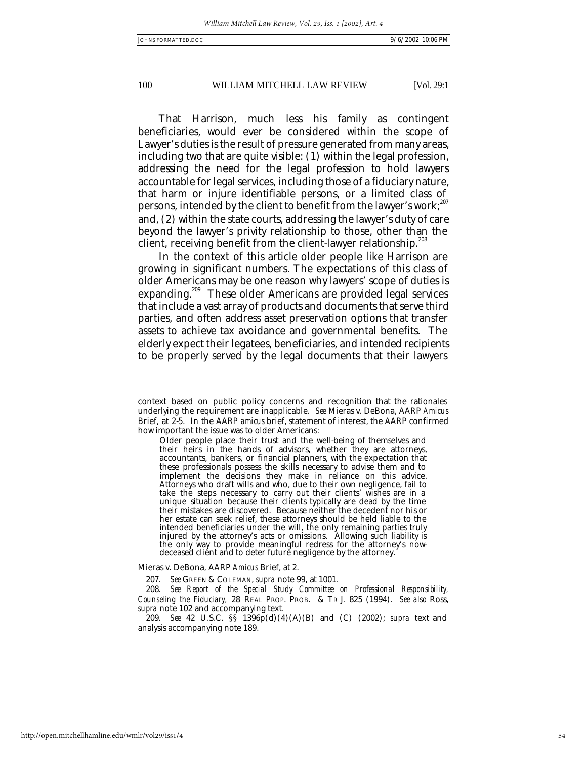That Harrison, much less his family as contingent beneficiaries, would ever be considered within the scope of Lawyer's duties is the result of pressure generated from many areas, including two that are quite visible: (1) within the legal profession, addressing the need for the legal profession to hold lawyers accountable for legal services, including those of a fiduciary nature, that harm or injure identifiable persons, or a limited class of persons, intended by the client to benefit from the lawyer's work;<sup>207</sup> and, (2) within the state courts, addressing the lawyer's duty of care beyond the lawyer's privity relationship to those, other than the client, receiving benefit from the client-lawyer relationship.<sup>208</sup>

In the context of this article older people like Harrison are growing in significant numbers. The expectations of this class of older Americans may be one reason why lawyers' scope of duties is expanding.<sup>209</sup> These older Americans are provided legal services that include a vast array of products and documents that serve third parties, and often address asset preservation options that transfer assets to achieve tax avoidance and governmental benefits. The elderly expect their legatees, beneficiaries, and intended recipients to be properly served by the legal documents that their lawyers

Mieras v. DeBona, AARP *Amicus* Brief, at 2.

207*. See* GREEN & COLEMAN, *supra* note 99, at 1001.

208*. See Report of the Special Study Committee on Professional Responsibility, Counseling the Fiduciary,* 28 REAL PROP. PROB. & TR J. 825 (1994). *See also* Ross, *supra* note 102 and accompanying text.

209*. See* 42 U.S.C. §§ 1396p(d)(4)(A)(B) and (C) (2002); *supra* text and analysis accompanying note 189.

context based on public policy concerns and recognition that the rationales underlying the requirement are inapplicable. *See* Mieras v. DeBona, AARP *Amicus* Brief, at 2-5. In the AARP *amicus* brief, statement of interest, the AARP confirmed how important the issue was to older Americans:

Older people place their trust and the well-being of themselves and their heirs in the hands of advisors, whether they are attorneys, accountants, bankers, or financial planners, with the expectation that these professionals possess the skills necessary to advise them and to implement the decisions they make in reliance on this advice. Attorneys who draft wills and who, due to their own negligence, fail to take the steps necessary to carry out their clients' wishes are in a unique situation because their clients typically are dead by the time their mistakes are discovered. Because neither the decedent nor his or her estate can seek relief, these attorneys should be held liable to the intended beneficiaries under the will, the only remaining parties truly injured by the attorney's acts or omissions. Allowing such liability is the only way to provide meaningful redress for the attorney's nowdeceased client and to deter future negligence by the attorney.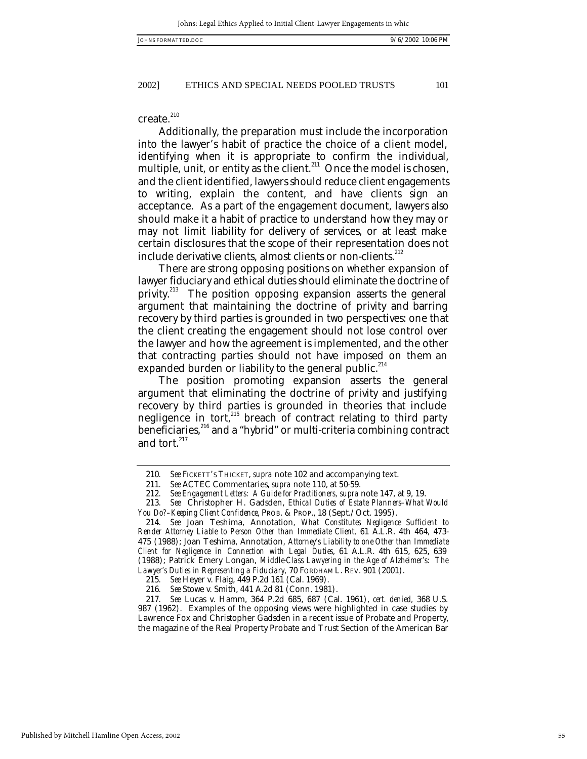$create.<sup>210</sup>$ 

Additionally, the preparation must include the incorporation into the lawyer's habit of practice the choice of a client model, identifying when it is appropriate to confirm the individual, multiple, unit, or entity as the client.<sup>211</sup> Once the model is chosen, and the client identified, lawyers should reduce client engagements to writing, explain the content, and have clients sign an acceptance. As a part of the engagement document, lawyers also should make it a habit of practice to understand how they may or may not limit liability for delivery of services, or at least make certain disclosures that the scope of their representation does not include derivative clients, almost clients or non-clients.<sup>212</sup>

There are strong opposing positions on whether expansion of lawyer fiduciary and ethical duties should eliminate the doctrine of privity.<sup>213</sup> The position opposing expansion asserts the general argument that maintaining the doctrine of privity and barring recovery by third parties is grounded in two perspectives: one that the client creating the engagement should not lose control over the lawyer and how the agreement is implemented, and the other that contracting parties should not have imposed on them an expanded burden or liability to the general public.<sup>214</sup>

The position promoting expansion asserts the general argument that eliminating the doctrine of privity and justifying recovery by third parties is grounded in theories that include negligence in tort,<sup>215</sup> breach of contract relating to third party beneficiaries,<sup>216</sup> and a "hybrid" or multi-criteria combining contract and tort.<sup>217</sup>

217*. See* Lucas v. Hamm, 364 P.2d 685, 687 (Cal. 1961), *cert. denied,* 368 U.S. 987 (1962). Examples of the opposing views were highlighted in case studies by Lawrence Fox and Christopher Gadsden in a recent issue of Probate and Property, the magazine of the Real Property Probate and Trust Section of the American Bar

<sup>210</sup>*. See* FICKETT'S THICKET, *supra* note 102 and accompanying text.

<sup>211</sup>*. See* ACTEC Commentaries, *supra* note 110, at 50-59.

<sup>212</sup>*. See Engagement Letters: A Guide for Practitioners, supra* note 147, at 9, 19.

<sup>213</sup>*. See* Christopher H. Gadsden, *Ethical Duties of Estate Planners–What Would You Do?–Keeping Client Confidence*, PROB. & PROP., 18 (Sept./Oct. 1995).

<sup>214</sup>*. See* Joan Teshima, Annotation*, What Constitutes Negligence Sufficient to Render Attorney Liable to Person Other than Immediate Client,* 61 A.L.R. 4th 464, 473- 475 (1988); Joan Teshima, Annotation, *Attorney's Liability to one Other than Immediate Client for Negligence in Connection with Legal Duties*, 61 A.L.R. 4th 615, 625, 639 (1988); Patrick Emery Longan, *Middle-Class Lawyering in the Age of Alzheimer's: The Lawyer's Duties in Representing a Fiduciary,* 70 FORDHAM L. REV. 901 (2001).

<sup>215</sup>*. See* Heyer v. Flaig, 449 P.2d 161 (Cal. 1969).

<sup>216</sup>*. See* Stowe v. Smith, 441 A.2d 81 (Conn. 1981).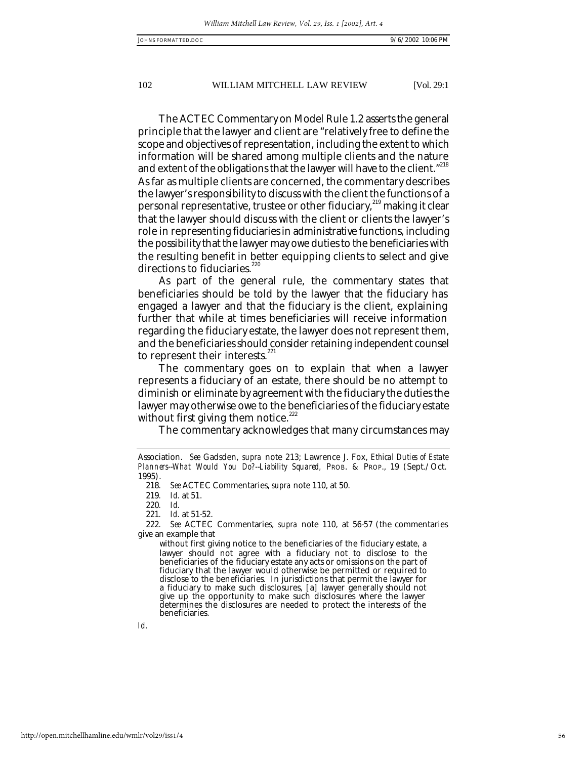The ACTEC Commentary on Model Rule 1.2 asserts the general principle that the lawyer and client are "relatively free to define the scope and objectives of representation, including the extent to which information will be shared among multiple clients and the nature and extent of the obligations that the lawyer will have to the client." $^{218}$ As far as multiple clients are concerned, the commentary describes the lawyer's responsibility to discuss with the client the functions of a personal representative, trustee or other fiduciary,<sup>219</sup> making it clear that the lawyer should discuss with the client or clients the lawyer's role in representing fiduciaries in administrative functions, including the possibility that the lawyer may owe duties to the beneficiaries with the resulting benefit in better equipping clients to select and give directions to fiduciaries.<sup>220</sup>

As part of the general rule, the commentary states that beneficiaries should be told by the lawyer that the fiduciary has engaged a lawyer and that the fiduciary is the client, explaining further that while at times beneficiaries will receive information regarding the fiduciary estate, the lawyer does not represent them, and the beneficiaries should consider retaining independent counsel to represent their interests.<sup>221</sup>

The commentary goes on to explain that when a lawyer represents a fiduciary of an estate, there should be no attempt to diminish or eliminate by agreement with the fiduciary the duties the lawyer may otherwise owe to the beneficiaries of the fiduciary estate without first giving them notice. $222$ 

The commentary acknowledges that many circumstances may

Association. *See* Gadsden, *supra* note 213; Lawrence J. Fox, *Ethical Duties of Estate Planners-*-*What Would You Do?-*-*Liability Squared,* PROB. & PROP., 19 (Sept./Oct. 1995).

<sup>218</sup>*. See* ACTEC Commentaries, *supra* note 110, at 50.

<sup>219</sup>*. Id.* at 51.

<sup>220</sup>*. Id.*

<sup>221</sup>*. Id.* at 51-52.

<sup>222</sup>*. See* ACTEC Commentaries, *supra* note 110, at 56-57 (the commentaries give an example that

without first giving notice to the beneficiaries of the fiduciary estate, a lawyer should not agree with a fiduciary not to disclose to the beneficiaries of the fiduciary estate any acts or omissions on the part of fiduciary that the lawyer would otherwise be permitted or required to disclose to the beneficiaries. In jurisdictions that permit the lawyer for a fiduciary to make such disclosures, [a] lawyer generally should not give up the opportunity to make such disclosures where the lawyer determines the disclosures are needed to protect the interests of the beneficiaries.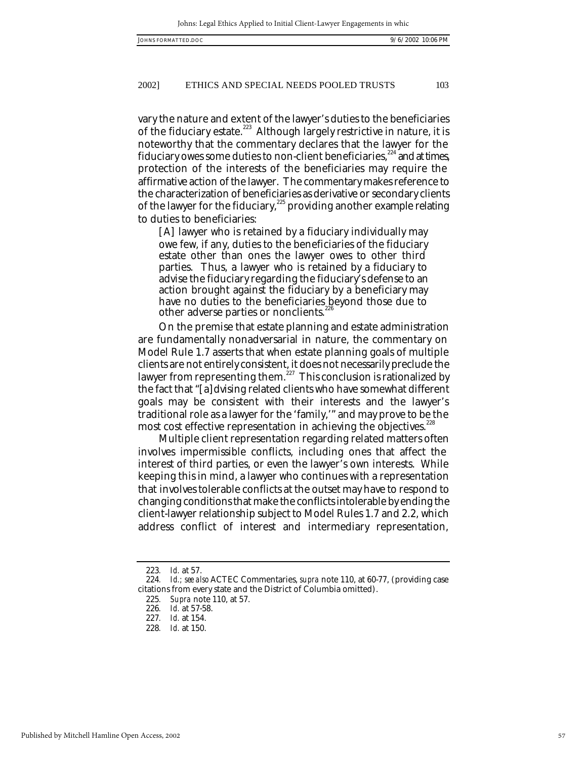vary the nature and extent of the lawyer's duties to the beneficiaries of the fiduciary estate.<sup>223</sup> Although largely restrictive in nature, it is noteworthy that the commentary declares that the lawyer for the fiduciary owes some duties to non-client beneficiaries, $224$  and at times, protection of the interests of the beneficiaries may require the affirmative action of the lawyer. The commentary makes reference to the characterization of beneficiaries as derivative or secondary clients of the lawyer for the fiduciary, $^{225}$  providing another example relating to duties to beneficiaries:

[A] lawyer who is retained by a fiduciary individually may owe few, if any, duties to the beneficiaries of the fiduciary estate other than ones the lawyer owes to other third parties. Thus, a lawyer who is retained by a fiduciary to advise the fiduciary regarding the fiduciary's defense to an action brought against the fiduciary by a beneficiary may have no duties to the beneficiaries beyond those due to other adverse parties or nonclients.

On the premise that estate planning and estate administration are fundamentally nonadversarial in nature, the commentary on Model Rule 1.7 asserts that when estate planning goals of multiple clients are not entirely consistent, it does not necessarily preclude the lawyer from representing them.<sup>227</sup> This conclusion is rationalized by the fact that "[a]dvising related clients who have somewhat different goals may be consistent with their interests and the lawyer's traditional role as a lawyer for the 'family,'" and may prove to be the most cost effective representation in achieving the objectives.<sup>228</sup>

Multiple client representation regarding related matters often involves impermissible conflicts, including ones that affect the interest of third parties, or even the lawyer's own interests. While keeping this in mind, a lawyer who continues with a representation that involves tolerable conflicts at the outset may have to respond to changing conditions that make the conflicts intolerable by ending the client-lawyer relationship subject to Model Rules 1.7 and 2.2, which address conflict of interest and intermediary representation,

<sup>223</sup>*. Id.* at 57.

<sup>224</sup>*. Id.; see also* ACTEC Commentaries, *supra* note 110, at 60-77, (providing case citations from every state and the District of Columbia omitted).

<sup>225</sup>*. Supra* note 110, at 57.

<sup>226</sup>*. Id.* at 57-58.

<sup>227</sup>*. Id.* at 154.

<sup>228</sup>*. Id.* at 150.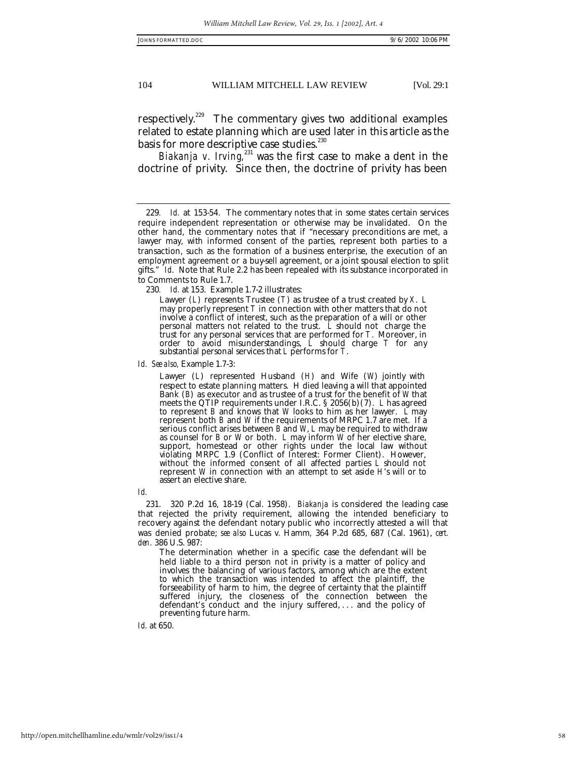respectively.<sup>229</sup> The commentary gives two additional examples related to estate planning which are used later in this article as the basis for more descriptive case studies.<sup>230</sup>

*Biakanja v. Irving*,<sup>231</sup> was the first case to make a dent in the doctrine of privity. Since then, the doctrine of privity has been

230*. Id.* at 153. Example 1.7-2 illustrates:

Lawyer (*L*) represents Trustee (*T*) as trustee of a trust created by *X*. *L* may properly represent *T* in connection with other matters that do not involve a conflict of interest, such as the preparation of a will or other personal matters not related to the trust. *L* should not charge the trust for any personal services that are performed for *T*. Moreover, in order to avoid misunderstandings, *L* should charge *T* for any substantial personal services that *L* performs for *T*.

*Id. See also,* Example 1.7-3:

Lawyer (*L*) represented Husband (*H*) and Wife (*W*) jointly with respect to estate planning matters. H died leaving a will that appointed Bank (*B*) as executor and as trustee of a trust for the benefit of *W* that meets the QTIP requirements under I.R.C. § 2056(b)(7). *L* has agreed to represent *B* and knows that *W* looks to him as her lawyer. *L* may represent both *B* and *W* if the requirements of MRPC 1.7 are met. If a serious conflict arises between *B* and *W*, *L* may be required to withdraw as counsel for *B* or *W* or both. *L* may inform *W* of her elective share, support, homestead or other rights under the local law without violating MRPC 1.9 (Conflict of Interest: Former Client). However, without the informed consent of all affected parties *L* should not represent *W* in connection with an attempt to set aside *H*'s will or to assert an elective share.

*Id.*

231. 320 P.2d 16, 18-19 (Cal. 1958). *Biakanja* is considered the leading case that rejected the privity requirement, allowing the intended beneficiary to recovery against the defendant notary public who incorrectly attested a will that was denied probate; *see also* Lucas v. Hamm*,* 364 P.2d 685, 687 (Cal. 1961), *cert. den.* 386 U.S. 987:

The determination whether in a specific case the defendant will be held liable to a third person not in privity is a matter of policy and involves the balancing of various factors, among which are the extent to which the transaction was intended to affect the plaintiff, the forseeability of harm to him, the degree of certainty that the plaintiff suffered injury, the closeness of the connection between the defendant's conduct and the injury suffered, . . . and the policy of preventing future harm.

*Id.* at 650.

<sup>229</sup>*. Id.* at 153-54. The commentary notes that in some states certain services require independent representation or otherwise may be invalidated. On the other hand, the commentary notes that if "necessary preconditions are met, a lawyer may, with informed consent of the parties, represent both parties to a transaction, such as the formation of a business enterprise, the execution of an employment agreement or a buy-sell agreement, or a joint spousal election to split gifts." *Id*. Note that Rule 2.2 has been repealed with its substance incorporated in to Comments to Rule 1.7.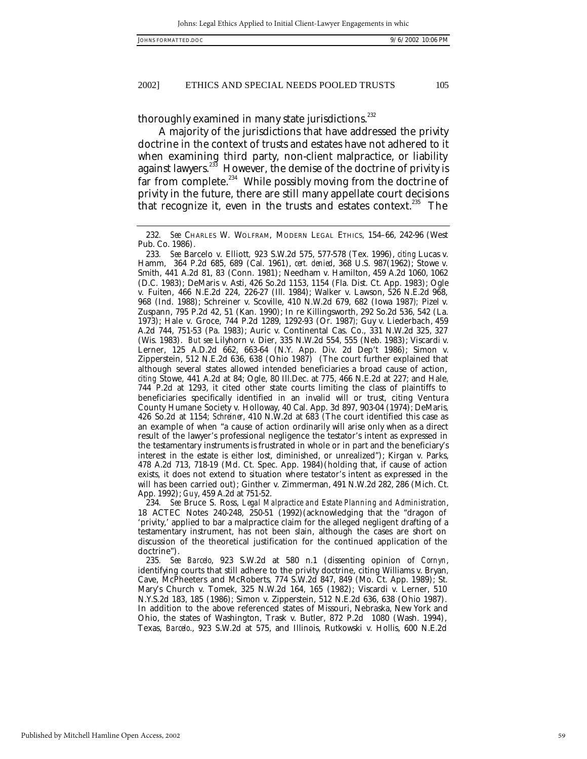thoroughly examined in many state jurisdictions.<sup>232</sup>

A majority of the jurisdictions that have addressed the privity doctrine in the context of trusts and estates have not adhered to it when examining third party, non-client malpractice, or liability against lawyers.<sup>233</sup> However, the demise of the doctrine of privity is far from complete.<sup>234</sup> While possibly moving from the doctrine of privity in the future, there are still many appellate court decisions that recognize it, even in the trusts and estates context.<sup>235</sup> The

233*. See* Barcelo v. Elliott*,* 923 S.W.2d 575, 577-578 (Tex. 1996), *citing* Lucas v. Hamm, 364 P.2d 685, 689 (Cal. 1961), *cert. denied*, 368 U.S. 987(1962); Stowe v. Smith, 441 A.2d 81, 83 (Conn. 1981); Needham v. Hamilton, 459 A.2d 1060, 1062 (D.C. 1983); DeMaris v. Asti, 426 So.2d 1153, 1154 (Fla. Dist. Ct. App. 1983); Ogle v. Fuiten, 466 N.E.2d 224, 226-27 (Ill. 1984); Walker v. Lawson, 526 N.E.2d 968, 968 (Ind. 1988); Schreiner v. Scoville, 410 N.W.2d 679, 682 (Iowa 1987*);* Pizel v. Zuspann, 795 P.2d 42, 51 (Kan. 1990); In re Killingsworth, 292 So.2d 536, 542 (La. 1973); Hale v. Groce, 744 P.2d 1289, 1292-93 (Or. 1987*);* Guy v. Liederbach, 459 A.2d 744, 751-53 (Pa. 1983); Auric v. Continental Cas. Co., 331 N.W.2d 325, 327 (Wis. 1983). *But see* Lilyhorn v. Dier, 335 N.W.2d 554, 555 (Neb. 1983); Viscardi v. Lerner, 125 A.D.2d 662, 663-64 (N.Y. App. Div. 2d Dep't 1986); Simon v. Zipperstein, 512 N.E.2d 636, 638 (Ohio 1987) (The court further explained that although several states allowed intended beneficiaries a broad cause of action, *citing* Stowe, 441 A.2d at 84; Ogle, 80 Ill.Dec. at 775, 466 N.E.2d at 227; and Hale*,* 744 P.2d at 1293, it cited other state courts limiting the class of plaintiffs to beneficiaries specifically identified in an invalid will or trust, citing Ventura County Humane Society v. Holloway, 40 Cal. App. 3d 897, 903-04 (1974); DeMaris*,* 426 So.2d at 1154; *Schreiner*, 410 N.W.2d at 683 (The court identified this case as an example of when "a cause of action ordinarily will arise only when as a direct result of the lawyer's professional negligence the testator's intent as expressed in the testamentary instruments is frustrated in whole or in part and the beneficiary's interest in the estate is either lost, diminished, or unrealized"); Kirgan v. Parks, 478 A.2d 713, 718-19 (Md. Ct. Spec. App. 1984)(holding that, if cause of action exists, it does not extend to situation where testator's intent as expressed in the will has been carried out); Ginther v. Zimmerman, 491 N.W.2d 282, 286 (Mich. Ct. App. 1992); *Guy*, 459 A.2d at 751-52.

234*. See* Bruce S. Ross, *Legal Malpractice and Estate Planning and Administration*, 18 ACTEC Notes 240-248, 250-51 (1992)(acknowledging that the "dragon of 'privity,' applied to bar a malpractice claim for the alleged negligent drafting of a testamentary instrument, has not been slain, although the cases are short on discussion of the theoretical justification for the continued application of the doctrine").

235*. See Barcelo*, 923 S.W.2d at 580 n.1 (dissenting opinion of *Cornyn*, identifying courts that still adhere to the privity doctrine, citing Williams v. Bryan*,*  Cave, McPheeters and McRoberts, 774 S.W.2d 847, 849 (Mo. Ct. App. 1989); St. Mary's Church v. Tomek, 325 N.W.2d 164, 165 (1982); Viscardi v. Lerner, 510 N.Y.S.2d 183, 185 (1986); Simon v. Zipperstein, 512 N.E.2d 636, 638 (Ohio 1987). In addition to the above referenced states of Missouri, Nebraska, New York and Ohio, the states of Washington, Trask v. Butler, 872 P.2d 1080 (Wash. 1994), Texas, *Barcelo*., 923 S.W.2d at 575, and Illinois, Rutkowski v. Hollis, 600 N.E.2d

<sup>232</sup>*. See* CHARLES W. WOLFRAM, MODERN LEGAL ETHICS*,* 154–66, 242-96 (West Pub. Co. 1986).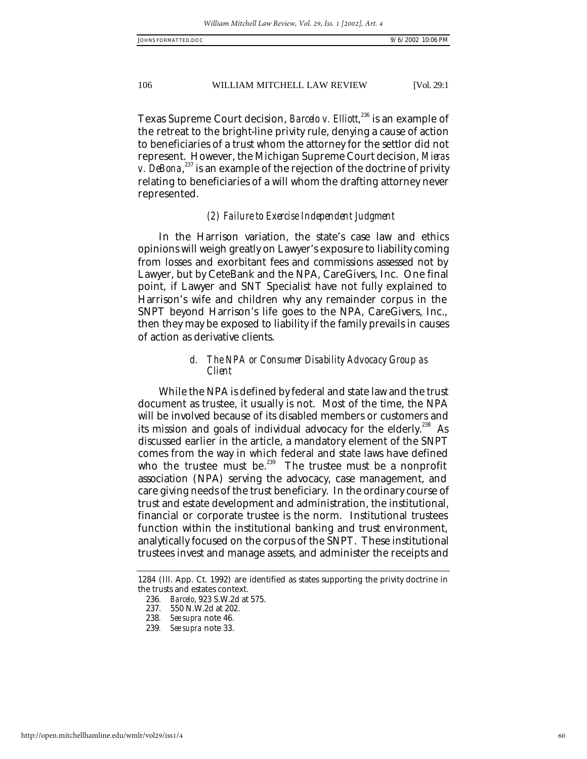Texas Supreme Court decision, *Barcelo v. Elliott*, <sup>236</sup> is an example of the retreat to the bright-line privity rule, denying a cause of action to beneficiaries of a trust whom the attorney for the settlor did not represent. However, the Michigan Supreme Court decision, *Mieras v. DeBona*,<sup>237</sup> is an example of the rejection of the doctrine of privity relating to beneficiaries of a will whom the drafting attorney never represented.

# *(2) Failure to Exercise Independent Judgment*

In the Harrison variation, the state's case law and ethics opinions will weigh greatly on Lawyer's exposure to liability coming from losses and exorbitant fees and commissions assessed not by Lawyer, but by CeteBank and the NPA, CareGivers, Inc. One final point, if Lawyer and SNT Specialist have not fully explained to Harrison's wife and children why any remainder corpus in the SNPT beyond Harrison's life goes to the NPA, CareGivers, Inc., then they may be exposed to liability if the family prevails in causes of action as derivative clients.

# *d. The NPA or Consumer Disability Advocacy Group as Client*

While the NPA is defined by federal and state law and the trust document as trustee, it usually is not. Most of the time, the NPA will be involved because of its disabled members or customers and its mission and goals of individual advocacy for the elderly.<sup>238</sup> As discussed earlier in the article, a mandatory element of the SNPT comes from the way in which federal and state laws have defined who the trustee must be.<sup>239</sup> The trustee must be a nonprofit association (NPA) serving the advocacy, case management, and care giving needs of the trust beneficiary. In the ordinary course of trust and estate development and administration, the institutional, financial or corporate trustee is the norm. Institutional trustees function within the institutional banking and trust environment, analytically focused on the corpus of the SNPT. These institutional trustees invest and manage assets, and administer the receipts and

<sup>1284 (</sup>Ill. App. Ct. 1992) are identified as states supporting the privity doctrine in the trusts and estates context.

<sup>236.</sup> *Barcelo*, 923 S.W.2d at 575.

<sup>237.</sup> 550 N.W.2d at 202.

<sup>238</sup>*. See supra* note 46.

<sup>239</sup>*. See supra* note 33.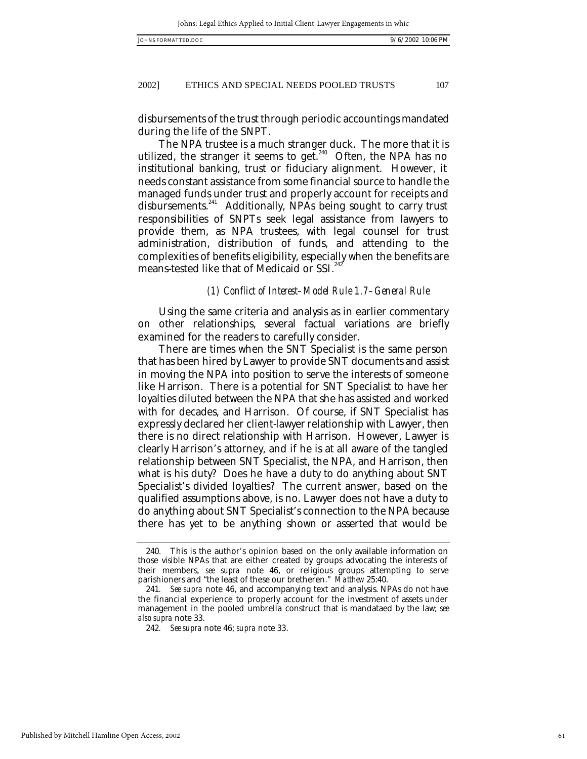disbursements of the trust through periodic accountings mandated during the life of the SNPT.

The NPA trustee is a much stranger duck. The more that it is utilized, the stranger it seems to get.<sup>240</sup> Often, the NPA has no institutional banking, trust or fiduciary alignment. However, it needs constant assistance from some financial source to handle the managed funds under trust and properly account for receipts and disbursements.<sup>241</sup> Additionally, NPAs being sought to carry trust responsibilities of SNPTs seek legal assistance from lawyers to provide them, as NPA trustees, with legal counsel for trust administration, distribution of funds, and attending to the complexities of benefits eligibility, especially when the benefits are means-tested like that of Medicaid or SSI.<sup>242</sup>

# *(1) Conflict of Interest–Model Rule 1.7–General Rule*

Using the same criteria and analysis as in earlier commentary on other relationships, several factual variations are briefly examined for the readers to carefully consider.

There are times when the SNT Specialist is the same person that has been hired by Lawyer to provide SNT documents and assist in moving the NPA into position to serve the interests of someone like Harrison. There is a potential for SNT Specialist to have her loyalties diluted between the NPA that she has assisted and worked with for decades, and Harrison. Of course, if SNT Specialist has expressly declared her client-lawyer relationship with Lawyer, then there is no direct relationship with Harrison. However, Lawyer is clearly Harrison's attorney, and if he is at all aware of the tangled relationship between SNT Specialist, the NPA, and Harrison, then what is his duty? Does he have a duty to do anything about SNT Specialist's divided loyalties? The current answer, based on the qualified assumptions above, is no. Lawyer does not have a duty to do anything about SNT Specialist's connection to the NPA because there has yet to be anything shown or asserted that would be

<sup>240.</sup> This is the author's opinion based on the only available information on those visible NPAs that are either created by groups advocating the interests of their members, *see supra* note 46, or religious groups attempting to serve parishioners and "the least of these our bretheren." *Matthew* 25:40.

<sup>241</sup>*. See supra* note 46, and accompanying text and analysis. NPAs do not have the financial experience to properly account for the investment of assets under management in the pooled umbrella construct that is mandataed by the law; *see also supra* note 33.

<sup>242</sup>*. See supra* note 46; *supra* note 33.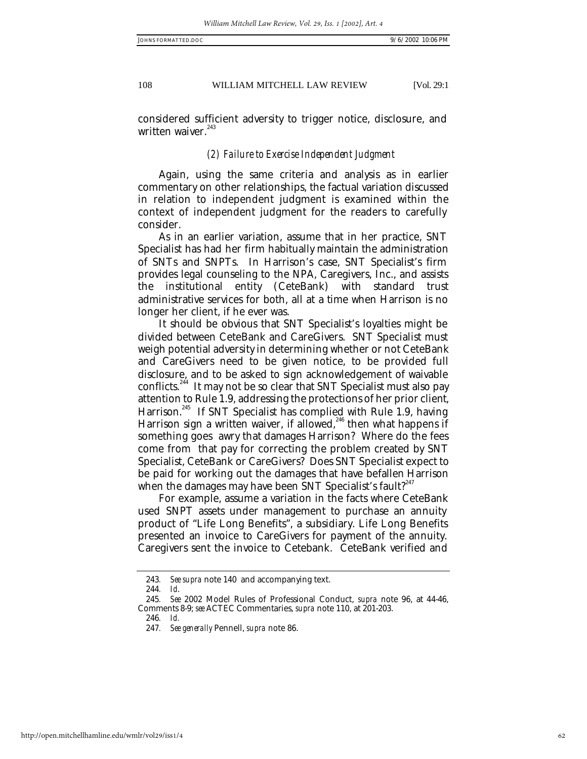considered sufficient adversity to trigger notice, disclosure, and written waiver.<sup>243</sup>

# *(2) Failure to Exercise Independent Judgment*

Again, using the same criteria and analysis as in earlier commentary on other relationships, the factual variation discussed in relation to independent judgment is examined within the context of independent judgment for the readers to carefully consider.

As in an earlier variation, assume that in her practice, SNT Specialist has had her firm habitually maintain the administration of SNTs and SNPTs. In Harrison's case, SNT Specialist's firm provides legal counseling to the NPA, Caregivers, Inc., and assists the institutional entity (CeteBank) with standard trust administrative services for both, all at a time when Harrison is no longer her client, if he ever was.

It should be obvious that SNT Specialist's loyalties might be divided between CeteBank and CareGivers. SNT Specialist must weigh potential adversity in determining whether or not CeteBank and CareGivers need to be given notice, to be provided full disclosure, and to be asked to sign acknowledgement of waivable conflicts.<sup>244</sup> It may not be so clear that SNT Specialist must also pay attention to Rule 1.9, addressing the protections of her prior client, Harrison.<sup>245</sup> If SNT Specialist has complied with Rule 1.9, having Harrison sign a written waiver, if allowed,<sup>246</sup> then what happens if something goes awry that damages Harrison? Where do the fees come from that pay for correcting the problem created by SNT Specialist, CeteBank or CareGivers? Does SNT Specialist expect to be paid for working out the damages that have befallen Harrison when the damages may have been SNT Specialist's fault?  $47^2$ 

For example, assume a variation in the facts where CeteBank used SNPT assets under management to purchase an annuity product of "Life Long Benefits", a subsidiary. Life Long Benefits presented an invoice to CareGivers for payment of the annuity. Caregivers sent the invoice to Cetebank. CeteBank verified and

<sup>243</sup>*. See supra* note 140 and accompanying text.

<sup>244</sup>*. Id*.

<sup>245</sup>*. See* 2002 Model Rules of Professional Conduct, *supra* note 96, at 44-46, Comments 8-9; *see* ACTEC Commentaries, *supra* note 110, at 201-203.

<sup>246</sup>*. Id.*

<sup>247</sup>*. See generally* Pennell, *supra* note 86.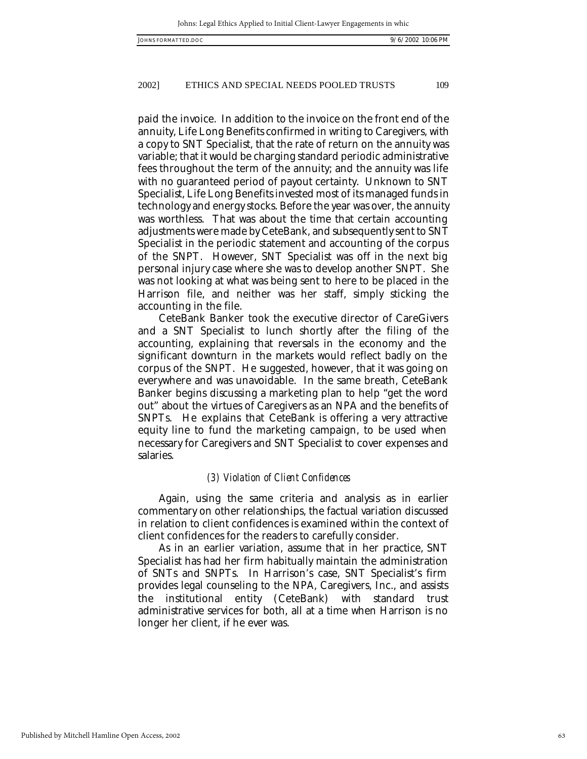paid the invoice. In addition to the invoice on the front end of the annuity, Life Long Benefits confirmed in writing to Caregivers, with a copy to SNT Specialist, that the rate of return on the annuity was variable; that it would be charging standard periodic administrative fees throughout the term of the annuity; and the annuity was life with no guaranteed period of payout certainty. Unknown to SNT Specialist, Life Long Benefits invested most of its managed funds in technology and energy stocks. Before the year was over, the annuity was worthless. That was about the time that certain accounting adjustments were made by CeteBank, and subsequently sent to SNT Specialist in the periodic statement and accounting of the corpus of the SNPT. However, SNT Specialist was off in the next big personal injury case where she was to develop another SNPT. She was not looking at what was being sent to here to be placed in the Harrison file, and neither was her staff, simply sticking the accounting in the file.

CeteBank Banker took the executive director of CareGivers and a SNT Specialist to lunch shortly after the filing of the accounting, explaining that reversals in the economy and the significant downturn in the markets would reflect badly on the corpus of the SNPT. He suggested, however, that it was going on everywhere and was unavoidable. In the same breath, CeteBank Banker begins discussing a marketing plan to help "get the word out" about the virtues of Caregivers as an NPA and the benefits of SNPTs. He explains that CeteBank is offering a very attractive equity line to fund the marketing campaign, to be used when necessary for Caregivers and SNT Specialist to cover expenses and salaries.

### *(3) Violation of Client Confidences*

Again, using the same criteria and analysis as in earlier commentary on other relationships, the factual variation discussed in relation to client confidences is examined within the context of client confidences for the readers to carefully consider.

As in an earlier variation, assume that in her practice, SNT Specialist has had her firm habitually maintain the administration of SNTs and SNPTs. In Harrison's case, SNT Specialist's firm provides legal counseling to the NPA, Caregivers, Inc., and assists the institutional entity (CeteBank) with standard trust administrative services for both, all at a time when Harrison is no longer her client, if he ever was.